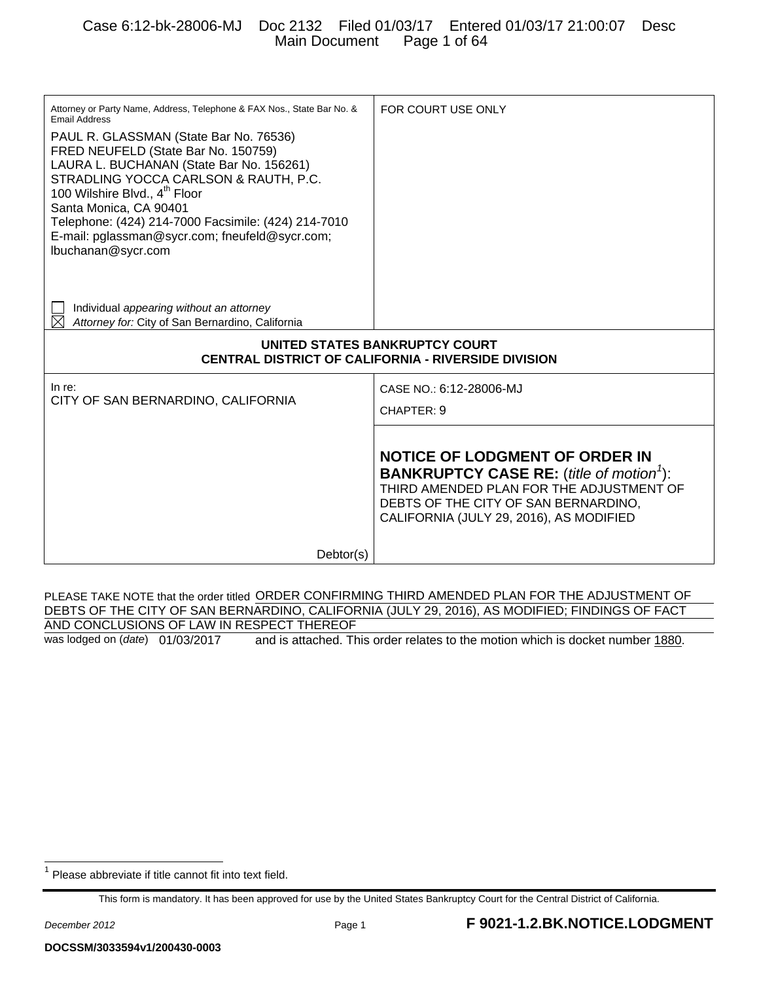| Attorney or Party Name, Address, Telephone & FAX Nos., State Bar No. &<br><b>Email Address</b>                                                                                                                                                                                                                                                                           | FOR COURT USE ONLY                                                                                                                                                                                                                  |  |  |  |
|--------------------------------------------------------------------------------------------------------------------------------------------------------------------------------------------------------------------------------------------------------------------------------------------------------------------------------------------------------------------------|-------------------------------------------------------------------------------------------------------------------------------------------------------------------------------------------------------------------------------------|--|--|--|
| PAUL R. GLASSMAN (State Bar No. 76536)<br>FRED NEUFELD (State Bar No. 150759)<br>LAURA L. BUCHANAN (State Bar No. 156261)<br>STRADLING YOCCA CARLSON & RAUTH, P.C.<br>100 Wilshire Blvd., 4 <sup>th</sup> Floor<br>Santa Monica, CA 90401<br>Telephone: (424) 214-7000 Facsimile: (424) 214-7010<br>E-mail: pglassman@sycr.com; fneufeld@sycr.com;<br>lbuchanan@sycr.com |                                                                                                                                                                                                                                     |  |  |  |
| Individual appearing without an attorney<br>Attorney for: City of San Bernardino, California                                                                                                                                                                                                                                                                             |                                                                                                                                                                                                                                     |  |  |  |
| UNITED STATES BANKRUPTCY COURT<br><b>CENTRAL DISTRICT OF CALIFORNIA - RIVERSIDE DIVISION</b>                                                                                                                                                                                                                                                                             |                                                                                                                                                                                                                                     |  |  |  |
| In re:<br>CITY OF SAN BERNARDINO, CALIFORNIA                                                                                                                                                                                                                                                                                                                             | CASE NO.: 6:12-28006-MJ<br>CHAPTER: 9                                                                                                                                                                                               |  |  |  |
|                                                                                                                                                                                                                                                                                                                                                                          |                                                                                                                                                                                                                                     |  |  |  |
|                                                                                                                                                                                                                                                                                                                                                                          | <b>NOTICE OF LODGMENT OF ORDER IN</b><br><b>BANKRUPTCY CASE RE:</b> (title of motion <sup>1</sup> ):<br>THIRD AMENDED PLAN FOR THE ADJUSTMENT OF<br>DEBTS OF THE CITY OF SAN BERNARDINO,<br>CALIFORNIA (JULY 29, 2016), AS MODIFIED |  |  |  |
| Dektor(s)                                                                                                                                                                                                                                                                                                                                                                |                                                                                                                                                                                                                                     |  |  |  |

PLEASE TAKE NOTE that the order titled ORDER CONFIRMING THIRD AMENDED PLAN FOR THE ADJUSTMENT OF DEBTS OF THE CITY OF SAN BERNARDINO, CALIFORNIA (JULY 29, 2016), AS MODIFIED; FINDINGS OF FACT AND CONCLUSIONS OF LAW IN RESPECT THEREOF

was lodged on (*date*) 01/03/2017 and is attached. This order relates to the motion which is docket number 1880.

<sup>1</sup> Please abbreviate if title cannot fit into text field.

This form is mandatory. It has been approved for use by the United States Bankruptcy Court for the Central District of California.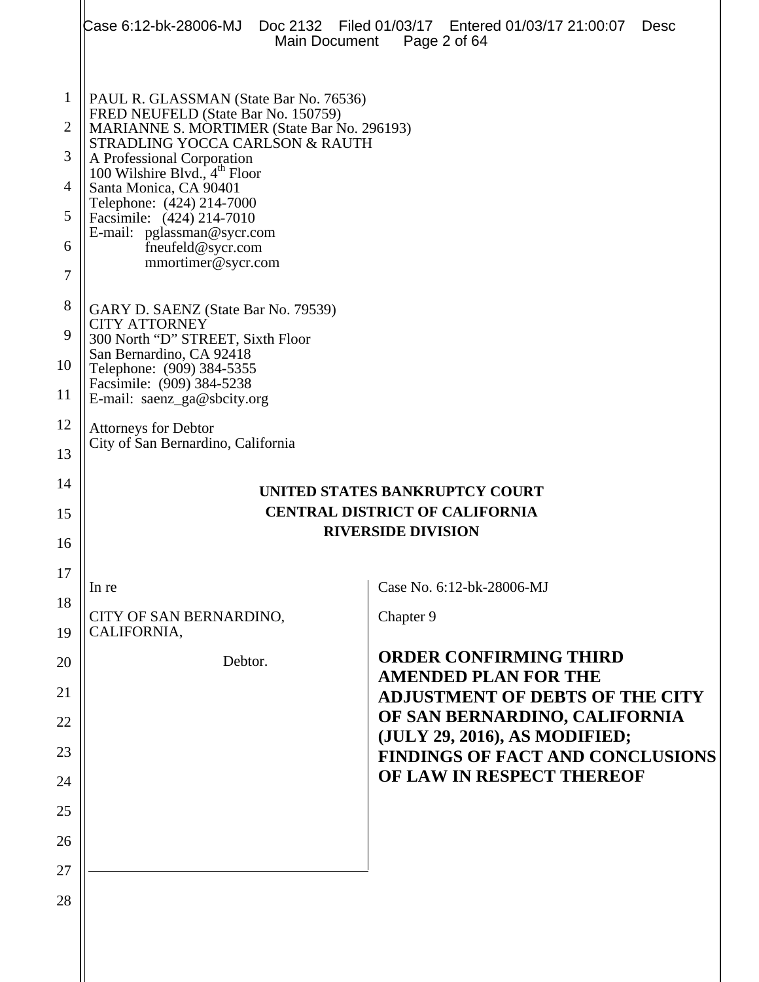|                                | Main Document                                                                                                                                             | Case 6:12-bk-28006-MJ Doc 2132   Filed 01/03/17   Entered 01/03/17   21:00:07<br>Desc<br>Page 2 of 64 |  |  |  |
|--------------------------------|-----------------------------------------------------------------------------------------------------------------------------------------------------------|-------------------------------------------------------------------------------------------------------|--|--|--|
| $\mathbf{1}$<br>$\overline{2}$ | PAUL R. GLASSMAN (State Bar No. 76536)<br>FRED NEUFELD (State Bar No. 150759)                                                                             |                                                                                                       |  |  |  |
| 3                              | MARIANNE S. MORTIMER (State Bar No. 296193)<br>STRADLING YOCCA CARLSON & RAUTH<br>A Professional Corporation<br>100 Wilshire Blvd., 4 <sup>th</sup> Floor |                                                                                                       |  |  |  |
| 4                              | Santa Monica, CA 90401                                                                                                                                    |                                                                                                       |  |  |  |
| 5                              | Telephone: (424) 214-7000<br>Facsimile: (424) 214-7010                                                                                                    |                                                                                                       |  |  |  |
| 6                              | E-mail: pglassman@sycr.com<br>fneufeld@sycr.com<br>mmortimer@sycr.com                                                                                     |                                                                                                       |  |  |  |
| 7                              |                                                                                                                                                           |                                                                                                       |  |  |  |
| 8                              | GARY D. SAENZ (State Bar No. 79539)<br><b>CITY ATTORNEY</b>                                                                                               |                                                                                                       |  |  |  |
| 9<br>10                        | 300 North "D" STREET, Sixth Floor<br>San Bernardino, CA 92418                                                                                             |                                                                                                       |  |  |  |
| 11                             | Telephone: (909) 384-5355<br>Facsimile: (909) 384-5238<br>E-mail: saenz_ga@sbcity.org                                                                     |                                                                                                       |  |  |  |
| 12                             | <b>Attorneys for Debtor</b><br>City of San Bernardino, California                                                                                         |                                                                                                       |  |  |  |
| 13                             |                                                                                                                                                           |                                                                                                       |  |  |  |
| 14                             |                                                                                                                                                           | UNITED STATES BANKRUPTCY COURT                                                                        |  |  |  |
| 15                             | <b>CENTRAL DISTRICT OF CALIFORNIA</b><br><b>RIVERSIDE DIVISION</b>                                                                                        |                                                                                                       |  |  |  |
| 16<br>17                       |                                                                                                                                                           |                                                                                                       |  |  |  |
| 18                             | In re                                                                                                                                                     | Case No. 6:12-bk-28006-MJ                                                                             |  |  |  |
| 19                             | CITY OF SAN BERNARDINO,<br>CALIFORNIA,                                                                                                                    | Chapter 9                                                                                             |  |  |  |
| 20                             | Debtor.                                                                                                                                                   | <b>ORDER CONFIRMING THIRD</b>                                                                         |  |  |  |
| 21                             |                                                                                                                                                           | <b>AMENDED PLAN FOR THE</b><br><b>ADJUSTMENT OF DEBTS OF THE CITY</b>                                 |  |  |  |
| 22                             |                                                                                                                                                           | OF SAN BERNARDINO, CALIFORNIA                                                                         |  |  |  |
| 23                             |                                                                                                                                                           | (JULY 29, 2016), AS MODIFIED;<br><b>FINDINGS OF FACT AND CONCLUSIONS</b>                              |  |  |  |
| 24                             |                                                                                                                                                           | OF LAW IN RESPECT THEREOF                                                                             |  |  |  |
| 25                             |                                                                                                                                                           |                                                                                                       |  |  |  |
| 26                             |                                                                                                                                                           |                                                                                                       |  |  |  |
| 27                             |                                                                                                                                                           |                                                                                                       |  |  |  |
| 28                             |                                                                                                                                                           |                                                                                                       |  |  |  |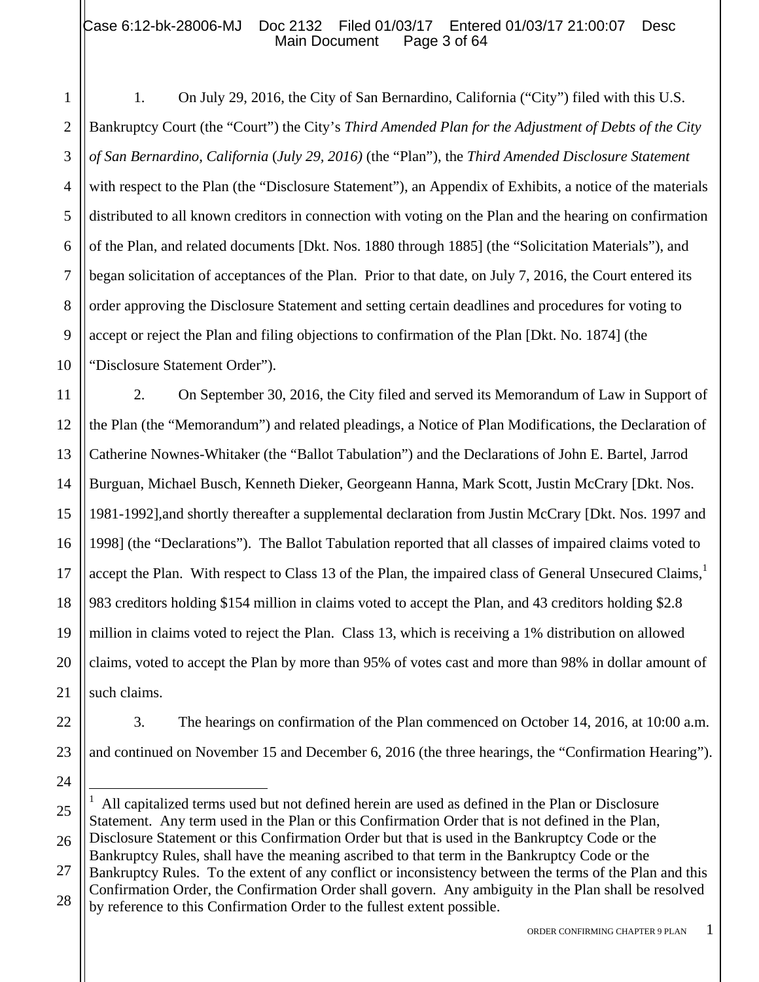1

5

11

21

24

2 3 4 6 7 8 9 10 1. On July 29, 2016, the City of San Bernardino, California ("City") filed with this U.S. Bankruptcy Court (the "Court") the City's *Third Amended Plan for the Adjustment of Debts of the City of San Bernardino, California* (*July 29, 2016)* (the "Plan"), the *Third Amended Disclosure Statement* with respect to the Plan (the "Disclosure Statement"), an Appendix of Exhibits, a notice of the materials distributed to all known creditors in connection with voting on the Plan and the hearing on confirmation of the Plan, and related documents [Dkt. Nos. 1880 through 1885] (the "Solicitation Materials"), and began solicitation of acceptances of the Plan. Prior to that date, on July 7, 2016, the Court entered its order approving the Disclosure Statement and setting certain deadlines and procedures for voting to accept or reject the Plan and filing objections to confirmation of the Plan [Dkt. No. 1874] (the "Disclosure Statement Order").

12 13 14 15 16 17 18 19 20 2. On September 30, 2016, the City filed and served its Memorandum of Law in Support of the Plan (the "Memorandum") and related pleadings, a Notice of Plan Modifications, the Declaration of Catherine Nownes-Whitaker (the "Ballot Tabulation") and the Declarations of John E. Bartel, Jarrod Burguan, Michael Busch, Kenneth Dieker, Georgeann Hanna, Mark Scott, Justin McCrary [Dkt. Nos. 1981-1992],and shortly thereafter a supplemental declaration from Justin McCrary [Dkt. Nos. 1997 and 1998] (the "Declarations"). The Ballot Tabulation reported that all classes of impaired claims voted to accept the Plan. With respect to Class 13 of the Plan, the impaired class of General Unsecured Claims, $<sup>1</sup>$ </sup> 983 creditors holding \$154 million in claims voted to accept the Plan, and 43 creditors holding \$2.8 million in claims voted to reject the Plan. Class 13, which is receiving a 1% distribution on allowed claims, voted to accept the Plan by more than 95% of votes cast and more than 98% in dollar amount of such claims.

22 23 3. The hearings on confirmation of the Plan commenced on October 14, 2016, at 10:00 a.m. and continued on November 15 and December 6, 2016 (the three hearings, the "Confirmation Hearing").

<sup>25</sup> 26 1 1 All capitalized terms used but not defined herein are used as defined in the Plan or Disclosure Statement. Any term used in the Plan or this Confirmation Order that is not defined in the Plan, Disclosure Statement or this Confirmation Order but that is used in the Bankruptcy Code or the

Bankruptcy Rules, shall have the meaning ascribed to that term in the Bankruptcy Code or the

<sup>27</sup> 28 Bankruptcy Rules. To the extent of any conflict or inconsistency between the terms of the Plan and this Confirmation Order, the Confirmation Order shall govern. Any ambiguity in the Plan shall be resolved by reference to this Confirmation Order to the fullest extent possible.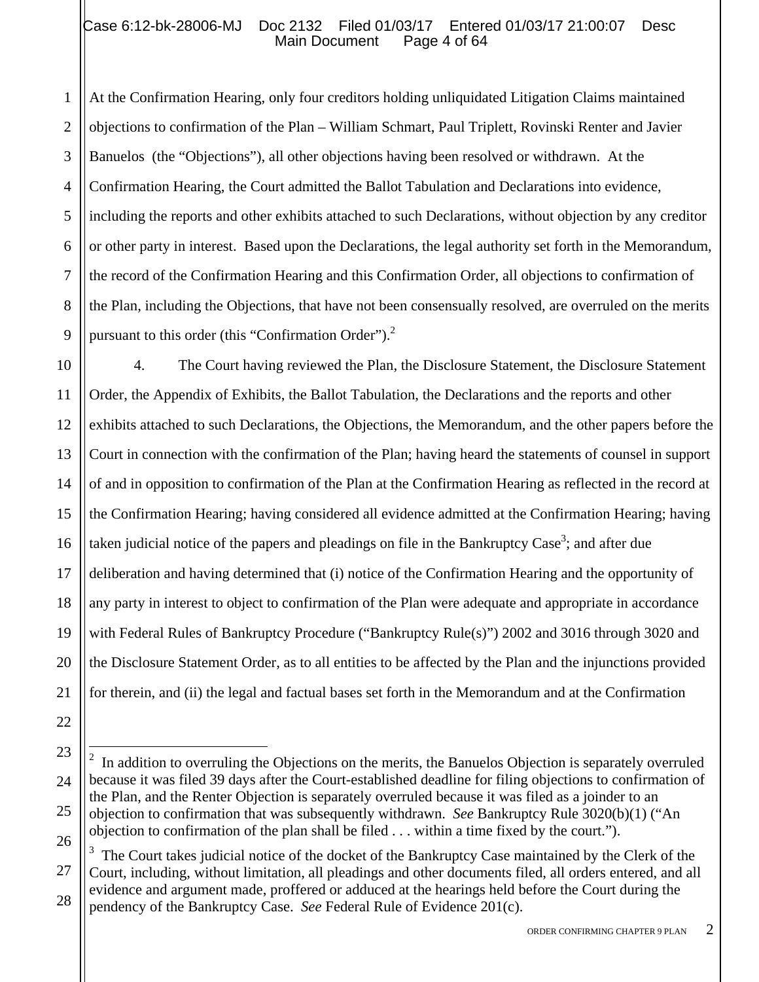1 2 3 4 5 6 7 8 9 At the Confirmation Hearing, only four creditors holding unliquidated Litigation Claims maintained objections to confirmation of the Plan – William Schmart, Paul Triplett, Rovinski Renter and Javier Banuelos (the "Objections"), all other objections having been resolved or withdrawn. At the Confirmation Hearing, the Court admitted the Ballot Tabulation and Declarations into evidence, including the reports and other exhibits attached to such Declarations, without objection by any creditor or other party in interest. Based upon the Declarations, the legal authority set forth in the Memorandum, the record of the Confirmation Hearing and this Confirmation Order, all objections to confirmation of the Plan, including the Objections, that have not been consensually resolved, are overruled on the merits pursuant to this order (this "Confirmation Order").<sup>2</sup>

10 11 12 13 14 15 16 17 18 19 20 21 4. The Court having reviewed the Plan, the Disclosure Statement, the Disclosure Statement Order, the Appendix of Exhibits, the Ballot Tabulation, the Declarations and the reports and other exhibits attached to such Declarations, the Objections, the Memorandum, and the other papers before the Court in connection with the confirmation of the Plan; having heard the statements of counsel in support of and in opposition to confirmation of the Plan at the Confirmation Hearing as reflected in the record at the Confirmation Hearing; having considered all evidence admitted at the Confirmation Hearing; having taken judicial notice of the papers and pleadings on file in the Bankruptcy Case<sup>3</sup>; and after due deliberation and having determined that (i) notice of the Confirmation Hearing and the opportunity of any party in interest to object to confirmation of the Plan were adequate and appropriate in accordance with Federal Rules of Bankruptcy Procedure ("Bankruptcy Rule(s)") 2002 and 3016 through 3020 and the Disclosure Statement Order, as to all entities to be affected by the Plan and the injunctions provided for therein, and (ii) the legal and factual bases set forth in the Memorandum and at the Confirmation

22

 $\overline{a}$ 

27 28 3 The Court takes judicial notice of the docket of the Bankruptcy Case maintained by the Clerk of the Court, including, without limitation, all pleadings and other documents filed, all orders entered, and all evidence and argument made, proffered or adduced at the hearings held before the Court during the pendency of the Bankruptcy Case. *See* Federal Rule of Evidence 201(c).

<sup>23</sup> 24 25 26 2 In addition to overruling the Objections on the merits, the Banuelos Objection is separately overruled because it was filed 39 days after the Court-established deadline for filing objections to confirmation of the Plan, and the Renter Objection is separately overruled because it was filed as a joinder to an objection to confirmation that was subsequently withdrawn. *See* Bankruptcy Rule 3020(b)(1) ("An objection to confirmation of the plan shall be filed . . . within a time fixed by the court.").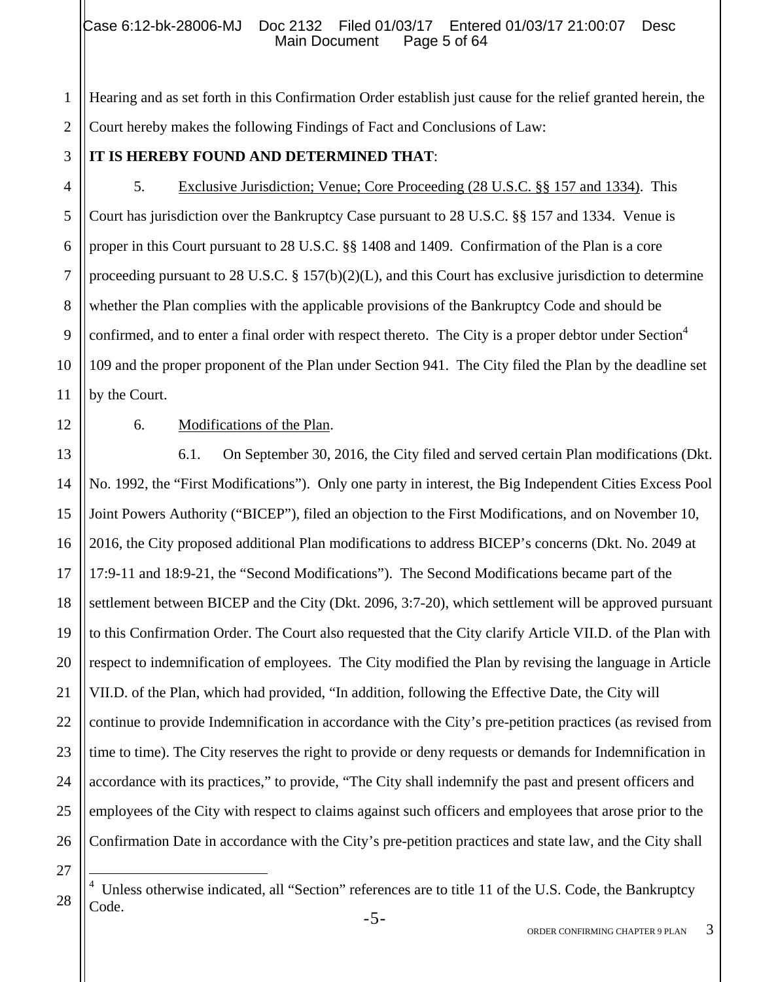## Case 6:12-bk-28006-MJ Doc 2132 Filed 01/03/17 Entered 01/03/17 21:00:07 Desc<br>Main Document Page 5 of 64 Main Document

1 2 Hearing and as set forth in this Confirmation Order establish just cause for the relief granted herein, the Court hereby makes the following Findings of Fact and Conclusions of Law:

3 4

5

6

7

8

9

# **IT IS HEREBY FOUND AND DETERMINED THAT**:

5. Exclusive Jurisdiction; Venue; Core Proceeding (28 U.S.C. §§ 157 and 1334). This Court has jurisdiction over the Bankruptcy Case pursuant to 28 U.S.C. §§ 157 and 1334. Venue is proper in this Court pursuant to 28 U.S.C. §§ 1408 and 1409. Confirmation of the Plan is a core proceeding pursuant to 28 U.S.C. § 157(b)(2)(L), and this Court has exclusive jurisdiction to determine whether the Plan complies with the applicable provisions of the Bankruptcy Code and should be confirmed, and to enter a final order with respect thereto. The City is a proper debtor under Section<sup>4</sup> 109 and the proper proponent of the Plan under Section 941. The City filed the Plan by the deadline set by the Court.

# 6. Modifications of the Plan.

22 23 24 25 26 6.1. On September 30, 2016, the City filed and served certain Plan modifications (Dkt. No. 1992, the "First Modifications"). Only one party in interest, the Big Independent Cities Excess Pool Joint Powers Authority ("BICEP"), filed an objection to the First Modifications, and on November 10, 2016, the City proposed additional Plan modifications to address BICEP's concerns (Dkt. No. 2049 at 17:9-11 and 18:9-21, the "Second Modifications"). The Second Modifications became part of the settlement between BICEP and the City (Dkt. 2096, 3:7-20), which settlement will be approved pursuant to this Confirmation Order. The Court also requested that the City clarify Article VII.D. of the Plan with respect to indemnification of employees. The City modified the Plan by revising the language in Article VII.D. of the Plan, which had provided, "In addition, following the Effective Date, the City will continue to provide Indemnification in accordance with the City's pre-petition practices (as revised from time to time). The City reserves the right to provide or deny requests or demands for Indemnification in accordance with its practices," to provide, "The City shall indemnify the past and present officers and employees of the City with respect to claims against such officers and employees that arose prior to the Confirmation Date in accordance with the City's pre-petition practices and state law, and the City shall

27

1

<sup>4</sup> Unless otherwise indicated, all "Section" references are to title 11 of the U.S. Code, the Bankruptcy Code.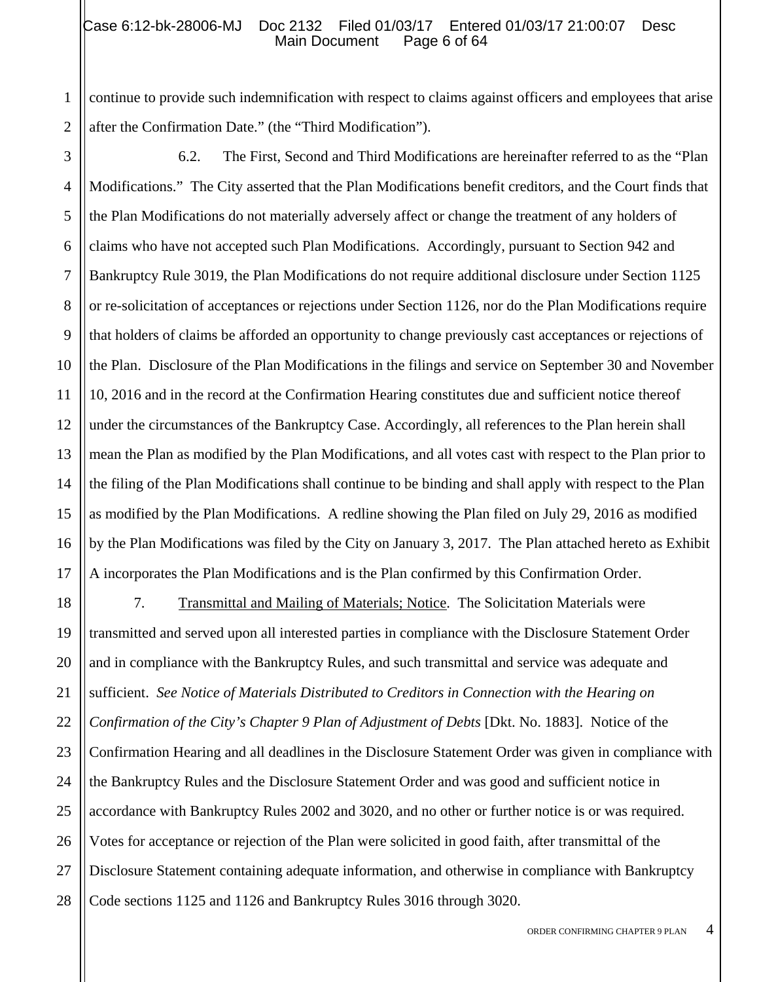#### Case 6:12-bk-28006-MJ Doc 2132 Filed 01/03/17 Entered 01/03/17 21:00:07 Desc<br>Main Document Page 6 of 64 Main Document

1 2 continue to provide such indemnification with respect to claims against officers and employees that arise after the Confirmation Date." (the "Third Modification").

3 4 5 6 7 8 9 10 11 12 13 14 15 16 17 6.2. The First, Second and Third Modifications are hereinafter referred to as the "Plan Modifications." The City asserted that the Plan Modifications benefit creditors, and the Court finds that the Plan Modifications do not materially adversely affect or change the treatment of any holders of claims who have not accepted such Plan Modifications. Accordingly, pursuant to Section 942 and Bankruptcy Rule 3019, the Plan Modifications do not require additional disclosure under Section 1125 or re-solicitation of acceptances or rejections under Section 1126, nor do the Plan Modifications require that holders of claims be afforded an opportunity to change previously cast acceptances or rejections of the Plan. Disclosure of the Plan Modifications in the filings and service on September 30 and November 10, 2016 and in the record at the Confirmation Hearing constitutes due and sufficient notice thereof under the circumstances of the Bankruptcy Case. Accordingly, all references to the Plan herein shall mean the Plan as modified by the Plan Modifications, and all votes cast with respect to the Plan prior to the filing of the Plan Modifications shall continue to be binding and shall apply with respect to the Plan as modified by the Plan Modifications. A redline showing the Plan filed on July 29, 2016 as modified by the Plan Modifications was filed by the City on January 3, 2017. The Plan attached hereto as Exhibit A incorporates the Plan Modifications and is the Plan confirmed by this Confirmation Order.

18 19 20 21 22 23 24 25 26 27 28 7. Transmittal and Mailing of Materials; Notice. The Solicitation Materials were transmitted and served upon all interested parties in compliance with the Disclosure Statement Order and in compliance with the Bankruptcy Rules, and such transmittal and service was adequate and sufficient. *See Notice of Materials Distributed to Creditors in Connection with the Hearing on Confirmation of the City's Chapter 9 Plan of Adjustment of Debts* [Dkt. No. 1883]. Notice of the Confirmation Hearing and all deadlines in the Disclosure Statement Order was given in compliance with the Bankruptcy Rules and the Disclosure Statement Order and was good and sufficient notice in accordance with Bankruptcy Rules 2002 and 3020, and no other or further notice is or was required. Votes for acceptance or rejection of the Plan were solicited in good faith, after transmittal of the Disclosure Statement containing adequate information, and otherwise in compliance with Bankruptcy Code sections 1125 and 1126 and Bankruptcy Rules 3016 through 3020.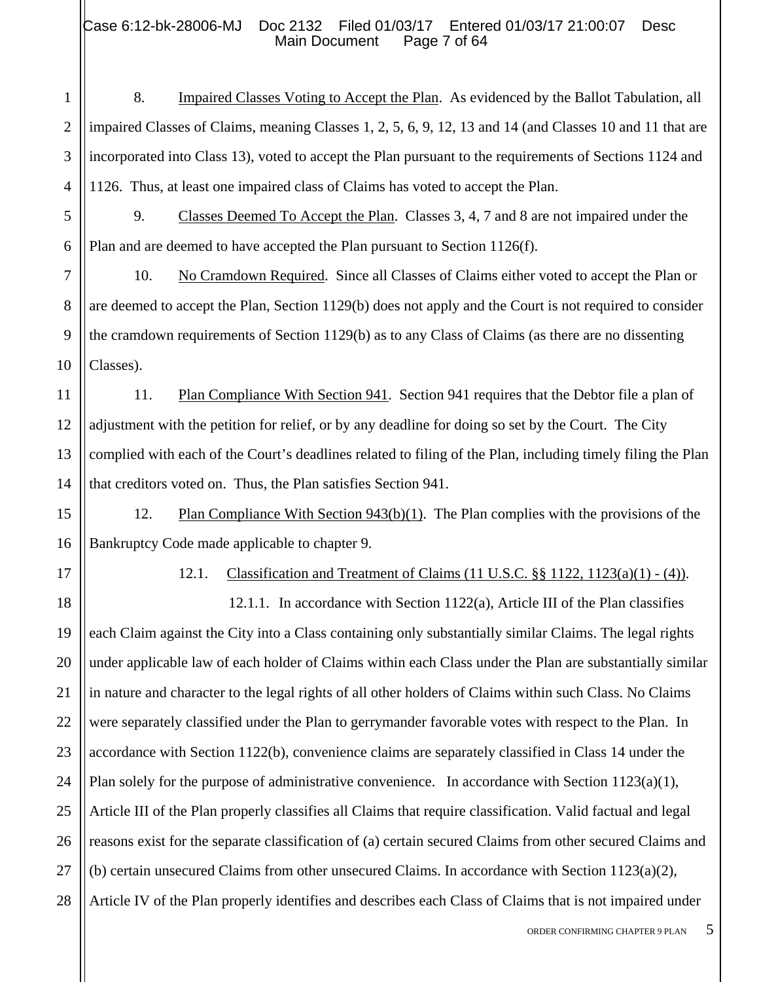# Case 6:12-bk-28006-MJ Doc 2132 Filed 01/03/17 Entered 01/03/17 21:00:07 Desc<br>Main Document Page 7 of 64 Main Document

1 2 3 4 8. Impaired Classes Voting to Accept the Plan. As evidenced by the Ballot Tabulation, all impaired Classes of Claims, meaning Classes 1, 2, 5, 6, 9, 12, 13 and 14 (and Classes 10 and 11 that are incorporated into Class 13), voted to accept the Plan pursuant to the requirements of Sections 1124 and 1126. Thus, at least one impaired class of Claims has voted to accept the Plan.

9. Classes Deemed To Accept the Plan. Classes 3, 4, 7 and 8 are not impaired under the Plan and are deemed to have accepted the Plan pursuant to Section 1126(f).

10 10. No Cramdown Required. Since all Classes of Claims either voted to accept the Plan or are deemed to accept the Plan, Section 1129(b) does not apply and the Court is not required to consider the cramdown requirements of Section 1129(b) as to any Class of Claims (as there are no dissenting Classes).

11. Plan Compliance With Section 941. Section 941 requires that the Debtor file a plan of adjustment with the petition for relief, or by any deadline for doing so set by the Court. The City complied with each of the Court's deadlines related to filing of the Plan, including timely filing the Plan that creditors voted on. Thus, the Plan satisfies Section 941.

15 16 12. Plan Compliance With Section 943(b)(1). The Plan complies with the provisions of the Bankruptcy Code made applicable to chapter 9.

17

5

6

7

8

9

11

12

13

14

12.1. Classification and Treatment of Claims (11 U.S.C. §§ 1122, 1123(a)(1) - (4)).

18 19 20 21 22 23 24 25 26 27 28 12.1.1. In accordance with Section 1122(a), Article III of the Plan classifies each Claim against the City into a Class containing only substantially similar Claims. The legal rights under applicable law of each holder of Claims within each Class under the Plan are substantially similar in nature and character to the legal rights of all other holders of Claims within such Class. No Claims were separately classified under the Plan to gerrymander favorable votes with respect to the Plan. In accordance with Section 1122(b), convenience claims are separately classified in Class 14 under the Plan solely for the purpose of administrative convenience. In accordance with Section  $1123(a)(1)$ , Article III of the Plan properly classifies all Claims that require classification. Valid factual and legal reasons exist for the separate classification of (a) certain secured Claims from other secured Claims and (b) certain unsecured Claims from other unsecured Claims. In accordance with Section 1123(a)(2), Article IV of the Plan properly identifies and describes each Class of Claims that is not impaired under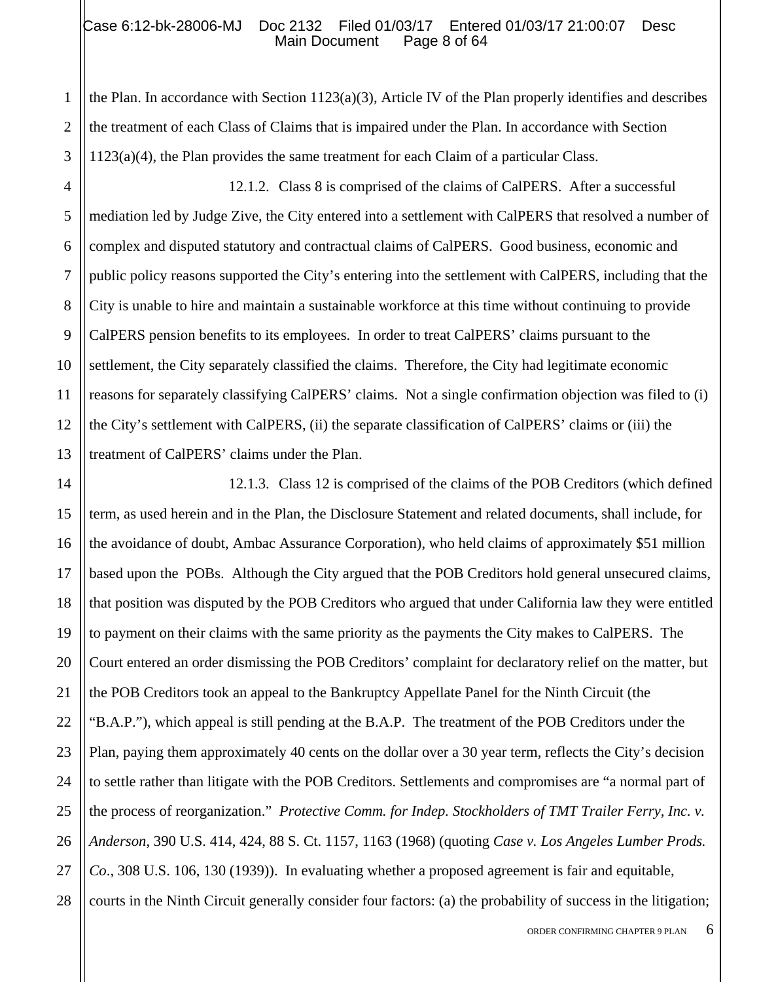the Plan. In accordance with Section  $1123(a)(3)$ , Article IV of the Plan properly identifies and describes the treatment of each Class of Claims that is impaired under the Plan. In accordance with Section 1123(a)(4), the Plan provides the same treatment for each Claim of a particular Class.

12.1.2. Class 8 is comprised of the claims of CalPERS. After a successful mediation led by Judge Zive, the City entered into a settlement with CalPERS that resolved a number of complex and disputed statutory and contractual claims of CalPERS. Good business, economic and public policy reasons supported the City's entering into the settlement with CalPERS, including that the City is unable to hire and maintain a sustainable workforce at this time without continuing to provide CalPERS pension benefits to its employees. In order to treat CalPERS' claims pursuant to the settlement, the City separately classified the claims. Therefore, the City had legitimate economic reasons for separately classifying CalPERS' claims. Not a single confirmation objection was filed to (i) the City's settlement with CalPERS, (ii) the separate classification of CalPERS' claims or (iii) the treatment of CalPERS' claims under the Plan.

12.1.3. Class 12 is comprised of the claims of the POB Creditors (which defined term, as used herein and in the Plan, the Disclosure Statement and related documents, shall include, for the avoidance of doubt, Ambac Assurance Corporation), who held claims of approximately \$51 million based upon the POBs. Although the City argued that the POB Creditors hold general unsecured claims, that position was disputed by the POB Creditors who argued that under California law they were entitled to payment on their claims with the same priority as the payments the City makes to CalPERS. The Court entered an order dismissing the POB Creditors' complaint for declaratory relief on the matter, but the POB Creditors took an appeal to the Bankruptcy Appellate Panel for the Ninth Circuit (the "B.A.P."), which appeal is still pending at the B.A.P. The treatment of the POB Creditors under the Plan, paying them approximately 40 cents on the dollar over a 30 year term, reflects the City's decision to settle rather than litigate with the POB Creditors. Settlements and compromises are "a normal part of the process of reorganization." *Protective Comm. for Indep. Stockholders of TMT Trailer Ferry, Inc. v. Anderson*, 390 U.S. 414, 424, 88 S. Ct. 1157, 1163 (1968) (quoting *Case v. Los Angeles Lumber Prods. Co*., 308 U.S. 106, 130 (1939)). In evaluating whether a proposed agreement is fair and equitable, courts in the Ninth Circuit generally consider four factors: (a) the probability of success in the litigation;

1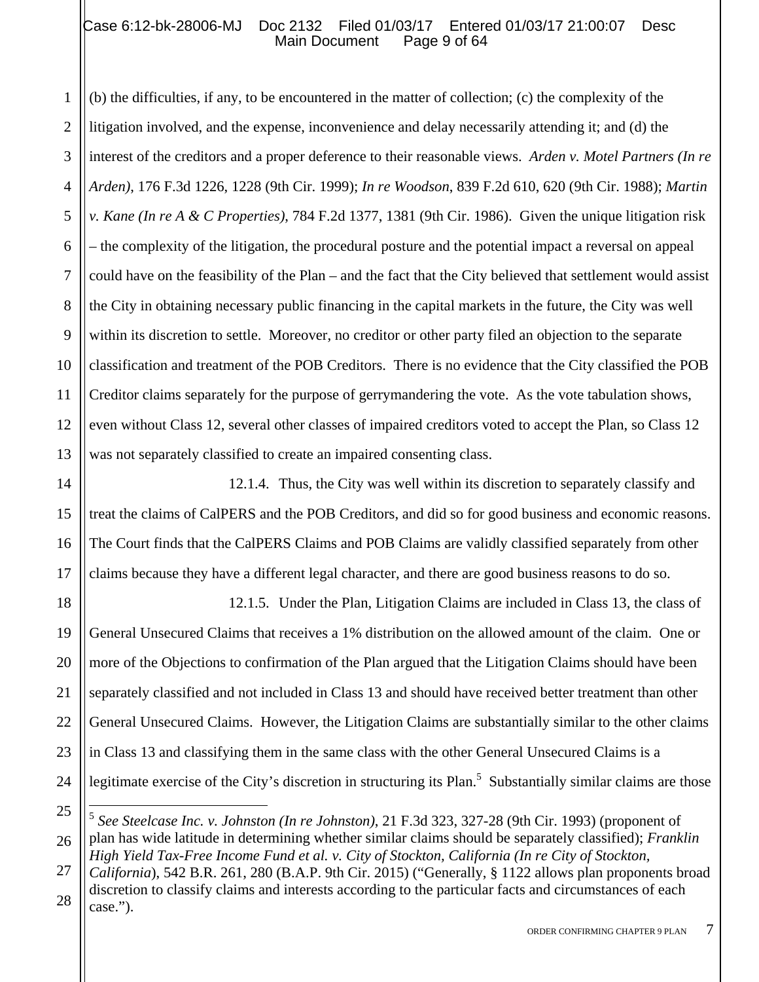1 2 3 4 5 6 7 8 9 10 11 12 13 (b) the difficulties, if any, to be encountered in the matter of collection; (c) the complexity of the litigation involved, and the expense, inconvenience and delay necessarily attending it; and (d) the interest of the creditors and a proper deference to their reasonable views. *Arden v. Motel Partners (In re Arden)*, 176 F.3d 1226, 1228 (9th Cir. 1999); *In re Woodson*, 839 F.2d 610, 620 (9th Cir. 1988); *Martin v. Kane (In re A & C Properties)*, 784 F.2d 1377, 1381 (9th Cir. 1986). Given the unique litigation risk – the complexity of the litigation, the procedural posture and the potential impact a reversal on appeal could have on the feasibility of the Plan – and the fact that the City believed that settlement would assist the City in obtaining necessary public financing in the capital markets in the future, the City was well within its discretion to settle. Moreover, no creditor or other party filed an objection to the separate classification and treatment of the POB Creditors. There is no evidence that the City classified the POB Creditor claims separately for the purpose of gerrymandering the vote. As the vote tabulation shows, even without Class 12, several other classes of impaired creditors voted to accept the Plan, so Class 12 was not separately classified to create an impaired consenting class.

14 15 16 17 12.1.4. Thus, the City was well within its discretion to separately classify and treat the claims of CalPERS and the POB Creditors, and did so for good business and economic reasons. The Court finds that the CalPERS Claims and POB Claims are validly classified separately from other claims because they have a different legal character, and there are good business reasons to do so.

18 19 20 21 22 23 24 12.1.5. Under the Plan, Litigation Claims are included in Class 13, the class of General Unsecured Claims that receives a 1% distribution on the allowed amount of the claim. One or more of the Objections to confirmation of the Plan argued that the Litigation Claims should have been separately classified and not included in Class 13 and should have received better treatment than other General Unsecured Claims. However, the Litigation Claims are substantially similar to the other claims in Class 13 and classifying them in the same class with the other General Unsecured Claims is a legitimate exercise of the City's discretion in structuring its Plan.<sup>5</sup> Substantially similar claims are those

<sup>25</sup> 26  $\overline{a}$ <sup>5</sup> *See Steelcase Inc. v. Johnston (In re Johnston)*, 21 F.3d 323, 327-28 (9th Cir. 1993) (proponent of plan has wide latitude in determining whether similar claims should be separately classified); *Franklin* 

<sup>27</sup> *High Yield Tax-Free Income Fund et al. v. City of Stockton, California (In re City of Stockton, California*), 542 B.R. 261, 280 (B.A.P. 9th Cir. 2015) ("Generally, § 1122 allows plan proponents broad

<sup>28</sup> discretion to classify claims and interests according to the particular facts and circumstances of each case.").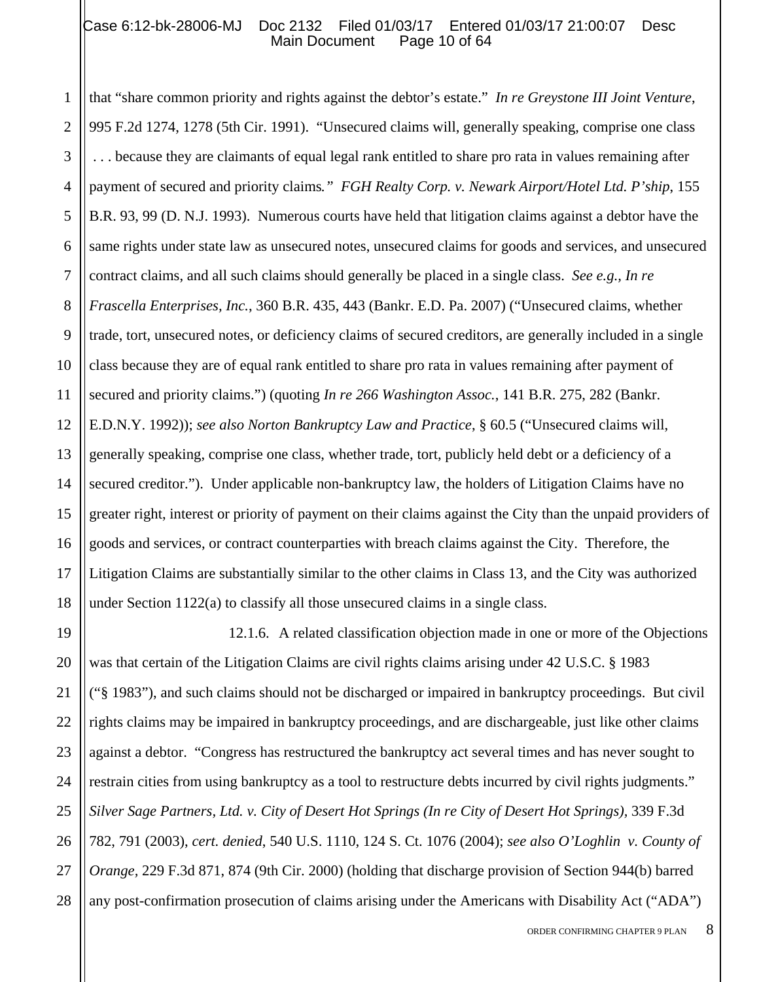#### Case 6:12-bk-28006-MJ Doc 2132 Filed 01/03/17 Entered 01/03/17 21:00:07 Desc<br>Main Document Page 10 of 64 Main Document

1 2 3 4 5 6 7 8 9 10 11 12 13 14 15 16 17 18 that "share common priority and rights against the debtor's estate." *In re Greystone III Joint Venture*, 995 F.2d 1274, 1278 (5th Cir. 1991). "Unsecured claims will, generally speaking, comprise one class . . . because they are claimants of equal legal rank entitled to share pro rata in values remaining after payment of secured and priority claims*." FGH Realty Corp. v. Newark Airport/Hotel Ltd. P'ship*, 155 B.R. 93, 99 (D. N.J. 1993). Numerous courts have held that litigation claims against a debtor have the same rights under state law as unsecured notes, unsecured claims for goods and services, and unsecured contract claims, and all such claims should generally be placed in a single class. *See e.g., In re Frascella Enterprises, Inc.*, 360 B.R. 435, 443 (Bankr. E.D. Pa. 2007) ("Unsecured claims, whether trade, tort, unsecured notes, or deficiency claims of secured creditors, are generally included in a single class because they are of equal rank entitled to share pro rata in values remaining after payment of secured and priority claims.") (quoting *In re 266 Washington Assoc.*, 141 B.R. 275, 282 (Bankr. E.D.N.Y. 1992)); *see also Norton Bankruptcy Law and Practice*, § 60.5 ("Unsecured claims will, generally speaking, comprise one class, whether trade, tort, publicly held debt or a deficiency of a secured creditor."). Under applicable non-bankruptcy law, the holders of Litigation Claims have no greater right, interest or priority of payment on their claims against the City than the unpaid providers of goods and services, or contract counterparties with breach claims against the City. Therefore, the Litigation Claims are substantially similar to the other claims in Class 13, and the City was authorized under Section 1122(a) to classify all those unsecured claims in a single class.

19 20 21 22 23 24 25 26 27 28 12.1.6. A related classification objection made in one or more of the Objections was that certain of the Litigation Claims are civil rights claims arising under 42 U.S.C. § 1983 ("§ 1983"), and such claims should not be discharged or impaired in bankruptcy proceedings. But civil rights claims may be impaired in bankruptcy proceedings, and are dischargeable, just like other claims against a debtor. "Congress has restructured the bankruptcy act several times and has never sought to restrain cities from using bankruptcy as a tool to restructure debts incurred by civil rights judgments." *Silver Sage Partners, Ltd. v. City of Desert Hot Springs (In re City of Desert Hot Springs),* 339 F.3d 782, 791 (2003), *cert. denied*, 540 U.S. 1110, 124 S. Ct. 1076 (2004); *see also O'Loghlin v. County of Orange,* 229 F.3d 871, 874 (9th Cir. 2000) (holding that discharge provision of Section 944(b) barred any post-confirmation prosecution of claims arising under the Americans with Disability Act ("ADA")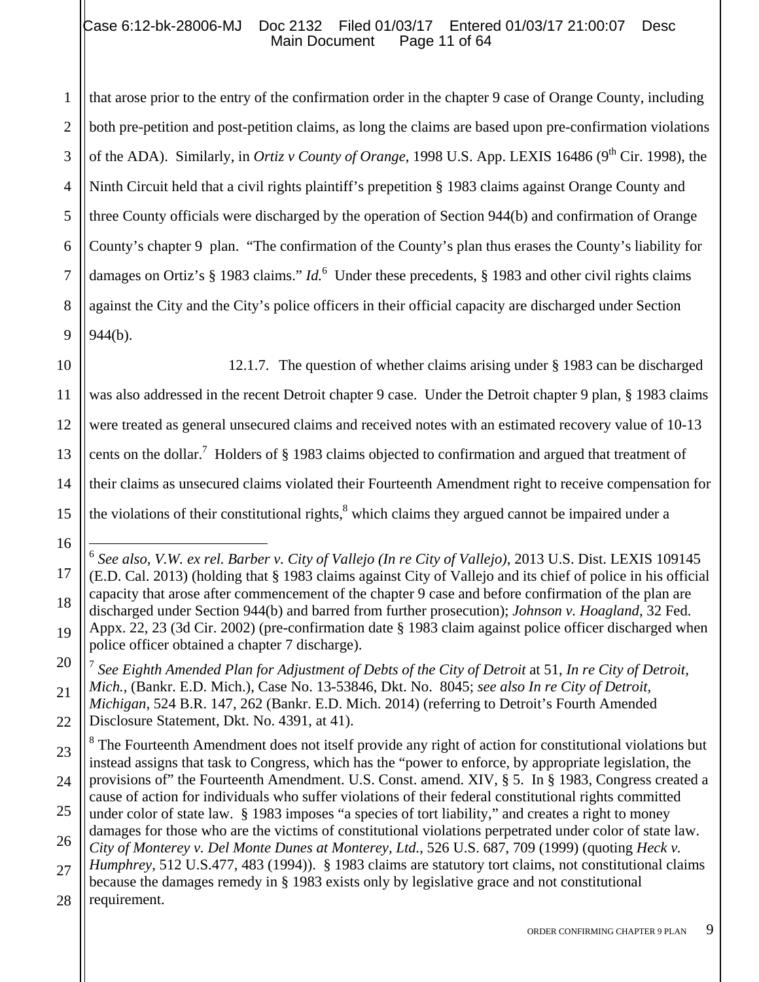1 2 3 4 5 6 7 8 9 that arose prior to the entry of the confirmation order in the chapter 9 case of Orange County, including both pre-petition and post-petition claims, as long the claims are based upon pre-confirmation violations of the ADA). Similarly, in *Ortiz v County of Orange*, 1998 U.S. App. LEXIS 16486 (9<sup>th</sup> Cir. 1998), the Ninth Circuit held that a civil rights plaintiff's prepetition § 1983 claims against Orange County and three County officials were discharged by the operation of Section 944(b) and confirmation of Orange County's chapter 9 plan. "The confirmation of the County's plan thus erases the County's liability for damages on Ortiz's § 1983 claims." *Id*.<sup>6</sup> Under these precedents, § 1983 and other civil rights claims against the City and the City's police officers in their official capacity are discharged under Section 944(b).

10 11

12.1.7. The question of whether claims arising under § 1983 can be discharged

was also addressed in the recent Detroit chapter 9 case. Under the Detroit chapter 9 plan, § 1983 claims

12 were treated as general unsecured claims and received notes with an estimated recovery value of 10-13

13 cents on the dollar.<sup>7</sup> Holders of § 1983 claims objected to confirmation and argued that treatment of

14 their claims as unsecured claims violated their Fourteenth Amendment right to receive compensation for

the violations of their constitutional rights, $<sup>8</sup>$  which claims they argued cannot be impaired under a</sup>

16

17

18

19

15

20 21 22 <sup>7</sup> *See Eighth Amended Plan for Adjustment of Debts of the City of Detroit* at 51, *In re City of Detroit, Mich.,* (Bankr. E.D. Mich.), Case No. 13-53846, Dkt. No. 8045; *see also In re City of Detroit, Michigan,* 524 B.R. 147, 262 (Bankr. E.D. Mich. 2014) (referring to Detroit's Fourth Amended Disclosure Statement, Dkt. No. 4391, at 41).

23 24 25 26 27 <sup>8</sup> The Fourteenth Amendment does not itself provide any right of action for constitutional violations but instead assigns that task to Congress, which has the "power to enforce, by appropriate legislation, the provisions of" the Fourteenth Amendment. U.S. Const. amend. XIV, § 5. In § 1983, Congress created a cause of action for individuals who suffer violations of their federal constitutional rights committed under color of state law. § 1983 imposes "a species of tort liability," and creates a right to money damages for those who are the victims of constitutional violations perpetrated under color of state law. *City of Monterey v. Del Monte Dunes at Monterey, Ltd.*, 526 U.S. 687, 709 (1999) (quoting *Heck v. Humphrey*, 512 U.S.477, 483 (1994)). § 1983 claims are statutory tort claims, not constitutional claims because the damages remedy in § 1983 exists only by legislative grace and not constitutional

28 requirement.

 $\overline{a}$ <sup>6</sup> *See also, V.W. ex rel. Barber v. City of Vallejo (In re City of Vallejo)*, 2013 U.S. Dist. LEXIS 109145 (E.D. Cal. 2013) (holding that § 1983 claims against City of Vallejo and its chief of police in his official capacity that arose after commencement of the chapter 9 case and before confirmation of the plan are discharged under Section 944(b) and barred from further prosecution); *Johnson v. Hoagland*, 32 Fed. Appx. 22, 23 (3d Cir. 2002) (pre-confirmation date § 1983 claim against police officer discharged when police officer obtained a chapter 7 discharge).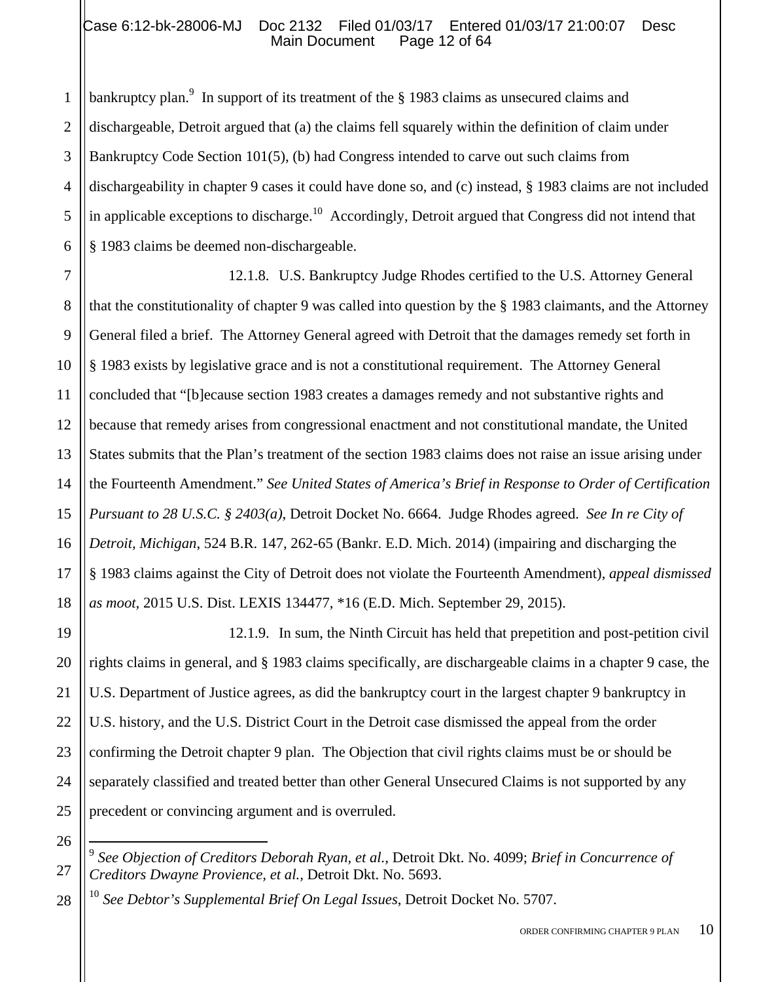# Case 6:12-bk-28006-MJ Doc 2132 Filed 01/03/17 Entered 01/03/17 21:00:07 Desc<br>Main Document Page 12 of 64 Main Document

1

26

 $\overline{a}$ 

28

2 3 4 5 6 bankruptcy plan.<sup>9</sup> In support of its treatment of the  $\S$  1983 claims as unsecured claims and dischargeable, Detroit argued that (a) the claims fell squarely within the definition of claim under Bankruptcy Code Section 101(5), (b) had Congress intended to carve out such claims from dischargeability in chapter 9 cases it could have done so, and (c) instead, § 1983 claims are not included in applicable exceptions to discharge.<sup>10</sup> Accordingly, Detroit argued that Congress did not intend that § 1983 claims be deemed non-dischargeable.

7 8 9 10 11 12 13 14 15 16 17 18 12.1.8. U.S. Bankruptcy Judge Rhodes certified to the U.S. Attorney General that the constitutionality of chapter 9 was called into question by the § 1983 claimants, and the Attorney General filed a brief. The Attorney General agreed with Detroit that the damages remedy set forth in § 1983 exists by legislative grace and is not a constitutional requirement. The Attorney General concluded that "[b]ecause section 1983 creates a damages remedy and not substantive rights and because that remedy arises from congressional enactment and not constitutional mandate, the United States submits that the Plan's treatment of the section 1983 claims does not raise an issue arising under the Fourteenth Amendment." *See United States of America's Brief in Response to Order of Certification Pursuant to 28 U.S.C. § 2403(a)*, Detroit Docket No. 6664. Judge Rhodes agreed. *See In re City of Detroit, Michigan*, 524 B.R. 147, 262-65 (Bankr. E.D. Mich. 2014) (impairing and discharging the § 1983 claims against the City of Detroit does not violate the Fourteenth Amendment), *appeal dismissed as moot*, 2015 U.S. Dist. LEXIS 134477, \*16 (E.D. Mich. September 29, 2015).

19 20 21 22 23 24 25 12.1.9. In sum, the Ninth Circuit has held that prepetition and post-petition civil rights claims in general, and § 1983 claims specifically, are dischargeable claims in a chapter 9 case, the U.S. Department of Justice agrees, as did the bankruptcy court in the largest chapter 9 bankruptcy in U.S. history, and the U.S. District Court in the Detroit case dismissed the appeal from the order confirming the Detroit chapter 9 plan. The Objection that civil rights claims must be or should be separately classified and treated better than other General Unsecured Claims is not supported by any precedent or convincing argument and is overruled.

<sup>10</sup> *See Debtor's Supplemental Brief On Legal Issues*, Detroit Docket No. 5707.

<sup>27</sup> <sup>9</sup> *See Objection of Creditors Deborah Ryan, et al.,* Detroit Dkt. No. 4099; *Brief in Concurrence of Creditors Dwayne Provience, et al.,* Detroit Dkt. No. 5693.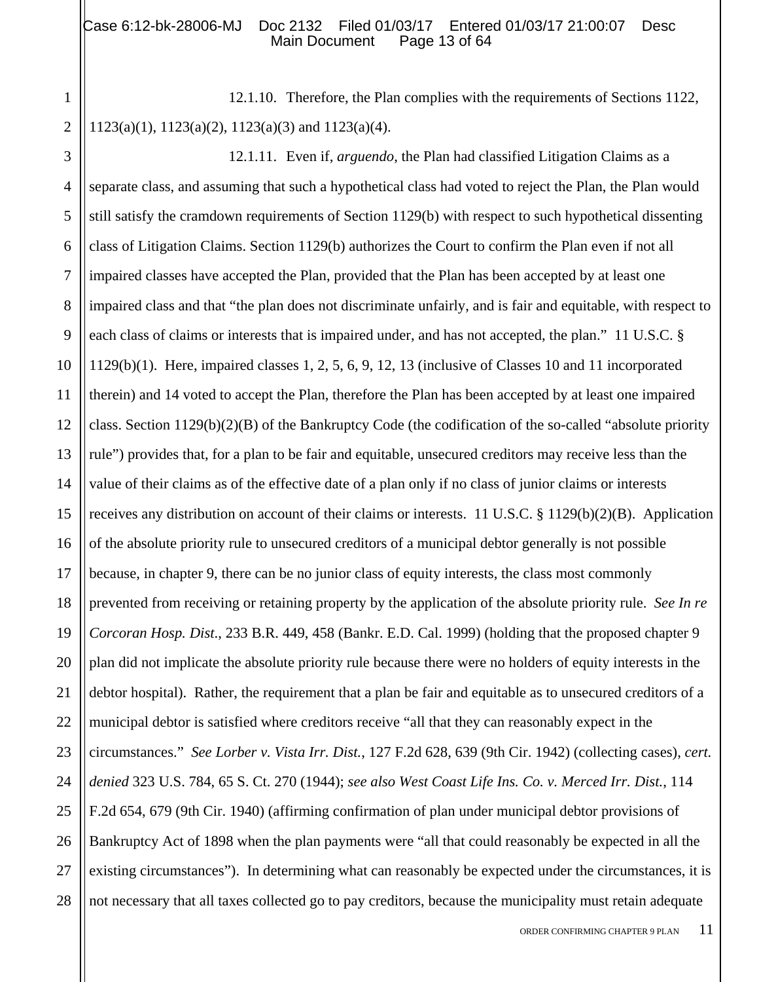#### Case 6:12-bk-28006-MJ Doc 2132 Filed 01/03/17 Entered 01/03/17 21:00:07 Desc<br>Main Document Page 13 of 64 Main Document

1 2 12.1.10. Therefore, the Plan complies with the requirements of Sections 1122, 1123(a)(1), 1123(a)(2), 1123(a)(3) and 1123(a)(4).

3 4 5 6 7 8 9 10 11 12 13 14 15 16 17 18 19 20 21 22 23 24 25 26 27 28 12.1.11. Even if, *arguendo*, the Plan had classified Litigation Claims as a separate class, and assuming that such a hypothetical class had voted to reject the Plan, the Plan would still satisfy the cramdown requirements of Section 1129(b) with respect to such hypothetical dissenting class of Litigation Claims. Section 1129(b) authorizes the Court to confirm the Plan even if not all impaired classes have accepted the Plan, provided that the Plan has been accepted by at least one impaired class and that "the plan does not discriminate unfairly, and is fair and equitable, with respect to each class of claims or interests that is impaired under, and has not accepted, the plan." 11 U.S.C. § 1129(b)(1). Here, impaired classes 1, 2, 5, 6, 9, 12, 13 (inclusive of Classes 10 and 11 incorporated therein) and 14 voted to accept the Plan, therefore the Plan has been accepted by at least one impaired class. Section 1129(b)(2)(B) of the Bankruptcy Code (the codification of the so-called "absolute priority rule") provides that, for a plan to be fair and equitable, unsecured creditors may receive less than the value of their claims as of the effective date of a plan only if no class of junior claims or interests receives any distribution on account of their claims or interests. 11 U.S.C. § 1129(b)(2)(B). Application of the absolute priority rule to unsecured creditors of a municipal debtor generally is not possible because, in chapter 9, there can be no junior class of equity interests, the class most commonly prevented from receiving or retaining property by the application of the absolute priority rule. *See In re Corcoran Hosp. Dist*., 233 B.R. 449, 458 (Bankr. E.D. Cal. 1999) (holding that the proposed chapter 9 plan did not implicate the absolute priority rule because there were no holders of equity interests in the debtor hospital). Rather, the requirement that a plan be fair and equitable as to unsecured creditors of a municipal debtor is satisfied where creditors receive "all that they can reasonably expect in the circumstances." *See Lorber v. Vista Irr. Dist.*, 127 F.2d 628, 639 (9th Cir. 1942) (collecting cases), *cert. denied* 323 U.S. 784, 65 S. Ct. 270 (1944); *see also West Coast Life Ins. Co. v. Merced Irr. Dist.*, 114 F.2d 654, 679 (9th Cir. 1940) (affirming confirmation of plan under municipal debtor provisions of Bankruptcy Act of 1898 when the plan payments were "all that could reasonably be expected in all the existing circumstances"). In determining what can reasonably be expected under the circumstances, it is not necessary that all taxes collected go to pay creditors, because the municipality must retain adequate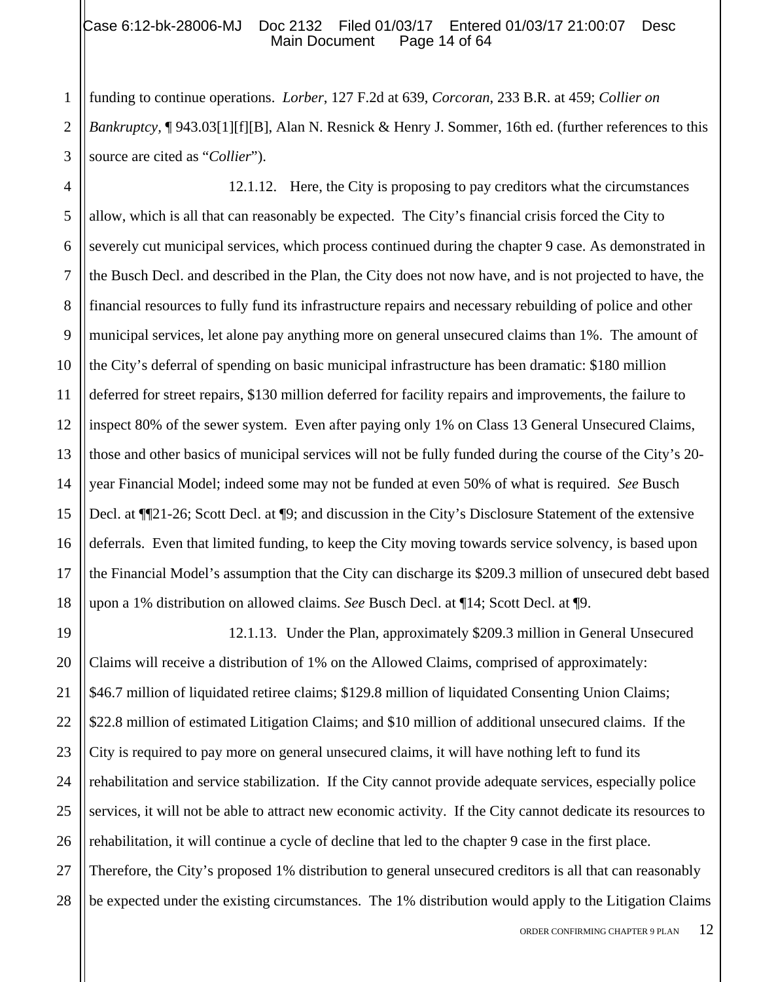### Case 6:12-bk-28006-MJ Doc 2132 Filed 01/03/17 Entered 01/03/17 21:00:07 Desc<br>Main Document Page 14 of 64 Main Document

funding to continue operations. *Lorber*, 127 F.2d at 639, *Corcoran*, 233 B.R. at 459; *Collier on Bankruptcy,* ¶ 943.03[1][f][B], Alan N. Resnick & Henry J. Sommer, 16th ed. (further references to this source are cited as "*Collier*").

5 6 7 8 9 10 11 12 13 14 15 16 17 18 12.1.12. Here, the City is proposing to pay creditors what the circumstances allow, which is all that can reasonably be expected. The City's financial crisis forced the City to severely cut municipal services, which process continued during the chapter 9 case. As demonstrated in the Busch Decl. and described in the Plan, the City does not now have, and is not projected to have, the financial resources to fully fund its infrastructure repairs and necessary rebuilding of police and other municipal services, let alone pay anything more on general unsecured claims than 1%. The amount of the City's deferral of spending on basic municipal infrastructure has been dramatic: \$180 million deferred for street repairs, \$130 million deferred for facility repairs and improvements, the failure to inspect 80% of the sewer system. Even after paying only 1% on Class 13 General Unsecured Claims, those and other basics of municipal services will not be fully funded during the course of the City's 20 year Financial Model; indeed some may not be funded at even 50% of what is required. *See* Busch Decl. at ¶¶21-26; Scott Decl. at ¶9; and discussion in the City's Disclosure Statement of the extensive deferrals. Even that limited funding, to keep the City moving towards service solvency, is based upon the Financial Model's assumption that the City can discharge its \$209.3 million of unsecured debt based upon a 1% distribution on allowed claims. *See* Busch Decl. at ¶14; Scott Decl. at ¶9.

19 20 21 22 23 24 25 26 27 28 12.1.13. Under the Plan, approximately \$209.3 million in General Unsecured Claims will receive a distribution of 1% on the Allowed Claims, comprised of approximately: \$46.7 million of liquidated retiree claims; \$129.8 million of liquidated Consenting Union Claims; \$22.8 million of estimated Litigation Claims; and \$10 million of additional unsecured claims. If the City is required to pay more on general unsecured claims, it will have nothing left to fund its rehabilitation and service stabilization. If the City cannot provide adequate services, especially police services, it will not be able to attract new economic activity. If the City cannot dedicate its resources to rehabilitation, it will continue a cycle of decline that led to the chapter 9 case in the first place. Therefore, the City's proposed 1% distribution to general unsecured creditors is all that can reasonably be expected under the existing circumstances. The 1% distribution would apply to the Litigation Claims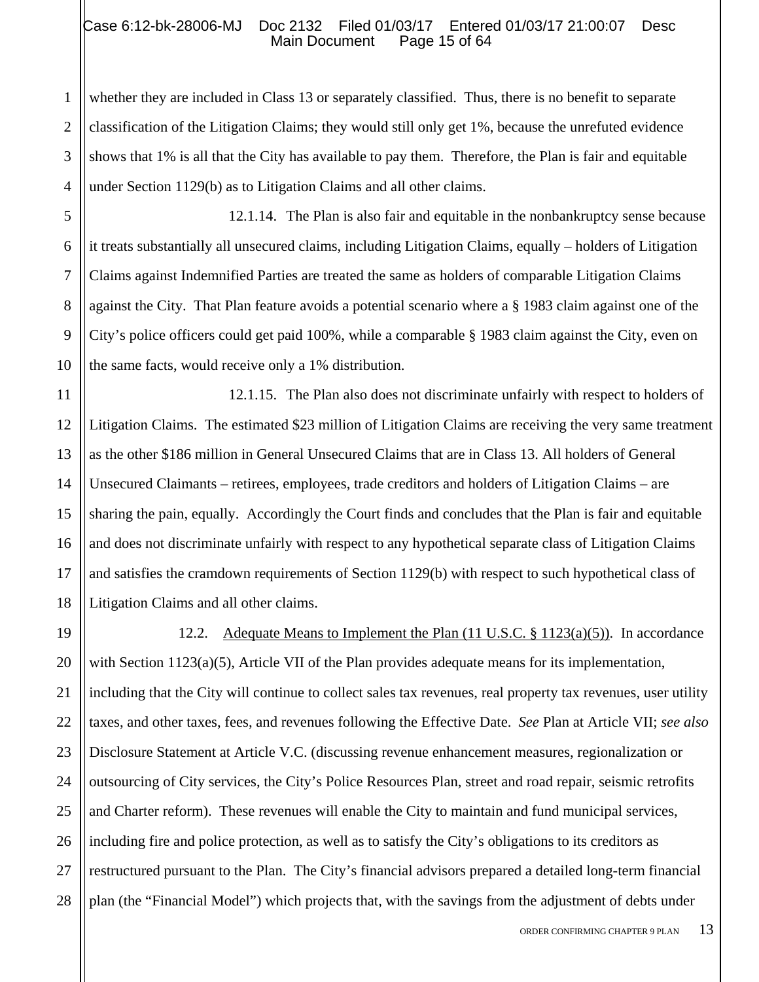### Case 6:12-bk-28006-MJ Doc 2132 Filed 01/03/17 Entered 01/03/17 21:00:07 Desc<br>Main Document Page 15 of 64 Main Document

2 3 4 whether they are included in Class 13 or separately classified. Thus, there is no benefit to separate classification of the Litigation Claims; they would still only get 1%, because the unrefuted evidence shows that 1% is all that the City has available to pay them. Therefore, the Plan is fair and equitable under Section 1129(b) as to Litigation Claims and all other claims.

1

5

6

7

8

9

10

12.1.14. The Plan is also fair and equitable in the nonbankruptcy sense because it treats substantially all unsecured claims, including Litigation Claims, equally – holders of Litigation Claims against Indemnified Parties are treated the same as holders of comparable Litigation Claims against the City. That Plan feature avoids a potential scenario where a § 1983 claim against one of the City's police officers could get paid 100%, while a comparable § 1983 claim against the City, even on the same facts, would receive only a 1% distribution.

11 12 13 14 15 16 17 18 12.1.15. The Plan also does not discriminate unfairly with respect to holders of Litigation Claims. The estimated \$23 million of Litigation Claims are receiving the very same treatment as the other \$186 million in General Unsecured Claims that are in Class 13. All holders of General Unsecured Claimants – retirees, employees, trade creditors and holders of Litigation Claims – are sharing the pain, equally. Accordingly the Court finds and concludes that the Plan is fair and equitable and does not discriminate unfairly with respect to any hypothetical separate class of Litigation Claims and satisfies the cramdown requirements of Section 1129(b) with respect to such hypothetical class of Litigation Claims and all other claims.

19 20 21 22 23 24 25 26 27 28 12.2. Adequate Means to Implement the Plan (11 U.S.C. § 1123(a)(5)). In accordance with Section 1123(a)(5), Article VII of the Plan provides adequate means for its implementation, including that the City will continue to collect sales tax revenues, real property tax revenues, user utility taxes, and other taxes, fees, and revenues following the Effective Date. *See* Plan at Article VII; *see also* Disclosure Statement at Article V.C. (discussing revenue enhancement measures, regionalization or outsourcing of City services, the City's Police Resources Plan, street and road repair, seismic retrofits and Charter reform). These revenues will enable the City to maintain and fund municipal services, including fire and police protection, as well as to satisfy the City's obligations to its creditors as restructured pursuant to the Plan. The City's financial advisors prepared a detailed long-term financial plan (the "Financial Model") which projects that, with the savings from the adjustment of debts under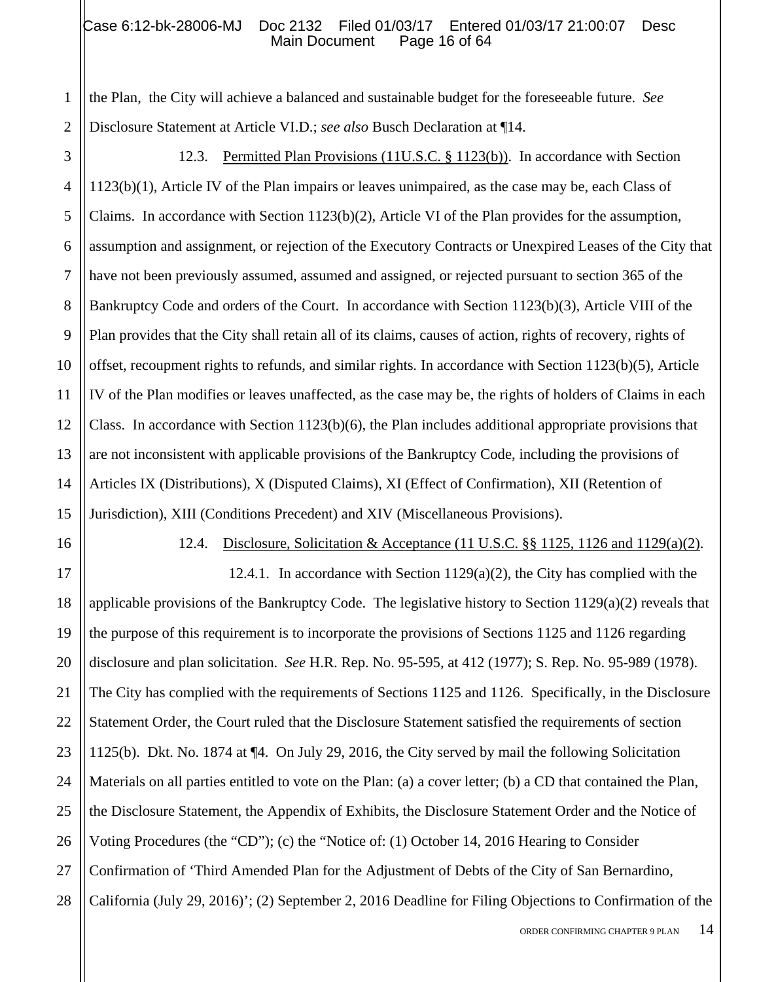#### Case 6:12-bk-28006-MJ Doc 2132 Filed 01/03/17 Entered 01/03/17 21:00:07 Desc<br>Main Document Page 16 of 64 Main Document

the Plan, the City will achieve a balanced and sustainable budget for the foreseeable future. *See* Disclosure Statement at Article VI.D.; *see also* Busch Declaration at ¶14.

3 4 5 6 7 8 9 10 11 12 13 14 15 12.3. Permitted Plan Provisions (11U.S.C. § 1123(b)). In accordance with Section 1123(b)(1), Article IV of the Plan impairs or leaves unimpaired, as the case may be, each Class of Claims. In accordance with Section 1123(b)(2), Article VI of the Plan provides for the assumption, assumption and assignment, or rejection of the Executory Contracts or Unexpired Leases of the City that have not been previously assumed, assumed and assigned, or rejected pursuant to section 365 of the Bankruptcy Code and orders of the Court. In accordance with Section 1123(b)(3), Article VIII of the Plan provides that the City shall retain all of its claims, causes of action, rights of recovery, rights of offset, recoupment rights to refunds, and similar rights*.* In accordance with Section 1123(b)(5), Article IV of the Plan modifies or leaves unaffected, as the case may be, the rights of holders of Claims in each Class. In accordance with Section  $1123(b)(6)$ , the Plan includes additional appropriate provisions that are not inconsistent with applicable provisions of the Bankruptcy Code, including the provisions of Articles IX (Distributions), X (Disputed Claims), XI (Effect of Confirmation), XII (Retention of Jurisdiction), XIII (Conditions Precedent) and XIV (Miscellaneous Provisions).

1

2

12.4. Disclosure, Solicitation & Acceptance (11 U.S.C. §§ 1125, 1126 and 1129(a)(2).

21 22 23 24 25 26 27 28 12.4.1. In accordance with Section  $1129(a)(2)$ , the City has complied with the applicable provisions of the Bankruptcy Code. The legislative history to Section 1129(a)(2) reveals that the purpose of this requirement is to incorporate the provisions of Sections 1125 and 1126 regarding disclosure and plan solicitation. *See* H.R. Rep. No. 95-595, at 412 (1977); S. Rep. No. 95-989 (1978). The City has complied with the requirements of Sections 1125 and 1126. Specifically, in the Disclosure Statement Order, the Court ruled that the Disclosure Statement satisfied the requirements of section 1125(b). Dkt. No. 1874 at ¶4. On July 29, 2016, the City served by mail the following Solicitation Materials on all parties entitled to vote on the Plan: (a) a cover letter; (b) a CD that contained the Plan, the Disclosure Statement, the Appendix of Exhibits, the Disclosure Statement Order and the Notice of Voting Procedures (the "CD"); (c) the "Notice of: (1) October 14, 2016 Hearing to Consider Confirmation of 'Third Amended Plan for the Adjustment of Debts of the City of San Bernardino, California (July 29, 2016)'; (2) September 2, 2016 Deadline for Filing Objections to Confirmation of the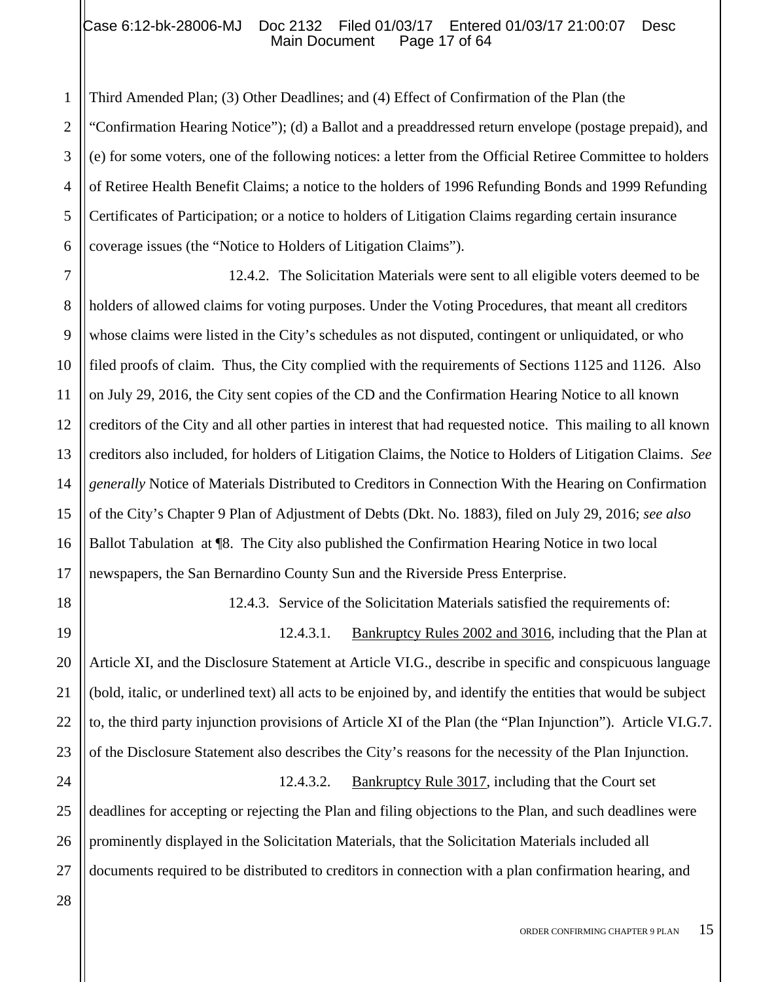### Case 6:12-bk-28006-MJ Doc 2132 Filed 01/03/17 Entered 01/03/17 21:00:07 Desc<br>Main Document Page 17 of 64 Main Document

2 3 4 6 Third Amended Plan; (3) Other Deadlines; and (4) Effect of Confirmation of the Plan (the "Confirmation Hearing Notice"); (d) a Ballot and a preaddressed return envelope (postage prepaid), and (e) for some voters, one of the following notices: a letter from the Official Retiree Committee to holders of Retiree Health Benefit Claims; a notice to the holders of 1996 Refunding Bonds and 1999 Refunding Certificates of Participation; or a notice to holders of Litigation Claims regarding certain insurance coverage issues (the "Notice to Holders of Litigation Claims").

7 8 9 10 11 12 13 14 15 16 17 12.4.2. The Solicitation Materials were sent to all eligible voters deemed to be holders of allowed claims for voting purposes. Under the Voting Procedures, that meant all creditors whose claims were listed in the City's schedules as not disputed, contingent or unliquidated, or who filed proofs of claim. Thus, the City complied with the requirements of Sections 1125 and 1126. Also on July 29, 2016, the City sent copies of the CD and the Confirmation Hearing Notice to all known creditors of the City and all other parties in interest that had requested notice. This mailing to all known creditors also included, for holders of Litigation Claims, the Notice to Holders of Litigation Claims. *See generally* Notice of Materials Distributed to Creditors in Connection With the Hearing on Confirmation of the City's Chapter 9 Plan of Adjustment of Debts (Dkt. No. 1883), filed on July 29, 2016; *see also* Ballot Tabulation at ¶8. The City also published the Confirmation Hearing Notice in two local newspapers, the San Bernardino County Sun and the Riverside Press Enterprise.

12.4.3. Service of the Solicitation Materials satisfied the requirements of:

19 20 21 22 23 12.4.3.1. Bankruptcy Rules 2002 and 3016, including that the Plan at Article XI, and the Disclosure Statement at Article VI.G., describe in specific and conspicuous language (bold, italic, or underlined text) all acts to be enjoined by, and identify the entities that would be subject to, the third party injunction provisions of Article XI of the Plan (the "Plan Injunction"). Article VI.G.7. of the Disclosure Statement also describes the City's reasons for the necessity of the Plan Injunction.

12.4.3.2. Bankruptcy Rule 3017, including that the Court set deadlines for accepting or rejecting the Plan and filing objections to the Plan, and such deadlines were prominently displayed in the Solicitation Materials, that the Solicitation Materials included all documents required to be distributed to creditors in connection with a plan confirmation hearing, and

24

25

26

27

18

1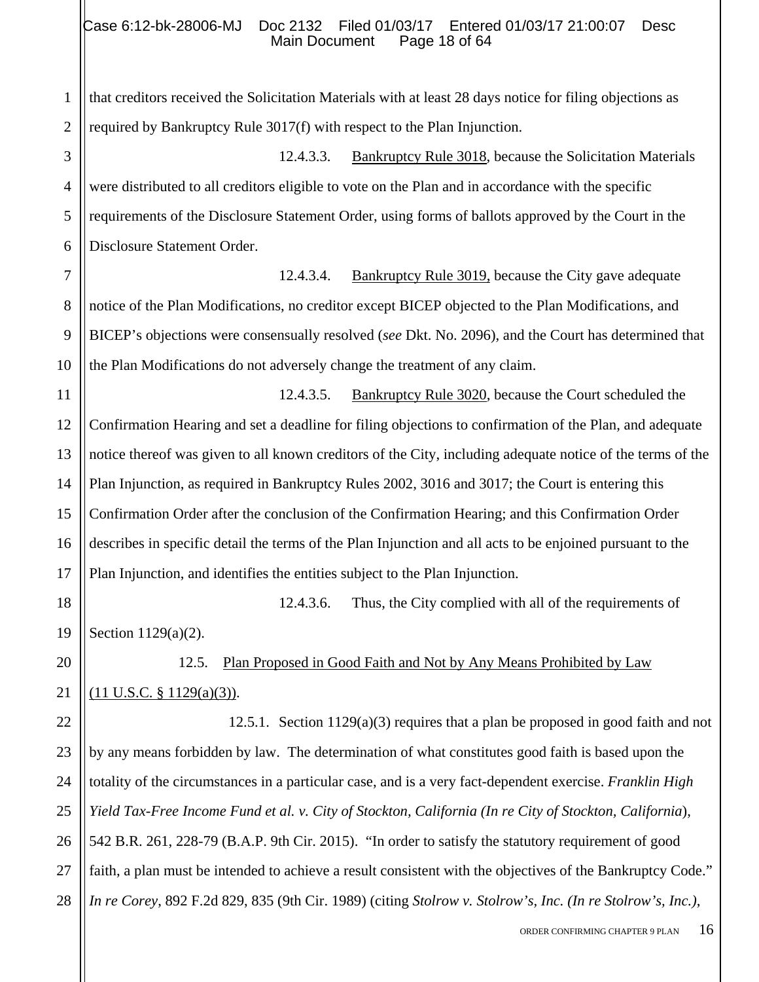1 2 that creditors received the Solicitation Materials with at least 28 days notice for filing objections as required by Bankruptcy Rule 3017(f) with respect to the Plan Injunction.

3 4 5 6 12.4.3.3. Bankruptcy Rule 3018, because the Solicitation Materials were distributed to all creditors eligible to vote on the Plan and in accordance with the specific requirements of the Disclosure Statement Order, using forms of ballots approved by the Court in the Disclosure Statement Order.

12.4.3.4. Bankruptcy Rule 3019, because the City gave adequate notice of the Plan Modifications, no creditor except BICEP objected to the Plan Modifications, and BICEP's objections were consensually resolved (*see* Dkt. No. 2096), and the Court has determined that the Plan Modifications do not adversely change the treatment of any claim.

11 12 13 14 15 16 17 12.4.3.5. Bankruptcy Rule 3020, because the Court scheduled the Confirmation Hearing and set a deadline for filing objections to confirmation of the Plan, and adequate notice thereof was given to all known creditors of the City, including adequate notice of the terms of the Plan Injunction, as required in Bankruptcy Rules 2002, 3016 and 3017; the Court is entering this Confirmation Order after the conclusion of the Confirmation Hearing; and this Confirmation Order describes in specific detail the terms of the Plan Injunction and all acts to be enjoined pursuant to the Plan Injunction, and identifies the entities subject to the Plan Injunction.

18

19

20

21

7

8

9

10

12.4.3.6. Thus, the City complied with all of the requirements of

Section 1129(a)(2).

12.5. Plan Proposed in Good Faith and Not by Any Means Prohibited by Law (11 U.S.C. § 1129(a)(3)).

22 23 24 25 26 27 28 12.5.1. Section 1129(a)(3) requires that a plan be proposed in good faith and not by any means forbidden by law. The determination of what constitutes good faith is based upon the totality of the circumstances in a particular case, and is a very fact-dependent exercise. *Franklin High Yield Tax-Free Income Fund et al. v. City of Stockton, California (In re City of Stockton, California*), 542 B.R. 261, 228-79 (B.A.P. 9th Cir. 2015). "In order to satisfy the statutory requirement of good faith, a plan must be intended to achieve a result consistent with the objectives of the Bankruptcy Code." *In re Corey*, 892 F.2d 829, 835 (9th Cir. 1989) (citing *Stolrow v. Stolrow's, Inc. (In re Stolrow's, Inc.)*,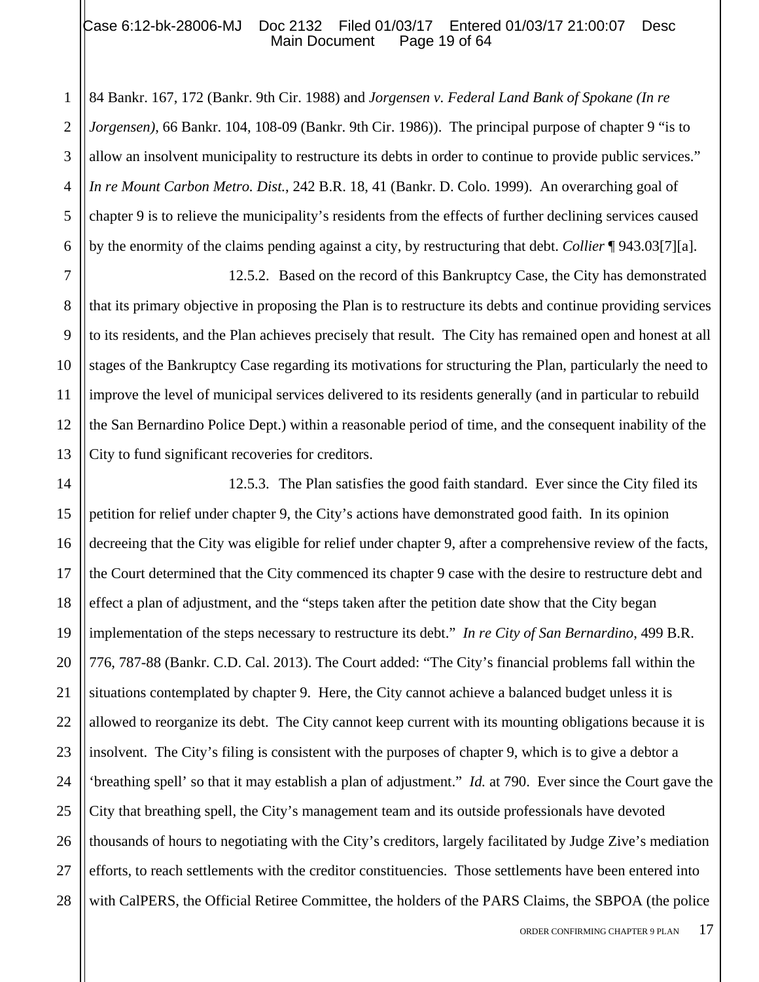#### Case 6:12-bk-28006-MJ Doc 2132 Filed 01/03/17 Entered 01/03/17 21:00:07 Desc<br>Main Document Page 19 of 64 Main Document

1

5

7

8

9

10

11

12

13

2 3 4 6 84 Bankr. 167, 172 (Bankr. 9th Cir. 1988) and *Jorgensen v. Federal Land Bank of Spokane (In re Jorgensen)*, 66 Bankr. 104, 108-09 (Bankr. 9th Cir. 1986)). The principal purpose of chapter 9 "is to allow an insolvent municipality to restructure its debts in order to continue to provide public services." *In re Mount Carbon Metro. Dist.*, 242 B.R. 18, 41 (Bankr. D. Colo. 1999). An overarching goal of chapter 9 is to relieve the municipality's residents from the effects of further declining services caused by the enormity of the claims pending against a city, by restructuring that debt. *Collier* ¶ 943.03[7][a].

12.5.2. Based on the record of this Bankruptcy Case, the City has demonstrated that its primary objective in proposing the Plan is to restructure its debts and continue providing services to its residents, and the Plan achieves precisely that result. The City has remained open and honest at all stages of the Bankruptcy Case regarding its motivations for structuring the Plan, particularly the need to improve the level of municipal services delivered to its residents generally (and in particular to rebuild the San Bernardino Police Dept.) within a reasonable period of time, and the consequent inability of the City to fund significant recoveries for creditors.

14 15 16 17 18 19 20 21 22 23 24 25 26 27 28 12.5.3. The Plan satisfies the good faith standard. Ever since the City filed its petition for relief under chapter 9, the City's actions have demonstrated good faith. In its opinion decreeing that the City was eligible for relief under chapter 9, after a comprehensive review of the facts, the Court determined that the City commenced its chapter 9 case with the desire to restructure debt and effect a plan of adjustment, and the "steps taken after the petition date show that the City began implementation of the steps necessary to restructure its debt." *In re City of San Bernardino*, 499 B.R. 776, 787-88 (Bankr. C.D. Cal. 2013). The Court added: "The City's financial problems fall within the situations contemplated by chapter 9. Here, the City cannot achieve a balanced budget unless it is allowed to reorganize its debt. The City cannot keep current with its mounting obligations because it is insolvent. The City's filing is consistent with the purposes of chapter 9, which is to give a debtor a 'breathing spell' so that it may establish a plan of adjustment." *Id.* at 790. Ever since the Court gave the City that breathing spell, the City's management team and its outside professionals have devoted thousands of hours to negotiating with the City's creditors, largely facilitated by Judge Zive's mediation efforts, to reach settlements with the creditor constituencies. Those settlements have been entered into with CalPERS, the Official Retiree Committee, the holders of the PARS Claims, the SBPOA (the police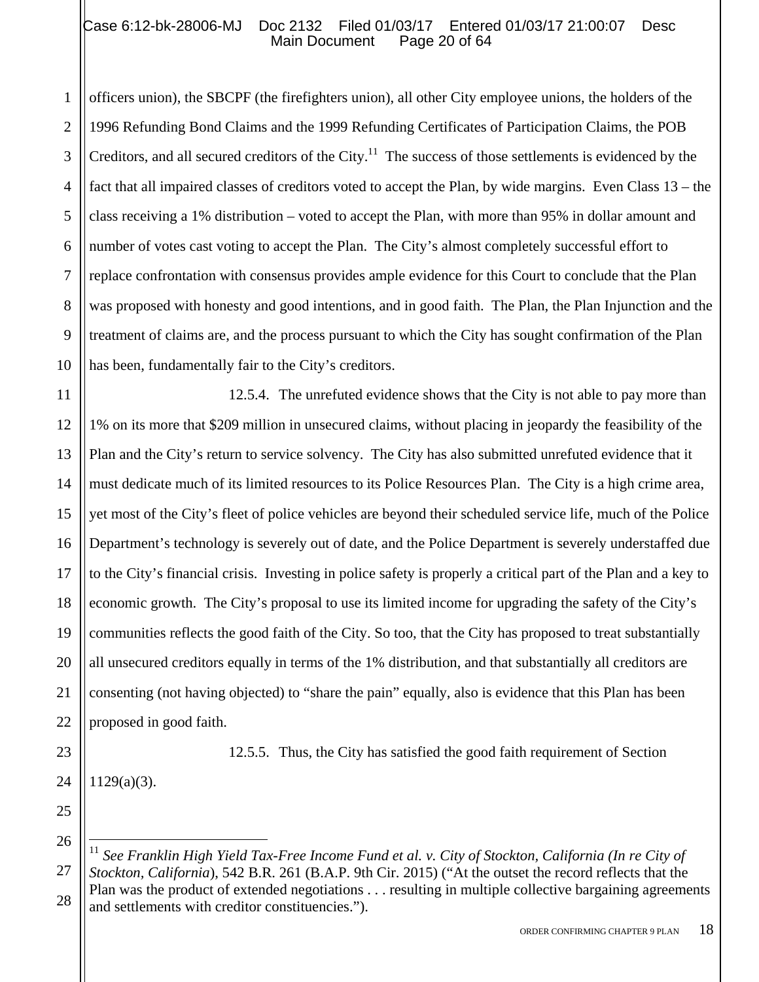1 2 3 4 5 6 7 8 9 10 officers union), the SBCPF (the firefighters union), all other City employee unions, the holders of the 1996 Refunding Bond Claims and the 1999 Refunding Certificates of Participation Claims, the POB Creditors, and all secured creditors of the City.<sup>11</sup> The success of those settlements is evidenced by the fact that all impaired classes of creditors voted to accept the Plan, by wide margins. Even Class 13 – the class receiving a 1% distribution – voted to accept the Plan, with more than 95% in dollar amount and number of votes cast voting to accept the Plan. The City's almost completely successful effort to replace confrontation with consensus provides ample evidence for this Court to conclude that the Plan was proposed with honesty and good intentions, and in good faith. The Plan, the Plan Injunction and the treatment of claims are, and the process pursuant to which the City has sought confirmation of the Plan has been, fundamentally fair to the City's creditors.

11 12 13 14 15 16 17 18 19 20 21 22 12.5.4. The unrefuted evidence shows that the City is not able to pay more than 1% on its more that \$209 million in unsecured claims, without placing in jeopardy the feasibility of the Plan and the City's return to service solvency. The City has also submitted unrefuted evidence that it must dedicate much of its limited resources to its Police Resources Plan. The City is a high crime area, yet most of the City's fleet of police vehicles are beyond their scheduled service life, much of the Police Department's technology is severely out of date, and the Police Department is severely understaffed due to the City's financial crisis. Investing in police safety is properly a critical part of the Plan and a key to economic growth. The City's proposal to use its limited income for upgrading the safety of the City's communities reflects the good faith of the City. So too, that the City has proposed to treat substantially all unsecured creditors equally in terms of the 1% distribution, and that substantially all creditors are consenting (not having objected) to "share the pain" equally, also is evidence that this Plan has been proposed in good faith.

23 24 1129(a)(3).

25

26

1

12.5.5. Thus, the City has satisfied the good faith requirement of Section

27 28 <sup>11</sup> *See Franklin High Yield Tax-Free Income Fund et al. v. City of Stockton, California (In re City of Stockton, California*), 542 B.R. 261 (B.A.P. 9th Cir. 2015) ("At the outset the record reflects that the Plan was the product of extended negotiations . . . resulting in multiple collective bargaining agreements and settlements with creditor constituencies.").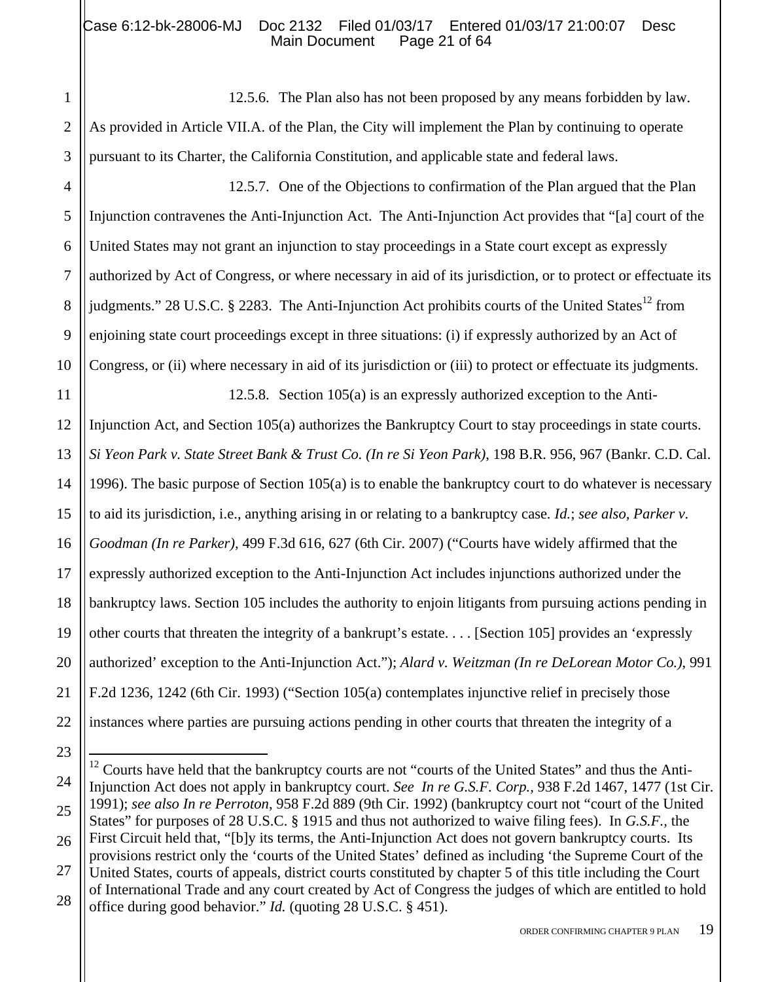2 3 12.5.6. The Plan also has not been proposed by any means forbidden by law. As provided in Article VII.A. of the Plan, the City will implement the Plan by continuing to operate pursuant to its Charter, the California Constitution, and applicable state and federal laws.

4 5 6 7 8 9 10 12.5.7. One of the Objections to confirmation of the Plan argued that the Plan Injunction contravenes the Anti-Injunction Act. The Anti-Injunction Act provides that "[a] court of the United States may not grant an injunction to stay proceedings in a State court except as expressly authorized by Act of Congress, or where necessary in aid of its jurisdiction, or to protect or effectuate its judgments." 28 U.S.C. § 2283. The Anti-Injunction Act prohibits courts of the United States<sup>12</sup> from enjoining state court proceedings except in three situations: (i) if expressly authorized by an Act of Congress, or (ii) where necessary in aid of its jurisdiction or (iii) to protect or effectuate its judgments.

11 12 13 14 15 16 17 18 19 20 21 22 12.5.8. Section 105(a) is an expressly authorized exception to the Anti-Injunction Act, and Section 105(a) authorizes the Bankruptcy Court to stay proceedings in state courts. *Si Yeon Park v. State Street Bank & Trust Co. (In re Si Yeon Park)*, 198 B.R. 956, 967 (Bankr. C.D. Cal. 1996). The basic purpose of Section 105(a) is to enable the bankruptcy court to do whatever is necessary to aid its jurisdiction, i.e., anything arising in or relating to a bankruptcy case*. Id.*; *see also, Parker v. Goodman (In re Parker),* 499 F.3d 616, 627 (6th Cir. 2007) ("Courts have widely affirmed that the expressly authorized exception to the Anti-Injunction Act includes injunctions authorized under the bankruptcy laws. Section 105 includes the authority to enjoin litigants from pursuing actions pending in other courts that threaten the integrity of a bankrupt's estate. . . . [Section 105] provides an 'expressly authorized' exception to the Anti-Injunction Act."); *Alard v. Weitzman (In re DeLorean Motor Co.)*, 991 F.2d 1236, 1242 (6th Cir. 1993) ("Section 105(a) contemplates injunctive relief in precisely those instances where parties are pursuing actions pending in other courts that threaten the integrity of a

1

ORDER CONFIRMING CHAPTER 9 PLAN 19

<sup>23</sup>

<sup>24</sup> 25 26 27 28 1 <sup>12</sup> Courts have held that the bankruptcy courts are not "courts of the United States" and thus the Anti-Injunction Act does not apply in bankruptcy court. *See In re G.S.F. Corp.,* 938 F.2d 1467, 1477 (1st Cir. 1991); *see also In re Perroton*, 958 F.2d 889 (9th Cir. 1992) (bankruptcy court not "court of the United States" for purposes of 28 U.S.C. § 1915 and thus not authorized to waive filing fees). In *G.S.F.,* the First Circuit held that, "[b]y its terms, the Anti-Injunction Act does not govern bankruptcy courts. Its provisions restrict only the 'courts of the United States' defined as including 'the Supreme Court of the United States, courts of appeals, district courts constituted by chapter 5 of this title including the Court of International Trade and any court created by Act of Congress the judges of which are entitled to hold office during good behavior." *Id.* (quoting 28 U.S.C. § 451).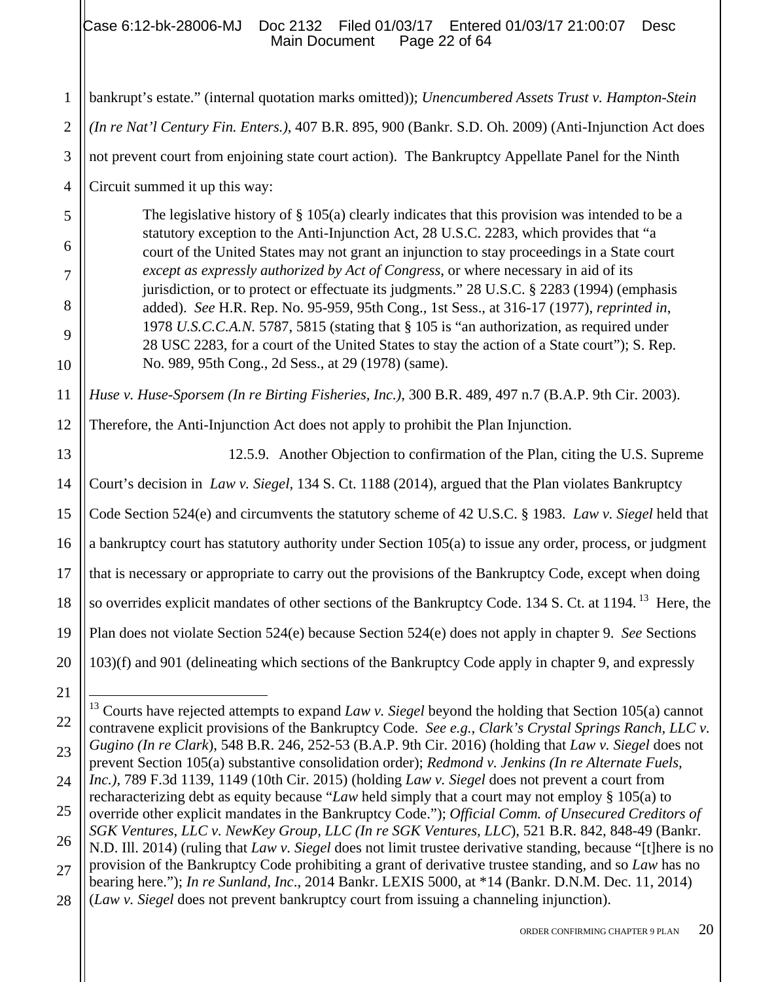1 2 3 4 bankrupt's estate." (internal quotation marks omitted)); *Unencumbered Assets Trust v. Hampton-Stein (In re Nat'l Century Fin. Enters.)*, 407 B.R. 895, 900 (Bankr. S.D. Oh. 2009) (Anti-Injunction Act does not prevent court from enjoining state court action). The Bankruptcy Appellate Panel for the Ninth Circuit summed it up this way:

The legislative history of § 105(a) clearly indicates that this provision was intended to be a statutory exception to the Anti-Injunction Act, 28 U.S.C. 2283, which provides that "a court of the United States may not grant an injunction to stay proceedings in a State court *except as expressly authorized by Act of Congress*, or where necessary in aid of its jurisdiction, or to protect or effectuate its judgments." 28 U.S.C. § 2283 (1994) (emphasis added). *See* H.R. Rep. No. 95-959, 95th Cong., 1st Sess., at 316-17 (1977), *reprinted in*, 1978 *U.S.C.C.A.N.* 5787, 5815 (stating that § 105 is "an authorization, as required under 28 USC 2283, for a court of the United States to stay the action of a State court"); S. Rep. No. 989, 95th Cong., 2d Sess., at 29 (1978) (same).

11 *Huse v. Huse-Sporsem (In re Birting Fisheries, Inc.)*, 300 B.R. 489, 497 n.7 (B.A.P. 9th Cir. 2003).

12 Therefore, the Anti-Injunction Act does not apply to prohibit the Plan Injunction.

13 14 15 16 17 18 19 12.5.9. Another Objection to confirmation of the Plan, citing the U.S. Supreme Court's decision in *Law v. Siegel,* 134 S. Ct. 1188 (2014), argued that the Plan violates Bankruptcy Code Section 524(e) and circumvents the statutory scheme of 42 U.S.C. § 1983. *Law v. Siegel* held that a bankruptcy court has statutory authority under Section 105(a) to issue any order, process, or judgment that is necessary or appropriate to carry out the provisions of the Bankruptcy Code, except when doing so overrides explicit mandates of other sections of the Bankruptcy Code. 134 S. Ct. at 1194.<sup>13</sup> Here, the Plan does not violate Section 524(e) because Section 524(e) does not apply in chapter 9. *See* Sections 103)(f) and 901 (delineating which sections of the Bankruptcy Code apply in chapter 9, and expressly

1

5

6

7

8

9

<sup>20</sup> 21 22

<sup>23</sup> 13 Courts have rejected attempts to expand *Law v. Siegel* beyond the holding that Section 105(a) cannot contravene explicit provisions of the Bankruptcy Code. *See e.g.*, *Clark's Crystal Springs Ranch, LLC v. Gugino (In re Clark*), 548 B.R. 246, 252-53 (B.A.P. 9th Cir. 2016) (holding that *Law v. Siegel* does not prevent Section 105(a) substantive consolidation order); *Redmond v. Jenkins (In re Alternate Fuels,* 

<sup>24</sup> *Inc.)*, 789 F.3d 1139, 1149 (10th Cir. 2015) (holding *Law v. Siegel* does not prevent a court from recharacterizing debt as equity because "*Law* held simply that a court may not employ § 105(a) to

<sup>25</sup> override other explicit mandates in the Bankruptcy Code."); *Official Comm. of Unsecured Creditors of SGK Ventures, LLC v. NewKey Group, LLC (In re SGK Ventures, LLC*), 521 B.R. 842, 848-49 (Bankr.

<sup>26</sup> N.D. Ill. 2014) (ruling that *Law v. Siegel* does not limit trustee derivative standing, because "[t]here is no

<sup>27</sup> provision of the Bankruptcy Code prohibiting a grant of derivative trustee standing, and so *Law* has no bearing here."); *In re Sunland, Inc*., 2014 Bankr. LEXIS 5000, at \*14 (Bankr. D.N.M. Dec. 11, 2014)

<sup>28</sup> (*Law v. Siegel* does not prevent bankruptcy court from issuing a channeling injunction).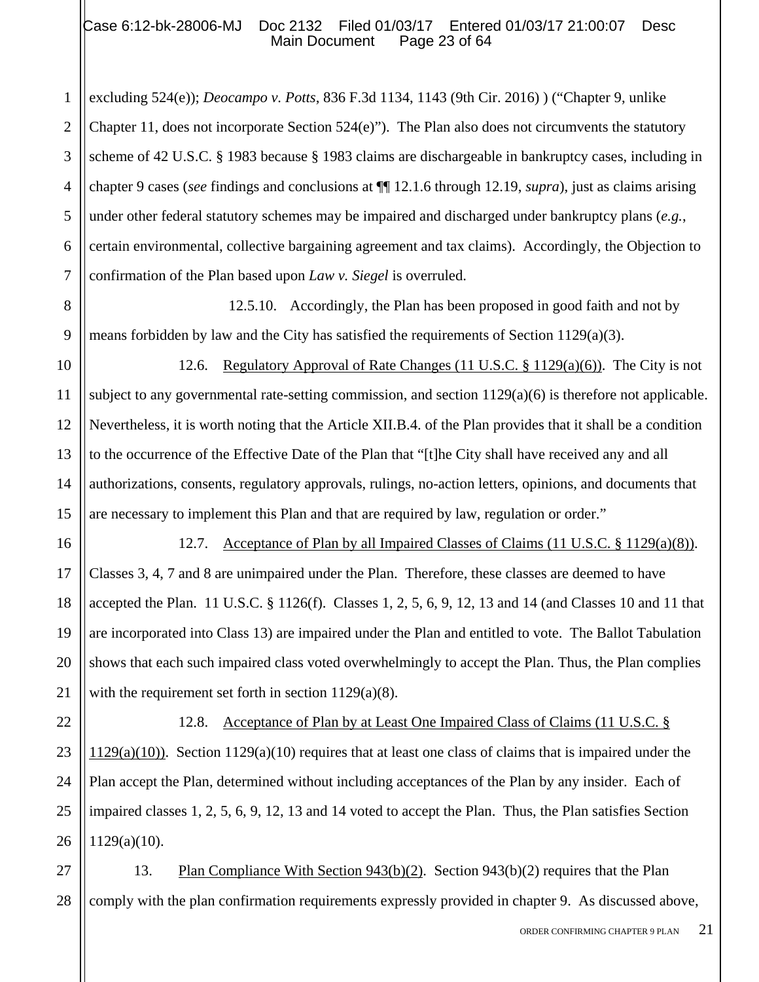# Case 6:12-bk-28006-MJ Doc 2132 Filed 01/03/17 Entered 01/03/17 21:00:07 Desc<br>Main Document Page 23 of 64 Main Document

1

16

17

18

19

20

21

22

23

24

25

26

2 3 4 5 6 7 excluding 524(e)); *Deocampo v. Potts*, 836 F.3d 1134, 1143 (9th Cir. 2016) ) ("Chapter 9, unlike Chapter 11, does not incorporate Section  $524(e)$ "). The Plan also does not circumvents the statutory scheme of 42 U.S.C. § 1983 because § 1983 claims are dischargeable in bankruptcy cases, including in chapter 9 cases (*see* findings and conclusions at ¶¶ 12.1.6 through 12.19, *supra*), just as claims arising under other federal statutory schemes may be impaired and discharged under bankruptcy plans (*e.g.*, certain environmental, collective bargaining agreement and tax claims). Accordingly, the Objection to confirmation of the Plan based upon *Law v. Siegel* is overruled.

8 9 12.5.10. Accordingly, the Plan has been proposed in good faith and not by means forbidden by law and the City has satisfied the requirements of Section 1129(a)(3).

10 11 12 13 14 15 12.6. Regulatory Approval of Rate Changes (11 U.S.C. § 1129(a)(6)). The City is not subject to any governmental rate-setting commission, and section 1129(a)(6) is therefore not applicable. Nevertheless, it is worth noting that the Article XII.B.4. of the Plan provides that it shall be a condition to the occurrence of the Effective Date of the Plan that "[t]he City shall have received any and all authorizations, consents, regulatory approvals, rulings, no-action letters, opinions, and documents that are necessary to implement this Plan and that are required by law, regulation or order."

12.7. Acceptance of Plan by all Impaired Classes of Claims (11 U.S.C. § 1129(a)(8)). Classes 3, 4, 7 and 8 are unimpaired under the Plan. Therefore, these classes are deemed to have accepted the Plan. 11 U.S.C. § 1126(f). Classes 1, 2, 5, 6, 9, 12, 13 and 14 (and Classes 10 and 11 that are incorporated into Class 13) are impaired under the Plan and entitled to vote. The Ballot Tabulation shows that each such impaired class voted overwhelmingly to accept the Plan. Thus, the Plan complies with the requirement set forth in section 1129(a)(8).

12.8. Acceptance of Plan by at Least One Impaired Class of Claims (11 U.S.C. § 1129(a)(10)). Section 1129(a)(10) requires that at least one class of claims that is impaired under the Plan accept the Plan, determined without including acceptances of the Plan by any insider. Each of impaired classes 1, 2, 5, 6, 9, 12, 13 and 14 voted to accept the Plan. Thus, the Plan satisfies Section 1129(a)(10).

27 28 13. Plan Compliance With Section 943(b)(2). Section 943(b)(2) requires that the Plan comply with the plan confirmation requirements expressly provided in chapter 9. As discussed above,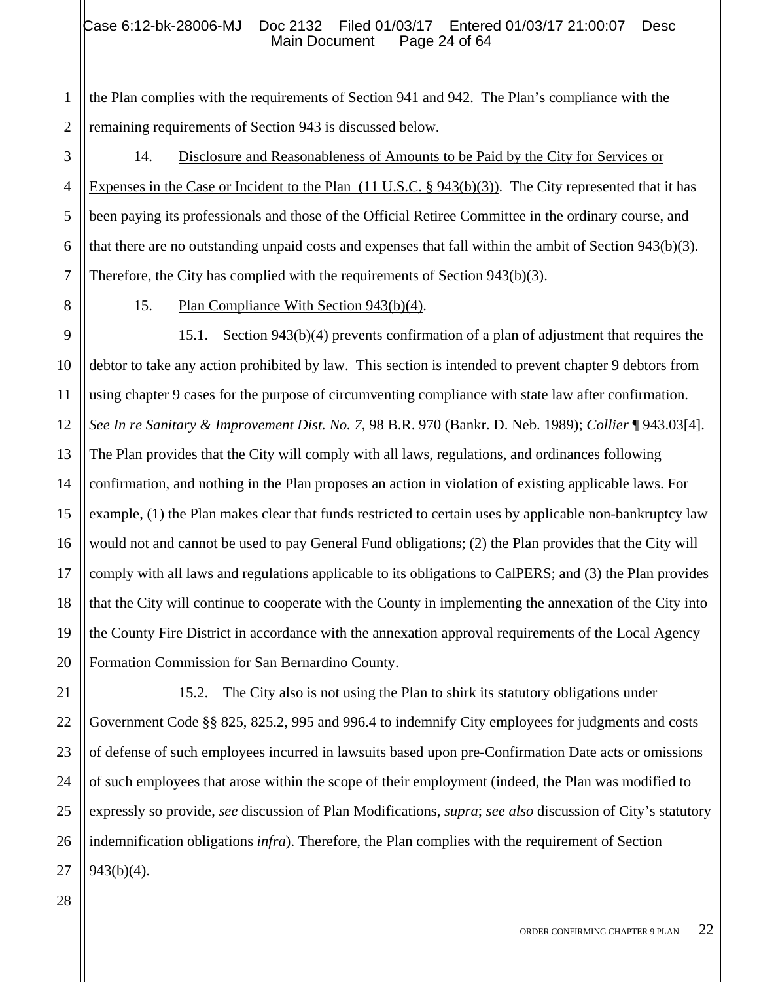## Case 6:12-bk-28006-MJ Doc 2132 Filed 01/03/17 Entered 01/03/17 21:00:07 Desc<br>Main Document Page 24 of 64 Main Document

2 the Plan complies with the requirements of Section 941 and 942. The Plan's compliance with the remaining requirements of Section 943 is discussed below.

3 4 5 6 7 14. Disclosure and Reasonableness of Amounts to be Paid by the City for Services or Expenses in the Case or Incident to the Plan  $(11 \text{ U.S.C.} \text{ § } 943(b)(3))$ . The City represented that it has been paying its professionals and those of the Official Retiree Committee in the ordinary course, and that there are no outstanding unpaid costs and expenses that fall within the ambit of Section 943(b)(3). Therefore, the City has complied with the requirements of Section 943(b)(3).

8

1

15. Plan Compliance With Section 943(b)(4).

9 10 11 12 13 14 15 16 17 18 19 20 15.1. Section 943(b)(4) prevents confirmation of a plan of adjustment that requires the debtor to take any action prohibited by law. This section is intended to prevent chapter 9 debtors from using chapter 9 cases for the purpose of circumventing compliance with state law after confirmation. *See In re Sanitary & Improvement Dist. No. 7*, 98 B.R. 970 (Bankr. D. Neb. 1989); *Collier* ¶ 943.03[4]. The Plan provides that the City will comply with all laws, regulations, and ordinances following confirmation, and nothing in the Plan proposes an action in violation of existing applicable laws. For example, (1) the Plan makes clear that funds restricted to certain uses by applicable non-bankruptcy law would not and cannot be used to pay General Fund obligations; (2) the Plan provides that the City will comply with all laws and regulations applicable to its obligations to CalPERS; and (3) the Plan provides that the City will continue to cooperate with the County in implementing the annexation of the City into the County Fire District in accordance with the annexation approval requirements of the Local Agency Formation Commission for San Bernardino County.

21 22 23 24 25 26 27 15.2. The City also is not using the Plan to shirk its statutory obligations under Government Code §§ 825, 825.2, 995 and 996.4 to indemnify City employees for judgments and costs of defense of such employees incurred in lawsuits based upon pre-Confirmation Date acts or omissions of such employees that arose within the scope of their employment (indeed, the Plan was modified to expressly so provide, *see* discussion of Plan Modifications, *supra*; *see also* discussion of City's statutory indemnification obligations *infra*). Therefore, the Plan complies with the requirement of Section 943(b)(4).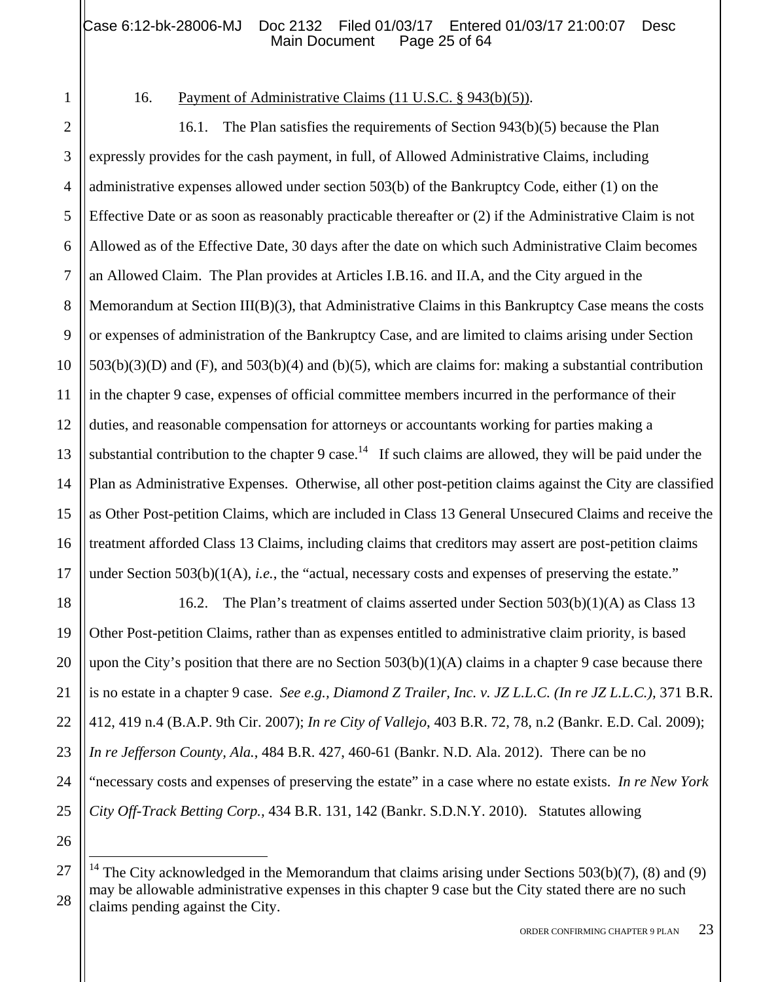1

18

19

20

21

22

23

24

25

26

 $\overline{a}$ 

# 16. Payment of Administrative Claims (11 U.S.C. § 943(b)(5)).

2 3 4 5 6 7 8 9 10 11 12 13 14 15 16 17 16.1. The Plan satisfies the requirements of Section 943(b)(5) because the Plan expressly provides for the cash payment, in full, of Allowed Administrative Claims, including administrative expenses allowed under section 503(b) of the Bankruptcy Code, either (1) on the Effective Date or as soon as reasonably practicable thereafter or (2) if the Administrative Claim is not Allowed as of the Effective Date, 30 days after the date on which such Administrative Claim becomes an Allowed Claim. The Plan provides at Articles I.B.16. and II.A, and the City argued in the Memorandum at Section III(B)(3), that Administrative Claims in this Bankruptcy Case means the costs or expenses of administration of the Bankruptcy Case, and are limited to claims arising under Section  $503(b)(3)(D)$  and  $(F)$ , and  $503(b)(4)$  and  $(b)(5)$ , which are claims for: making a substantial contribution in the chapter 9 case, expenses of official committee members incurred in the performance of their duties, and reasonable compensation for attorneys or accountants working for parties making a substantial contribution to the chapter 9 case.<sup>14</sup> If such claims are allowed, they will be paid under the Plan as Administrative Expenses. Otherwise, all other post-petition claims against the City are classified as Other Post-petition Claims, which are included in Class 13 General Unsecured Claims and receive the treatment afforded Class 13 Claims, including claims that creditors may assert are post-petition claims under Section 503(b)(1(A), *i.e.*, the "actual, necessary costs and expenses of preserving the estate."

16.2. The Plan's treatment of claims asserted under Section 503(b)(1)(A) as Class 13 Other Post-petition Claims, rather than as expenses entitled to administrative claim priority, is based upon the City's position that there are no Section  $503(b)(1)(A)$  claims in a chapter 9 case because there is no estate in a chapter 9 case. *See e.g., Diamond Z Trailer, Inc. v. JZ L.L.C. (In re JZ L.L.C.),* 371 B.R. 412, 419 n.4 (B.A.P. 9th Cir. 2007); *In re City of Vallejo*, 403 B.R. 72, 78, n.2 (Bankr. E.D. Cal. 2009); *In re Jefferson County, Ala.*, 484 B.R. 427, 460-61 (Bankr. N.D. Ala. 2012). There can be no "necessary costs and expenses of preserving the estate" in a case where no estate exists. *In re New York City Off-Track Betting Corp.,* 434 B.R. 131, 142 (Bankr. S.D.N.Y. 2010). Statutes allowing

<sup>27</sup> 28 <sup>14</sup> The City acknowledged in the Memorandum that claims arising under Sections 503(b)(7), (8) and (9) may be allowable administrative expenses in this chapter 9 case but the City stated there are no such claims pending against the City.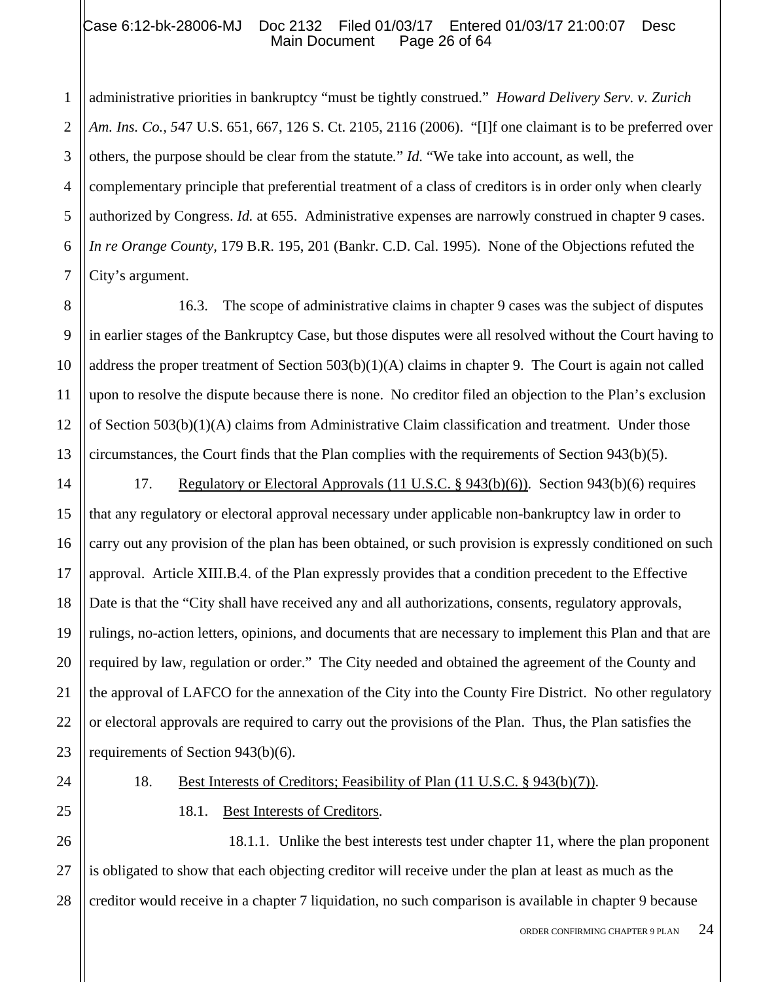### Case 6:12-bk-28006-MJ Doc 2132 Filed 01/03/17 Entered 01/03/17 21:00:07 Desc<br>Main Document Page 26 of 64 Main Document

1 2 3 4 5 6 7 administrative priorities in bankruptcy "must be tightly construed." *Howard Delivery Serv. v. Zurich Am. Ins. Co., 5*47 U.S. 651, 667, 126 S. Ct. 2105, 2116 (2006). "[I]f one claimant is to be preferred over others, the purpose should be clear from the statute*.*" *Id.* "We take into account, as well, the complementary principle that preferential treatment of a class of creditors is in order only when clearly authorized by Congress. *Id.* at 655. Administrative expenses are narrowly construed in chapter 9 cases. *In re Orange County,* 179 B.R. 195, 201 (Bankr. C.D. Cal. 1995). None of the Objections refuted the City's argument.

8 9 10 11 12 13 16.3. The scope of administrative claims in chapter 9 cases was the subject of disputes in earlier stages of the Bankruptcy Case, but those disputes were all resolved without the Court having to address the proper treatment of Section 503(b)(1)(A) claims in chapter 9. The Court is again not called upon to resolve the dispute because there is none. No creditor filed an objection to the Plan's exclusion of Section 503(b)(1)(A) claims from Administrative Claim classification and treatment. Under those circumstances, the Court finds that the Plan complies with the requirements of Section 943(b)(5).

14 15 16 17 18 19 20 21 22 23 17. Regulatory or Electoral Approvals (11 U.S.C. § 943(b)(6)). Section 943(b)(6) requires that any regulatory or electoral approval necessary under applicable non-bankruptcy law in order to carry out any provision of the plan has been obtained, or such provision is expressly conditioned on such approval. Article XIII.B.4. of the Plan expressly provides that a condition precedent to the Effective Date is that the "City shall have received any and all authorizations, consents, regulatory approvals, rulings, no-action letters, opinions, and documents that are necessary to implement this Plan and that are required by law, regulation or order." The City needed and obtained the agreement of the County and the approval of LAFCO for the annexation of the City into the County Fire District. No other regulatory or electoral approvals are required to carry out the provisions of the Plan. Thus, the Plan satisfies the requirements of Section 943(b)(6).

- 
- 25

24

18. Best Interests of Creditors; Feasibility of Plan (11 U.S.C. § 943(b)(7)).

# 18.1. Best Interests of Creditors.

26 27 28 18.1.1. Unlike the best interests test under chapter 11, where the plan proponent is obligated to show that each objecting creditor will receive under the plan at least as much as the creditor would receive in a chapter 7 liquidation, no such comparison is available in chapter 9 because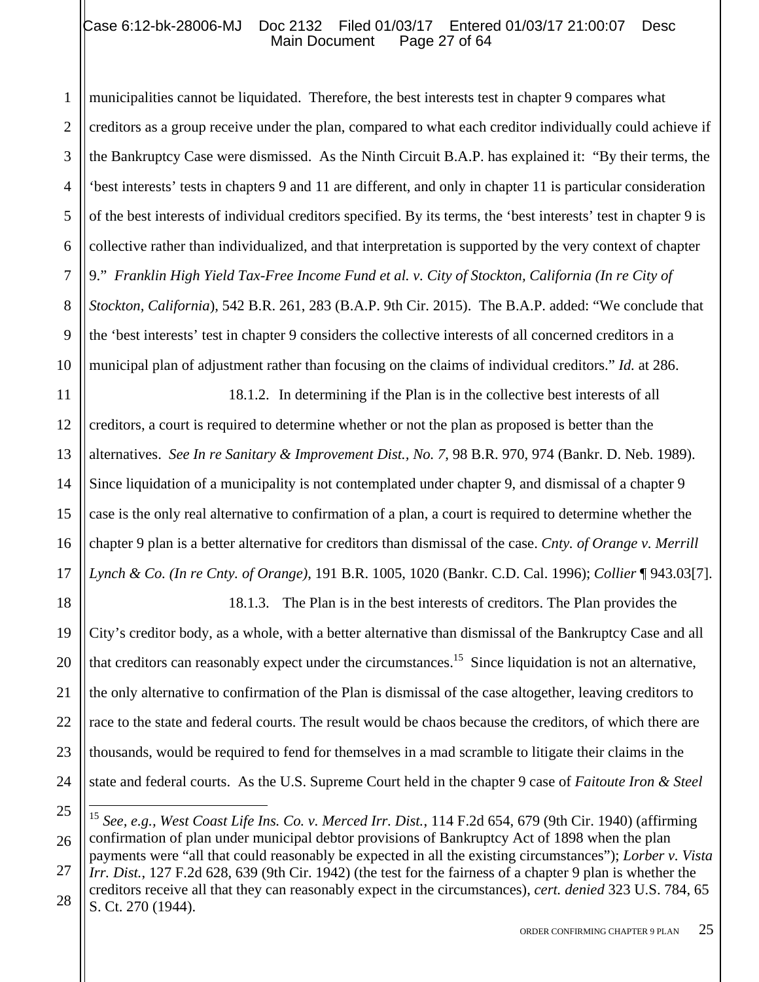1 2 3 4 5 6 7 8 9 10 municipalities cannot be liquidated. Therefore, the best interests test in chapter 9 compares what creditors as a group receive under the plan, compared to what each creditor individually could achieve if the Bankruptcy Case were dismissed. As the Ninth Circuit B.A.P. has explained it: "By their terms, the 'best interests' tests in chapters 9 and 11 are different, and only in chapter 11 is particular consideration of the best interests of individual creditors specified. By its terms, the 'best interests' test in chapter 9 is collective rather than individualized, and that interpretation is supported by the very context of chapter 9." *Franklin High Yield Tax-Free Income Fund et al. v. City of Stockton, California (In re City of Stockton, California*), 542 B.R. 261, 283 (B.A.P. 9th Cir. 2015). The B.A.P. added: "We conclude that the 'best interests' test in chapter 9 considers the collective interests of all concerned creditors in a municipal plan of adjustment rather than focusing on the claims of individual creditors." *Id.* at 286.

11 12 13 14 15 16 17 18.1.2. In determining if the Plan is in the collective best interests of all creditors, a court is required to determine whether or not the plan as proposed is better than the alternatives. *See In re Sanitary & Improvement Dist., No. 7*, 98 B.R. 970, 974 (Bankr. D. Neb. 1989). Since liquidation of a municipality is not contemplated under chapter 9, and dismissal of a chapter 9 case is the only real alternative to confirmation of a plan, a court is required to determine whether the chapter 9 plan is a better alternative for creditors than dismissal of the case. *Cnty. of Orange v. Merrill Lynch & Co. (In re Cnty. of Orange)*, 191 B.R. 1005, 1020 (Bankr. C.D. Cal. 1996); *Collier* ¶ 943.03[7].

18 19 20 21 22 23 24 18.1.3. The Plan is in the best interests of creditors. The Plan provides the City's creditor body, as a whole, with a better alternative than dismissal of the Bankruptcy Case and all that creditors can reasonably expect under the circumstances.<sup>15</sup> Since liquidation is not an alternative, the only alternative to confirmation of the Plan is dismissal of the case altogether, leaving creditors to race to the state and federal courts. The result would be chaos because the creditors, of which there are thousands, would be required to fend for themselves in a mad scramble to litigate their claims in the state and federal courts. As the U.S. Supreme Court held in the chapter 9 case of *Faitoute Iron & Steel* 

<sup>25</sup> 26  $\overline{a}$ <sup>15</sup> *See, e.g., West Coast Life Ins. Co. v. Merced Irr. Dist.*, 114 F.2d 654, 679 (9th Cir. 1940) (affirming confirmation of plan under municipal debtor provisions of Bankruptcy Act of 1898 when the plan payments were "all that could reasonably be expected in all the existing circumstances"); *Lorber v. Vista* 

<sup>27</sup> 28 *Irr. Dist.*, 127 F.2d 628, 639 (9th Cir. 1942) (the test for the fairness of a chapter 9 plan is whether the creditors receive all that they can reasonably expect in the circumstances), *cert. denied* 323 U.S. 784, 65 S. Ct. 270 (1944).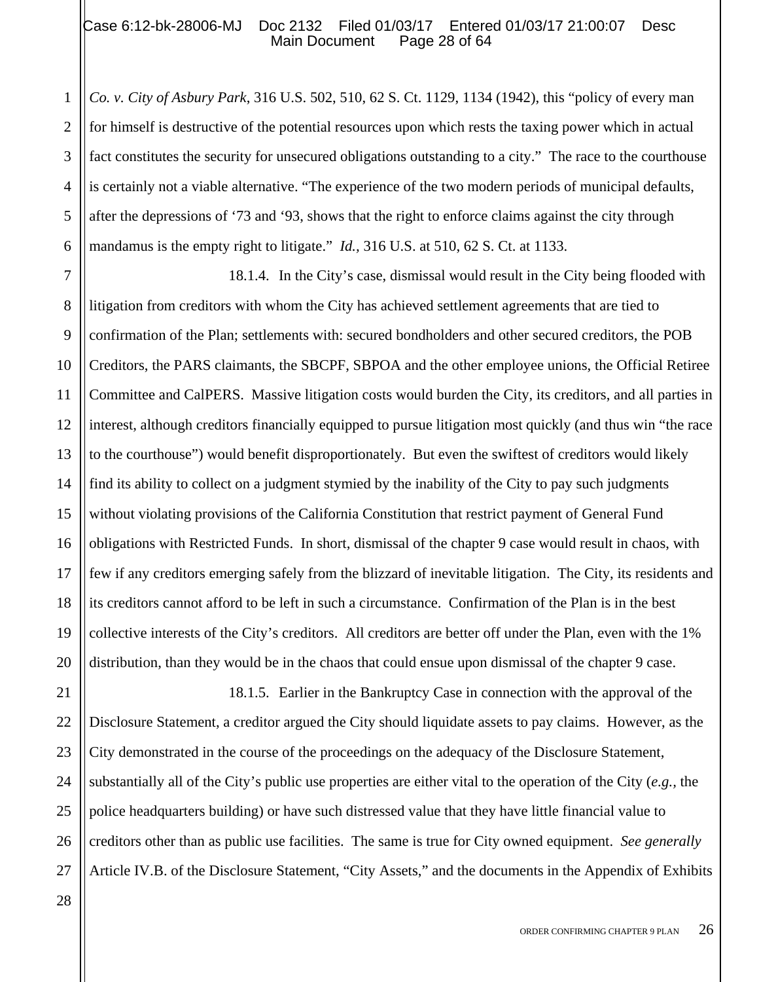## Case 6:12-bk-28006-MJ Doc 2132 Filed 01/03/17 Entered 01/03/17 21:00:07 Desc<br>Main Document Page 28 of 64 Main Document

6 *Co. v. City of Asbury Park*, 316 U.S. 502, 510, 62 S. Ct. 1129, 1134 (1942), this "policy of every man for himself is destructive of the potential resources upon which rests the taxing power which in actual fact constitutes the security for unsecured obligations outstanding to a city." The race to the courthouse is certainly not a viable alternative. "The experience of the two modern periods of municipal defaults, after the depressions of '73 and '93, shows that the right to enforce claims against the city through mandamus is the empty right to litigate." *Id.,* 316 U.S. at 510, 62 S. Ct. at 1133.

7 8 9 10 11 12 13 14 15 16 17 18 19 20 18.1.4. In the City's case, dismissal would result in the City being flooded with litigation from creditors with whom the City has achieved settlement agreements that are tied to confirmation of the Plan; settlements with: secured bondholders and other secured creditors, the POB Creditors, the PARS claimants, the SBCPF, SBPOA and the other employee unions, the Official Retiree Committee and CalPERS. Massive litigation costs would burden the City, its creditors, and all parties in interest, although creditors financially equipped to pursue litigation most quickly (and thus win "the race to the courthouse") would benefit disproportionately. But even the swiftest of creditors would likely find its ability to collect on a judgment stymied by the inability of the City to pay such judgments without violating provisions of the California Constitution that restrict payment of General Fund obligations with Restricted Funds. In short, dismissal of the chapter 9 case would result in chaos, with few if any creditors emerging safely from the blizzard of inevitable litigation. The City, its residents and its creditors cannot afford to be left in such a circumstance. Confirmation of the Plan is in the best collective interests of the City's creditors. All creditors are better off under the Plan, even with the 1% distribution, than they would be in the chaos that could ensue upon dismissal of the chapter 9 case.

21 22 23 24 25 26 27 18.1.5. Earlier in the Bankruptcy Case in connection with the approval of the Disclosure Statement, a creditor argued the City should liquidate assets to pay claims. However, as the City demonstrated in the course of the proceedings on the adequacy of the Disclosure Statement, substantially all of the City's public use properties are either vital to the operation of the City (*e.g.,* the police headquarters building) or have such distressed value that they have little financial value to creditors other than as public use facilities. The same is true for City owned equipment. *See generally*  Article IV.B. of the Disclosure Statement, "City Assets," and the documents in the Appendix of Exhibits

1

2

3

4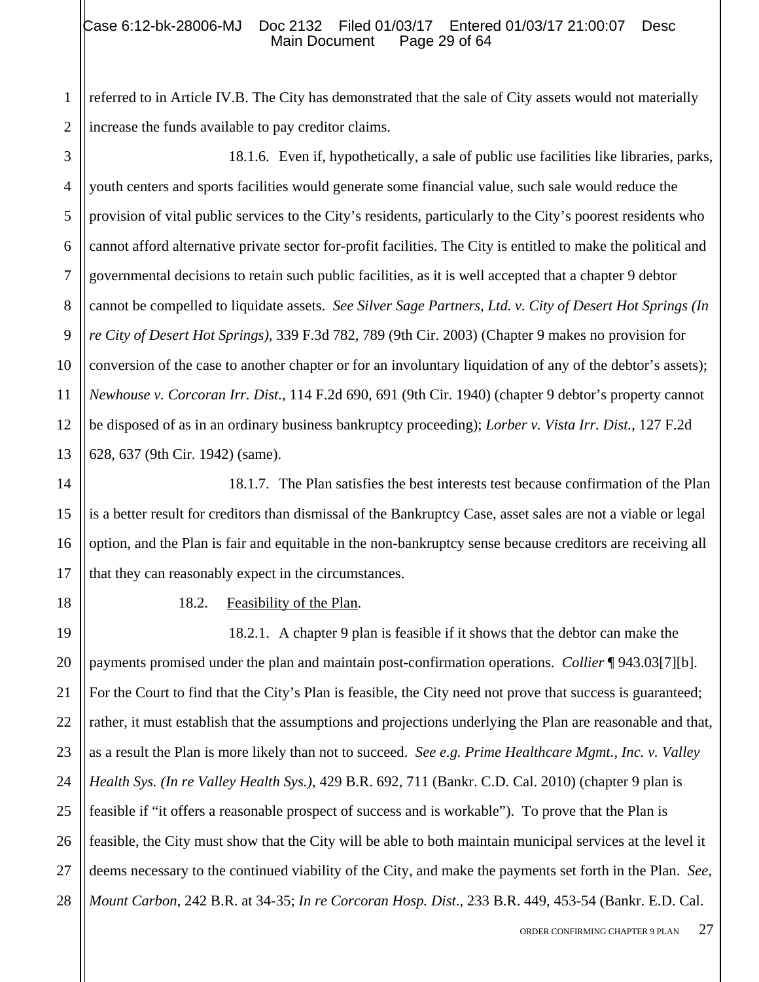2 referred to in Article IV.B. The City has demonstrated that the sale of City assets would not materially increase the funds available to pay creditor claims.

3 4 5 6 7 8 9 10 11 12 13 18.1.6. Even if, hypothetically, a sale of public use facilities like libraries, parks, youth centers and sports facilities would generate some financial value, such sale would reduce the provision of vital public services to the City's residents, particularly to the City's poorest residents who cannot afford alternative private sector for-profit facilities. The City is entitled to make the political and governmental decisions to retain such public facilities, as it is well accepted that a chapter 9 debtor cannot be compelled to liquidate assets. *See Silver Sage Partners, Ltd. v. City of Desert Hot Springs (In re City of Desert Hot Springs)*, 339 F.3d 782, 789 (9th Cir. 2003) (Chapter 9 makes no provision for conversion of the case to another chapter or for an involuntary liquidation of any of the debtor's assets); *Newhouse v. Corcoran Irr. Dist.*, 114 F.2d 690, 691 (9th Cir. 1940) (chapter 9 debtor's property cannot be disposed of as in an ordinary business bankruptcy proceeding); *Lorber v. Vista Irr. Dist.*, 127 F.2d 628, 637 (9th Cir. 1942) (same).

14 15 16 17 18.1.7. The Plan satisfies the best interests test because confirmation of the Plan is a better result for creditors than dismissal of the Bankruptcy Case, asset sales are not a viable or legal option, and the Plan is fair and equitable in the non-bankruptcy sense because creditors are receiving all that they can reasonably expect in the circumstances.

18

1

18.2. Feasibility of the Plan.

19 20 21 22 23 24 25 26 27 28 18.2.1. A chapter 9 plan is feasible if it shows that the debtor can make the payments promised under the plan and maintain post-confirmation operations. *Collier* ¶ 943.03[7][b]. For the Court to find that the City's Plan is feasible, the City need not prove that success is guaranteed; rather, it must establish that the assumptions and projections underlying the Plan are reasonable and that, as a result the Plan is more likely than not to succeed. *See e.g. Prime Healthcare Mgmt., Inc. v. Valley Health Sys. (In re Valley Health Sys.)*, 429 B.R. 692, 711 (Bankr. C.D. Cal. 2010) (chapter 9 plan is feasible if "it offers a reasonable prospect of success and is workable"). To prove that the Plan is feasible, the City must show that the City will be able to both maintain municipal services at the level it deems necessary to the continued viability of the City, and make the payments set forth in the Plan. *See, Mount Carbon*, 242 B.R. at 34-35; *In re Corcoran Hosp. Dist*., 233 B.R. 449, 453-54 (Bankr. E.D. Cal.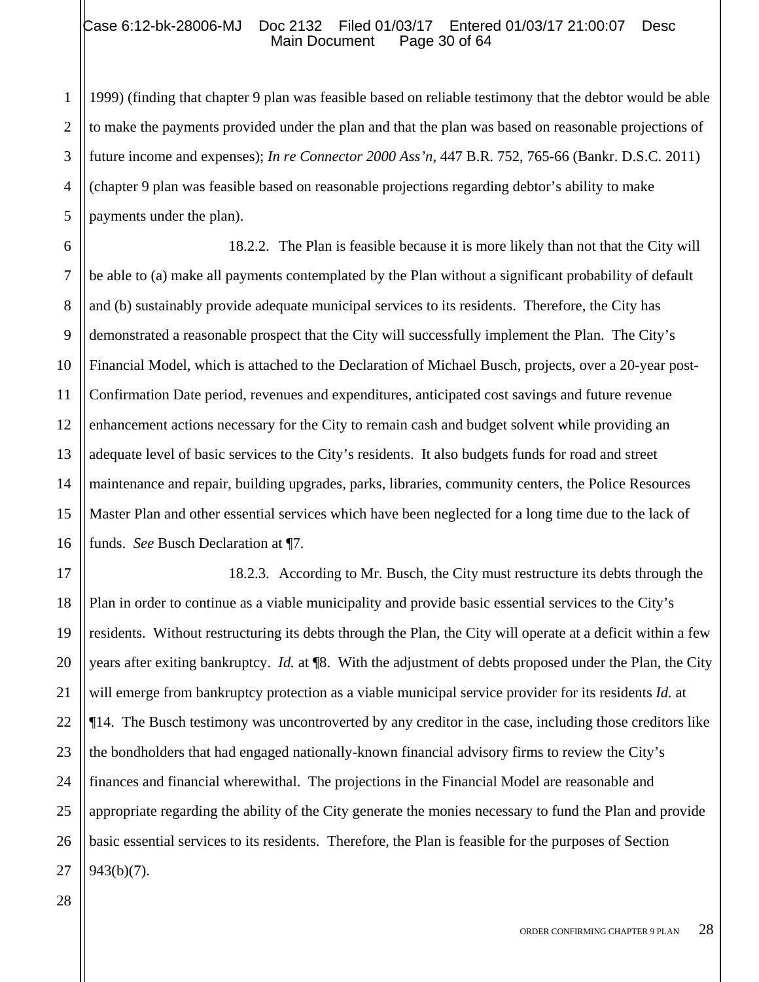#### Case 6:12-bk-28006-MJ Doc 2132 Filed 01/03/17 Entered 01/03/17 21:00:07 Desc<br>Main Document Page 30 of 64 Main Document

1999) (finding that chapter 9 plan was feasible based on reliable testimony that the debtor would be able to make the payments provided under the plan and that the plan was based on reasonable projections of future income and expenses); *In re Connector 2000 Ass'n*, 447 B.R. 752, 765-66 (Bankr. D.S.C. 2011) (chapter 9 plan was feasible based on reasonable projections regarding debtor's ability to make payments under the plan).

6 7 8 9 15 16 18.2.2. The Plan is feasible because it is more likely than not that the City will be able to (a) make all payments contemplated by the Plan without a significant probability of default and (b) sustainably provide adequate municipal services to its residents. Therefore, the City has demonstrated a reasonable prospect that the City will successfully implement the Plan. The City's Financial Model, which is attached to the Declaration of Michael Busch, projects, over a 20-year post-Confirmation Date period, revenues and expenditures, anticipated cost savings and future revenue enhancement actions necessary for the City to remain cash and budget solvent while providing an adequate level of basic services to the City's residents. It also budgets funds for road and street maintenance and repair, building upgrades, parks, libraries, community centers, the Police Resources Master Plan and other essential services which have been neglected for a long time due to the lack of funds. *See* Busch Declaration at ¶7.

17 18 19 20 21 22 23 24 25 26 27 18.2.3. According to Mr. Busch, the City must restructure its debts through the Plan in order to continue as a viable municipality and provide basic essential services to the City's residents. Without restructuring its debts through the Plan, the City will operate at a deficit within a few years after exiting bankruptcy. *Id.* at ¶8. With the adjustment of debts proposed under the Plan, the City will emerge from bankruptcy protection as a viable municipal service provider for its residents *Id.* at ¶14. The Busch testimony was uncontroverted by any creditor in the case, including those creditors like the bondholders that had engaged nationally-known financial advisory firms to review the City's finances and financial wherewithal. The projections in the Financial Model are reasonable and appropriate regarding the ability of the City generate the monies necessary to fund the Plan and provide basic essential services to its residents. Therefore, the Plan is feasible for the purposes of Section 943(b)(7).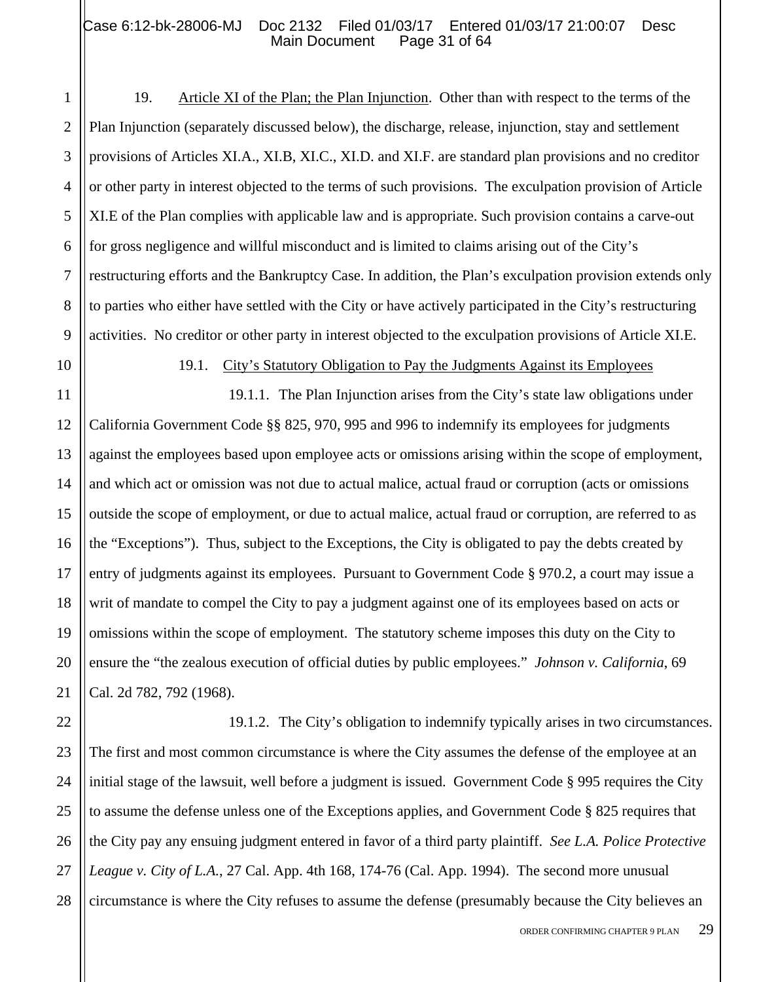#### Case 6:12-bk-28006-MJ Doc 2132 Filed 01/03/17 Entered 01/03/17 21:00:07 Desc<br>Main Document Page 31 of 64 Main Document

- 1 2 3 4 5 6 7 8 9 19. Article XI of the Plan; the Plan Injunction. Other than with respect to the terms of the Plan Injunction (separately discussed below), the discharge, release, injunction, stay and settlement provisions of Articles XI.A., XI.B, XI.C., XI.D. and XI.F. are standard plan provisions and no creditor or other party in interest objected to the terms of such provisions. The exculpation provision of Article XI.E of the Plan complies with applicable law and is appropriate. Such provision contains a carve-out for gross negligence and willful misconduct and is limited to claims arising out of the City's restructuring efforts and the Bankruptcy Case. In addition, the Plan's exculpation provision extends only to parties who either have settled with the City or have actively participated in the City's restructuring activities. No creditor or other party in interest objected to the exculpation provisions of Article XI.E.
- 10 11

19.1. City's Statutory Obligation to Pay the Judgments Against its Employees

12 13 14 15 16 17 18 19 20 21 19.1.1. The Plan Injunction arises from the City's state law obligations under California Government Code §§ 825, 970, 995 and 996 to indemnify its employees for judgments against the employees based upon employee acts or omissions arising within the scope of employment, and which act or omission was not due to actual malice, actual fraud or corruption (acts or omissions outside the scope of employment, or due to actual malice, actual fraud or corruption, are referred to as the "Exceptions"). Thus, subject to the Exceptions, the City is obligated to pay the debts created by entry of judgments against its employees. Pursuant to Government Code § 970.2, a court may issue a writ of mandate to compel the City to pay a judgment against one of its employees based on acts or omissions within the scope of employment. The statutory scheme imposes this duty on the City to ensure the "the zealous execution of official duties by public employees." *Johnson v. California*, 69 Cal. 2d 782, 792 (1968).

22 23 24 25 26 27 28 19.1.2. The City's obligation to indemnify typically arises in two circumstances. The first and most common circumstance is where the City assumes the defense of the employee at an initial stage of the lawsuit, well before a judgment is issued. Government Code § 995 requires the City to assume the defense unless one of the Exceptions applies, and Government Code § 825 requires that the City pay any ensuing judgment entered in favor of a third party plaintiff. *See L.A. Police Protective League v. City of L.A.*, 27 Cal. App. 4th 168, 174-76 (Cal. App. 1994). The second more unusual circumstance is where the City refuses to assume the defense (presumably because the City believes an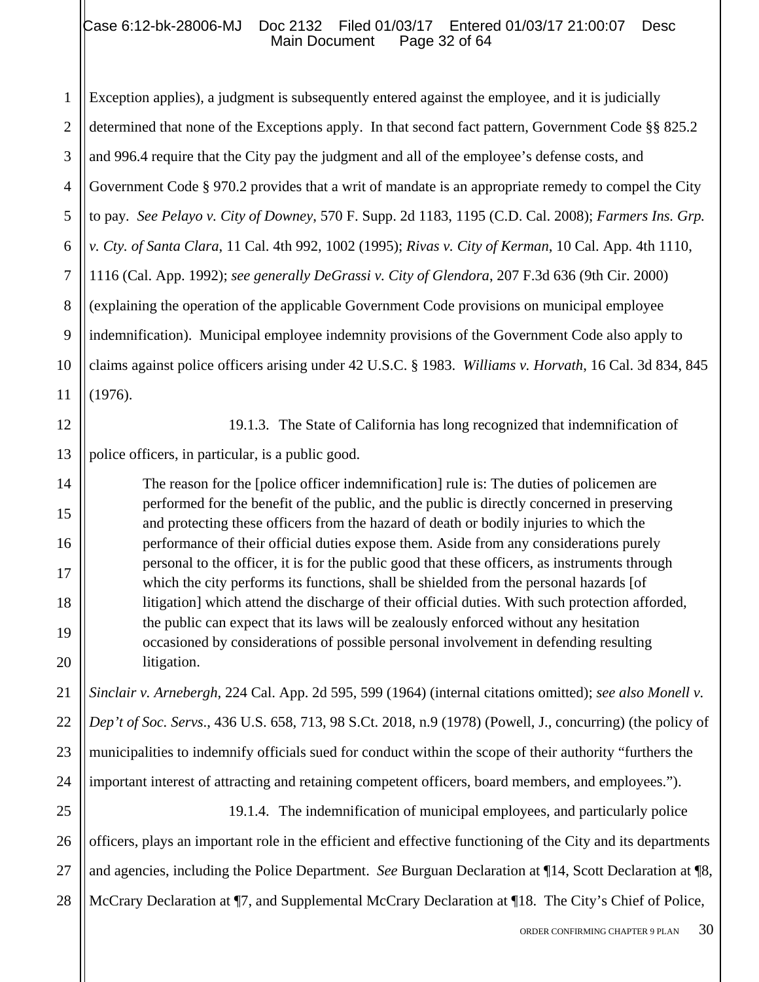1 2 3 4 5 6 7 8 9 10 11 Exception applies), a judgment is subsequently entered against the employee, and it is judicially determined that none of the Exceptions apply. In that second fact pattern, Government Code §§ 825.2 and 996.4 require that the City pay the judgment and all of the employee's defense costs, and Government Code § 970.2 provides that a writ of mandate is an appropriate remedy to compel the City to pay*. See Pelayo v. City of Downey*, 570 F. Supp. 2d 1183, 1195 (C.D. Cal. 2008); *Farmers Ins. Grp. v. Cty. of Santa Clara*, 11 Cal. 4th 992, 1002 (1995); *Rivas v. City of Kerman*, 10 Cal. App. 4th 1110, 1116 (Cal. App. 1992); *see generally DeGrassi v. City of Glendora*, 207 F.3d 636 (9th Cir. 2000) (explaining the operation of the applicable Government Code provisions on municipal employee indemnification). Municipal employee indemnity provisions of the Government Code also apply to claims against police officers arising under 42 U.S.C. § 1983. *Williams v. Horvath*, 16 Cal. 3d 834, 845 (1976).

12 13 19.1.3. The State of California has long recognized that indemnification of police officers, in particular, is a public good.

14

15

16

17

18

19

20

The reason for the [police officer indemnification] rule is: The duties of policemen are performed for the benefit of the public, and the public is directly concerned in preserving and protecting these officers from the hazard of death or bodily injuries to which the performance of their official duties expose them. Aside from any considerations purely personal to the officer, it is for the public good that these officers, as instruments through which the city performs its functions, shall be shielded from the personal hazards [of litigation] which attend the discharge of their official duties. With such protection afforded, the public can expect that its laws will be zealously enforced without any hesitation occasioned by considerations of possible personal involvement in defending resulting litigation.

21 22 23 24 *Sinclair v. Arnebergh*, 224 Cal. App. 2d 595, 599 (1964) (internal citations omitted); *see also Monell v. Dep't of Soc. Servs*., 436 U.S. 658, 713, 98 S.Ct. 2018, n.9 (1978) (Powell, J., concurring) (the policy of municipalities to indemnify officials sued for conduct within the scope of their authority "furthers the important interest of attracting and retaining competent officers, board members, and employees.").

25 26 27 28 19.1.4. The indemnification of municipal employees, and particularly police officers, plays an important role in the efficient and effective functioning of the City and its departments and agencies, including the Police Department. *See* Burguan Declaration at ¶14, Scott Declaration at ¶8, McCrary Declaration at ¶7, and Supplemental McCrary Declaration at ¶18. The City's Chief of Police,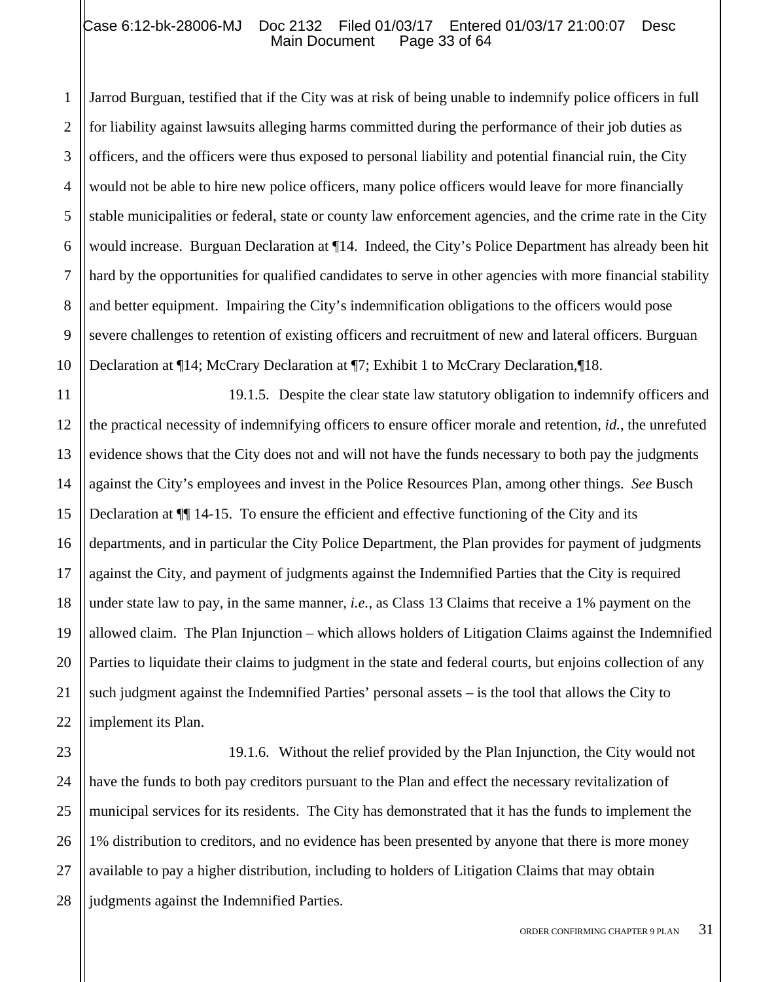#### Case 6:12-bk-28006-MJ Doc 2132 Filed 01/03/17 Entered 01/03/17 21:00:07 Desc<br>Main Document Page 33 of 64 Main Document

1 2 3 4 5 6 7 8 9 10 Jarrod Burguan, testified that if the City was at risk of being unable to indemnify police officers in full for liability against lawsuits alleging harms committed during the performance of their job duties as officers, and the officers were thus exposed to personal liability and potential financial ruin, the City would not be able to hire new police officers, many police officers would leave for more financially stable municipalities or federal, state or county law enforcement agencies, and the crime rate in the City would increase. Burguan Declaration at ¶14. Indeed, the City's Police Department has already been hit hard by the opportunities for qualified candidates to serve in other agencies with more financial stability and better equipment. Impairing the City's indemnification obligations to the officers would pose severe challenges to retention of existing officers and recruitment of new and lateral officers. Burguan Declaration at ¶14; McCrary Declaration at ¶7; Exhibit 1 to McCrary Declaration,¶18.

11 12 13 14 15 16 17 18 19 20 21 22 19.1.5. Despite the clear state law statutory obligation to indemnify officers and the practical necessity of indemnifying officers to ensure officer morale and retention, *id.*, the unrefuted evidence shows that the City does not and will not have the funds necessary to both pay the judgments against the City's employees and invest in the Police Resources Plan, among other things. *See* Busch Declaration at ¶¶ 14-15. To ensure the efficient and effective functioning of the City and its departments, and in particular the City Police Department, the Plan provides for payment of judgments against the City, and payment of judgments against the Indemnified Parties that the City is required under state law to pay, in the same manner, *i.e.*, as Class 13 Claims that receive a 1% payment on the allowed claim. The Plan Injunction – which allows holders of Litigation Claims against the Indemnified Parties to liquidate their claims to judgment in the state and federal courts, but enjoins collection of any such judgment against the Indemnified Parties' personal assets – is the tool that allows the City to implement its Plan.

23 24 25 26 27 28 19.1.6. Without the relief provided by the Plan Injunction, the City would not have the funds to both pay creditors pursuant to the Plan and effect the necessary revitalization of municipal services for its residents. The City has demonstrated that it has the funds to implement the 1% distribution to creditors, and no evidence has been presented by anyone that there is more money available to pay a higher distribution, including to holders of Litigation Claims that may obtain judgments against the Indemnified Parties.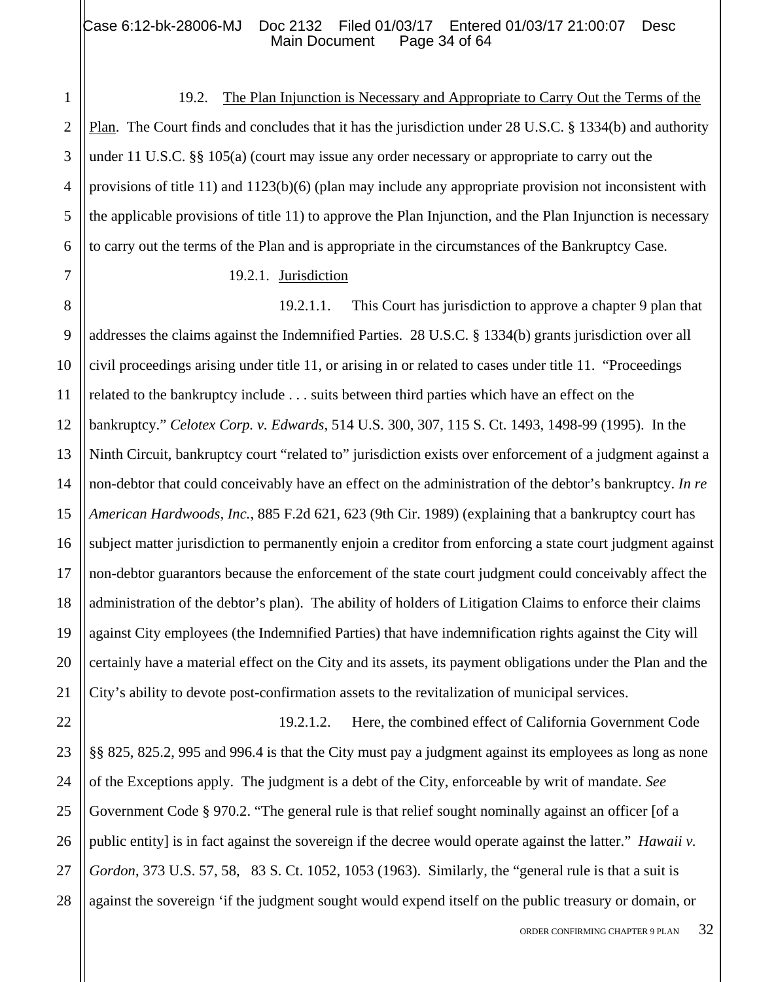# Case 6:12-bk-28006-MJ Doc 2132 Filed 01/03/17 Entered 01/03/17 21:00:07 Desc<br>Main Document Page 34 of 64 Main Document

19.2. The Plan Injunction is Necessary and Appropriate to Carry Out the Terms of the Plan. The Court finds and concludes that it has the jurisdiction under 28 U.S.C. § 1334(b) and authority under 11 U.S.C. §§ 105(a) (court may issue any order necessary or appropriate to carry out the provisions of title 11) and 1123(b)(6) (plan may include any appropriate provision not inconsistent with the applicable provisions of title 11) to approve the Plan Injunction, and the Plan Injunction is necessary to carry out the terms of the Plan and is appropriate in the circumstances of the Bankruptcy Case.

19.2.1. Jurisdiction

1

2

3

4

5

6

7

8 9 10 11 12 13 14 15 16 17 18 19 20 21 19.2.1.1. This Court has jurisdiction to approve a chapter 9 plan that addresses the claims against the Indemnified Parties. 28 U.S.C. § 1334(b) grants jurisdiction over all civil proceedings arising under title 11, or arising in or related to cases under title 11. "Proceedings related to the bankruptcy include . . . suits between third parties which have an effect on the bankruptcy." *Celotex Corp. v. Edwards*, 514 U.S. 300, 307, 115 S. Ct. 1493, 1498-99 (1995). In the Ninth Circuit, bankruptcy court "related to" jurisdiction exists over enforcement of a judgment against a non-debtor that could conceivably have an effect on the administration of the debtor's bankruptcy. *In re American Hardwoods, Inc.*, 885 F.2d 621, 623 (9th Cir. 1989) (explaining that a bankruptcy court has subject matter jurisdiction to permanently enjoin a creditor from enforcing a state court judgment against non-debtor guarantors because the enforcement of the state court judgment could conceivably affect the administration of the debtor's plan). The ability of holders of Litigation Claims to enforce their claims against City employees (the Indemnified Parties) that have indemnification rights against the City will certainly have a material effect on the City and its assets, its payment obligations under the Plan and the City's ability to devote post-confirmation assets to the revitalization of municipal services.

22 23 24 25 26 27 28 19.2.1.2. Here, the combined effect of California Government Code §§ 825, 825.2, 995 and 996.4 is that the City must pay a judgment against its employees as long as none of the Exceptions apply. The judgment is a debt of the City, enforceable by writ of mandate. *See*  Government Code § 970.2. "The general rule is that relief sought nominally against an officer [of a public entity] is in fact against the sovereign if the decree would operate against the latter." *Hawaii v. Gordon*, 373 U.S. 57, 58, 83 S. Ct. 1052, 1053 (1963). Similarly, the "general rule is that a suit is against the sovereign 'if the judgment sought would expend itself on the public treasury or domain, or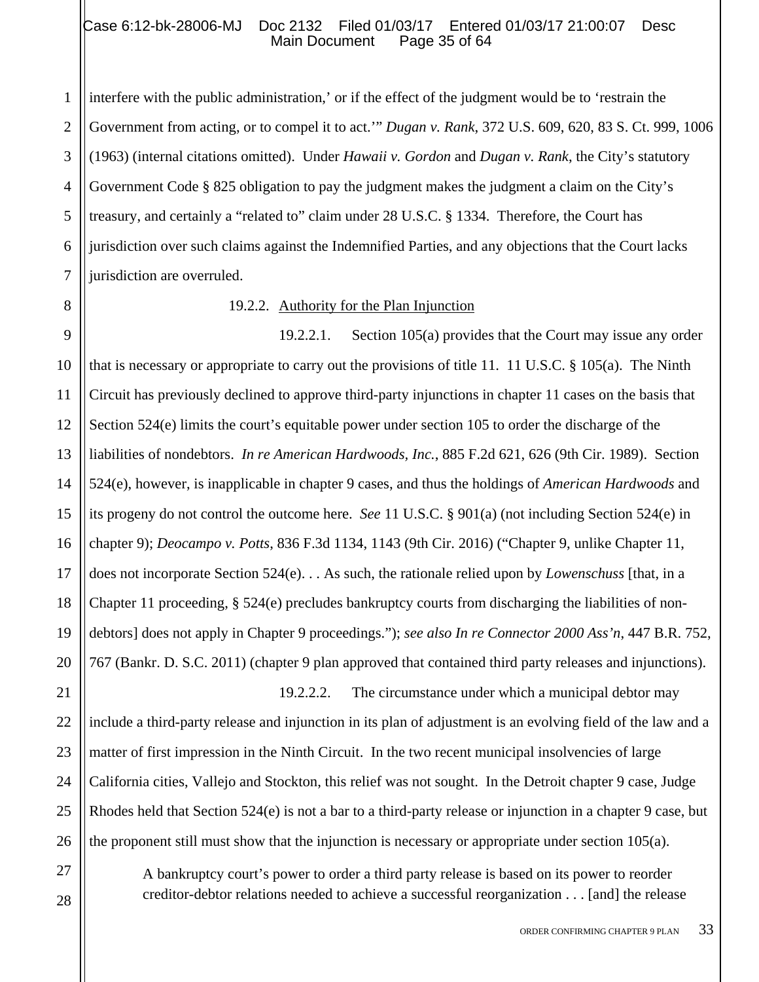# Case 6:12-bk-28006-MJ Doc 2132 Filed 01/03/17 Entered 01/03/17 21:00:07 Desc<br>Main Document Page 35 of 64 Main Document

1 2 3 4 5 6 7 interfere with the public administration,' or if the effect of the judgment would be to 'restrain the Government from acting, or to compel it to act.'" *Dugan v. Rank*, 372 U.S. 609, 620, 83 S. Ct. 999, 1006 (1963) (internal citations omitted). Under *Hawaii v. Gordon* and *Dugan v. Rank*, the City's statutory Government Code § 825 obligation to pay the judgment makes the judgment a claim on the City's treasury, and certainly a "related to" claim under 28 U.S.C. § 1334. Therefore, the Court has jurisdiction over such claims against the Indemnified Parties, and any objections that the Court lacks jurisdiction are overruled.

21

27

28

19.2.2. Authority for the Plan Injunction

17 18 19 20 19.2.2.1. Section 105(a) provides that the Court may issue any order that is necessary or appropriate to carry out the provisions of title 11. 11 U.S.C. § 105(a). The Ninth Circuit has previously declined to approve third-party injunctions in chapter 11 cases on the basis that Section 524(e) limits the court's equitable power under section 105 to order the discharge of the liabilities of nondebtors. *In re American Hardwoods, Inc.*, 885 F.2d 621, 626 (9th Cir. 1989). Section 524(e), however, is inapplicable in chapter 9 cases, and thus the holdings of *American Hardwoods* and its progeny do not control the outcome here. *See* 11 U.S.C. § 901(a) (not including Section 524(e) in chapter 9); *Deocampo v. Potts*, 836 F.3d 1134, 1143 (9th Cir. 2016) ("Chapter 9, unlike Chapter 11, does not incorporate Section 524(e). . . As such, the rationale relied upon by *Lowenschuss* [that, in a Chapter 11 proceeding, § 524(e) precludes bankruptcy courts from discharging the liabilities of nondebtors] does not apply in Chapter 9 proceedings."); *see also In re Connector 2000 Ass'n*, 447 B.R. 752, 767 (Bankr. D. S.C. 2011) (chapter 9 plan approved that contained third party releases and injunctions).

22 23 24 25 26 19.2.2.2. The circumstance under which a municipal debtor may include a third-party release and injunction in its plan of adjustment is an evolving field of the law and a matter of first impression in the Ninth Circuit. In the two recent municipal insolvencies of large California cities, Vallejo and Stockton, this relief was not sought. In the Detroit chapter 9 case, Judge Rhodes held that Section 524(e) is not a bar to a third-party release or injunction in a chapter 9 case, but the proponent still must show that the injunction is necessary or appropriate under section 105(a).

> A bankruptcy court's power to order a third party release is based on its power to reorder creditor-debtor relations needed to achieve a successful reorganization . . . [and] the release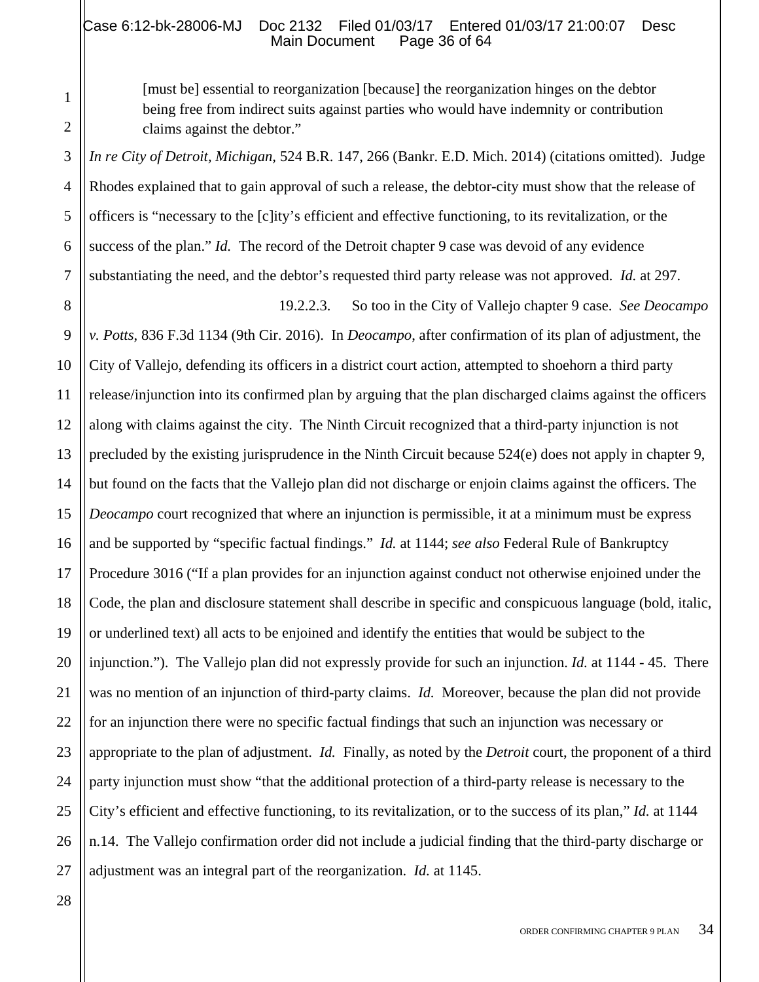[must be] essential to reorganization [because] the reorganization hinges on the debtor being free from indirect suits against parties who would have indemnity or contribution claims against the debtor."

*In re City of Detroit, Michigan,* 524 B.R. 147, 266 (Bankr. E.D. Mich. 2014) (citations omitted). Judge Rhodes explained that to gain approval of such a release, the debtor-city must show that the release of officers is "necessary to the [c]ity's efficient and effective functioning, to its revitalization, or the success of the plan." *Id.* The record of the Detroit chapter 9 case was devoid of any evidence substantiating the need, and the debtor's requested third party release was not approved. *Id.* at 297.

8 9 10 11 12 13 14 15 16 17 18 19 20 21 22 23 24 25 26 27 19.2.2.3. So too in the City of Vallejo chapter 9 case. *See Deocampo v. Potts*, 836 F.3d 1134 (9th Cir. 2016). In *Deocampo*, after confirmation of its plan of adjustment, the City of Vallejo, defending its officers in a district court action, attempted to shoehorn a third party release/injunction into its confirmed plan by arguing that the plan discharged claims against the officers along with claims against the city. The Ninth Circuit recognized that a third-party injunction is not precluded by the existing jurisprudence in the Ninth Circuit because 524(e) does not apply in chapter 9, but found on the facts that the Vallejo plan did not discharge or enjoin claims against the officers. The *Deocampo* court recognized that where an injunction is permissible, it at a minimum must be express and be supported by "specific factual findings." *Id.* at 1144; *see also* Federal Rule of Bankruptcy Procedure 3016 ("If a plan provides for an injunction against conduct not otherwise enjoined under the Code, the plan and disclosure statement shall describe in specific and conspicuous language (bold, italic, or underlined text) all acts to be enjoined and identify the entities that would be subject to the injunction."). The Vallejo plan did not expressly provide for such an injunction. *Id.* at 1144 - 45. There was no mention of an injunction of third-party claims. *Id.* Moreover, because the plan did not provide for an injunction there were no specific factual findings that such an injunction was necessary or appropriate to the plan of adjustment. *Id.* Finally, as noted by the *Detroit* court, the proponent of a third party injunction must show "that the additional protection of a third-party release is necessary to the City's efficient and effective functioning, to its revitalization, or to the success of its plan," *Id.* at 1144 n.14. The Vallejo confirmation order did not include a judicial finding that the third-party discharge or adjustment was an integral part of the reorganization. *Id.* at 1145.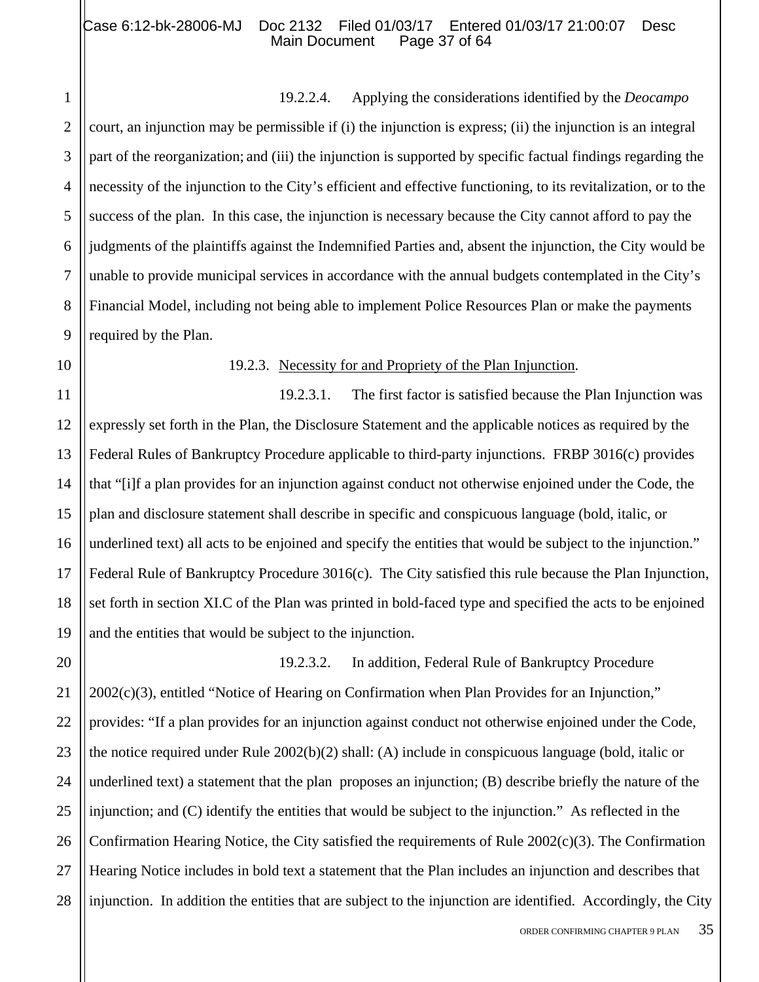## Case 6:12-bk-28006-MJ Doc 2132 Filed 01/03/17 Entered 01/03/17 21:00:07 Desc<br>Main Document Page 37 of 64 Main Document

19.2.2.4. Applying the considerations identified by the *Deocampo* court, an injunction may be permissible if (i) the injunction is express; (ii) the injunction is an integral part of the reorganization; and (iii) the injunction is supported by specific factual findings regarding the necessity of the injunction to the City's efficient and effective functioning, to its revitalization, or to the success of the plan. In this case, the injunction is necessary because the City cannot afford to pay the judgments of the plaintiffs against the Indemnified Parties and, absent the injunction, the City would be unable to provide municipal services in accordance with the annual budgets contemplated in the City's Financial Model, including not being able to implement Police Resources Plan or make the payments required by the Plan.

1

2

3

4

5

6

7

8

#### 19.2.3. Necessity for and Propriety of the Plan Injunction.

19.2.3.1. The first factor is satisfied because the Plan Injunction was expressly set forth in the Plan, the Disclosure Statement and the applicable notices as required by the Federal Rules of Bankruptcy Procedure applicable to third-party injunctions. FRBP 3016(c) provides that "[i]f a plan provides for an injunction against conduct not otherwise enjoined under the Code, the plan and disclosure statement shall describe in specific and conspicuous language (bold, italic, or underlined text) all acts to be enjoined and specify the entities that would be subject to the injunction." Federal Rule of Bankruptcy Procedure 3016(c). The City satisfied this rule because the Plan Injunction, set forth in section XI.C of the Plan was printed in bold-faced type and specified the acts to be enjoined and the entities that would be subject to the injunction.

28 19.2.3.2. In addition, Federal Rule of Bankruptcy Procedure 2002(c)(3), entitled "Notice of Hearing on Confirmation when Plan Provides for an Injunction," provides: "If a plan provides for an injunction against conduct not otherwise enjoined under the Code, the notice required under Rule 2002(b)(2) shall: (A) include in conspicuous language (bold, italic or underlined text) a statement that the plan proposes an injunction; (B) describe briefly the nature of the injunction; and (C) identify the entities that would be subject to the injunction." As reflected in the Confirmation Hearing Notice, the City satisfied the requirements of Rule 2002(c)(3). The Confirmation Hearing Notice includes in bold text a statement that the Plan includes an injunction and describes that injunction. In addition the entities that are subject to the injunction are identified. Accordingly, the City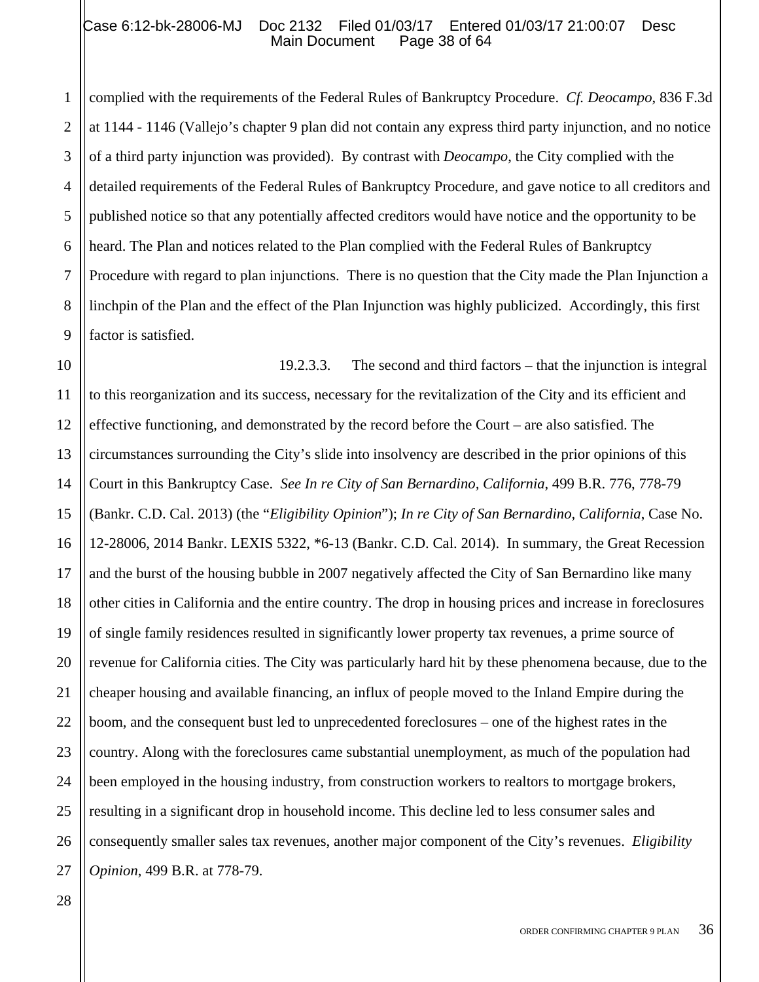#### Case 6:12-bk-28006-MJ Doc 2132 Filed 01/03/17 Entered 01/03/17 21:00:07 Desc<br>Main Document Page 38 of 64 Main Document

2 3 4 5 6 complied with the requirements of the Federal Rules of Bankruptcy Procedure. *Cf. Deocampo*, 836 F.3d at 1144 - 1146 (Vallejo's chapter 9 plan did not contain any express third party injunction, and no notice of a third party injunction was provided). By contrast with *Deocampo*, the City complied with the detailed requirements of the Federal Rules of Bankruptcy Procedure, and gave notice to all creditors and published notice so that any potentially affected creditors would have notice and the opportunity to be heard. The Plan and notices related to the Plan complied with the Federal Rules of Bankruptcy Procedure with regard to plan injunctions. There is no question that the City made the Plan Injunction a linchpin of the Plan and the effect of the Plan Injunction was highly publicized. Accordingly, this first factor is satisfied.

19.2.3.3. The second and third factors – that the injunction is integral to this reorganization and its success, necessary for the revitalization of the City and its efficient and effective functioning, and demonstrated by the record before the Court – are also satisfied. The circumstances surrounding the City's slide into insolvency are described in the prior opinions of this Court in this Bankruptcy Case. *See In re City of San Bernardino, California*, 499 B.R. 776, 778-79 (Bankr. C.D. Cal. 2013) (the "*Eligibility Opinion*"); *In re City of San Bernardino, California*, Case No. 12-28006, 2014 Bankr. LEXIS 5322, \*6-13 (Bankr. C.D. Cal. 2014). In summary, the Great Recession and the burst of the housing bubble in 2007 negatively affected the City of San Bernardino like many other cities in California and the entire country. The drop in housing prices and increase in foreclosures of single family residences resulted in significantly lower property tax revenues, a prime source of revenue for California cities. The City was particularly hard hit by these phenomena because, due to the cheaper housing and available financing, an influx of people moved to the Inland Empire during the boom, and the consequent bust led to unprecedented foreclosures – one of the highest rates in the country. Along with the foreclosures came substantial unemployment, as much of the population had been employed in the housing industry, from construction workers to realtors to mortgage brokers, resulting in a significant drop in household income. This decline led to less consumer sales and consequently smaller sales tax revenues, another major component of the City's revenues. *Eligibility Opinion*, 499 B.R. at 778-79.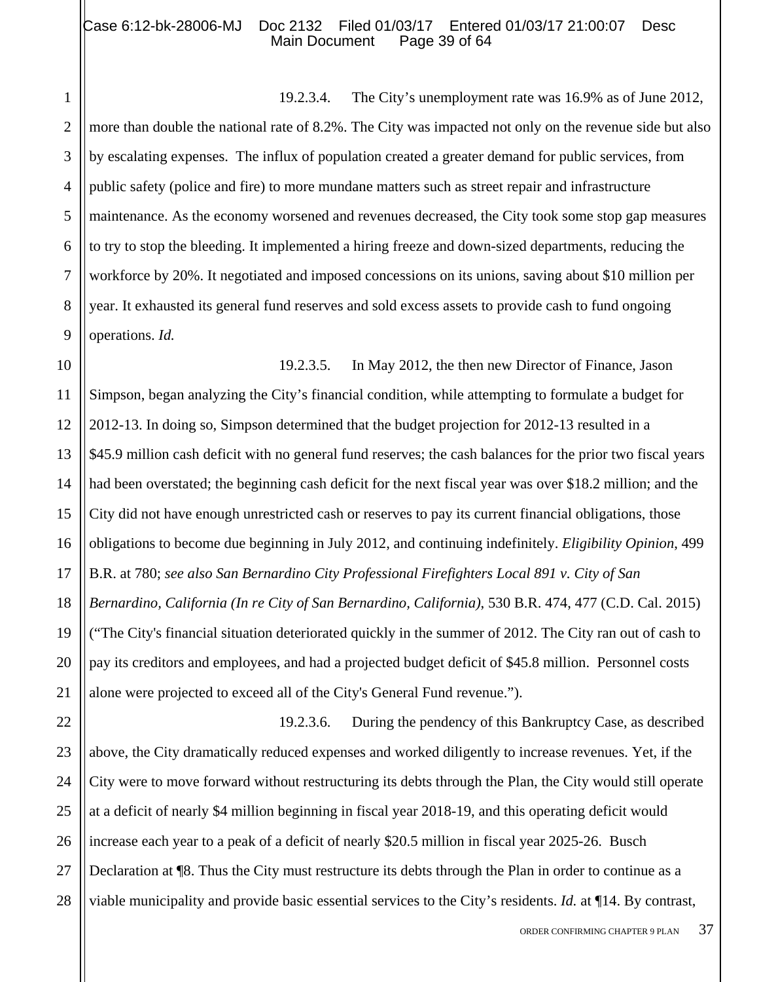## Case 6:12-bk-28006-MJ Doc 2132 Filed 01/03/17 Entered 01/03/17 21:00:07 Desc<br>Main Document Page 39 of 64 Main Document

1

2

3

4

5

6

7

8

9

19.2.3.4. The City's unemployment rate was 16.9% as of June 2012, more than double the national rate of 8.2%. The City was impacted not only on the revenue side but also by escalating expenses. The influx of population created a greater demand for public services, from public safety (police and fire) to more mundane matters such as street repair and infrastructure maintenance. As the economy worsened and revenues decreased, the City took some stop gap measures to try to stop the bleeding. It implemented a hiring freeze and down-sized departments, reducing the workforce by 20%. It negotiated and imposed concessions on its unions, saving about \$10 million per year. It exhausted its general fund reserves and sold excess assets to provide cash to fund ongoing operations. *Id.*

10 11 12 13 14 15 16 17 18 19 20 21 19.2.3.5. In May 2012, the then new Director of Finance, Jason Simpson, began analyzing the City's financial condition, while attempting to formulate a budget for 2012-13. In doing so, Simpson determined that the budget projection for 2012-13 resulted in a \$45.9 million cash deficit with no general fund reserves; the cash balances for the prior two fiscal years had been overstated; the beginning cash deficit for the next fiscal year was over \$18.2 million; and the City did not have enough unrestricted cash or reserves to pay its current financial obligations, those obligations to become due beginning in July 2012, and continuing indefinitely. *Eligibility Opinion*, 499 B.R. at 780; *see also San Bernardino City Professional Firefighters Local 891 v. City of San Bernardino, California (In re City of San Bernardino, California)*, 530 B.R. 474, 477 (C.D. Cal. 2015) ("The City's financial situation deteriorated quickly in the summer of 2012. The City ran out of cash to pay its creditors and employees, and had a projected budget deficit of \$45.8 million. Personnel costs alone were projected to exceed all of the City's General Fund revenue.").

22 23 24 25 26 27 28 19.2.3.6. During the pendency of this Bankruptcy Case, as described above, the City dramatically reduced expenses and worked diligently to increase revenues. Yet, if the City were to move forward without restructuring its debts through the Plan, the City would still operate at a deficit of nearly \$4 million beginning in fiscal year 2018-19, and this operating deficit would increase each year to a peak of a deficit of nearly \$20.5 million in fiscal year 2025-26. Busch Declaration at ¶8. Thus the City must restructure its debts through the Plan in order to continue as a viable municipality and provide basic essential services to the City's residents. *Id.* at ¶14. By contrast,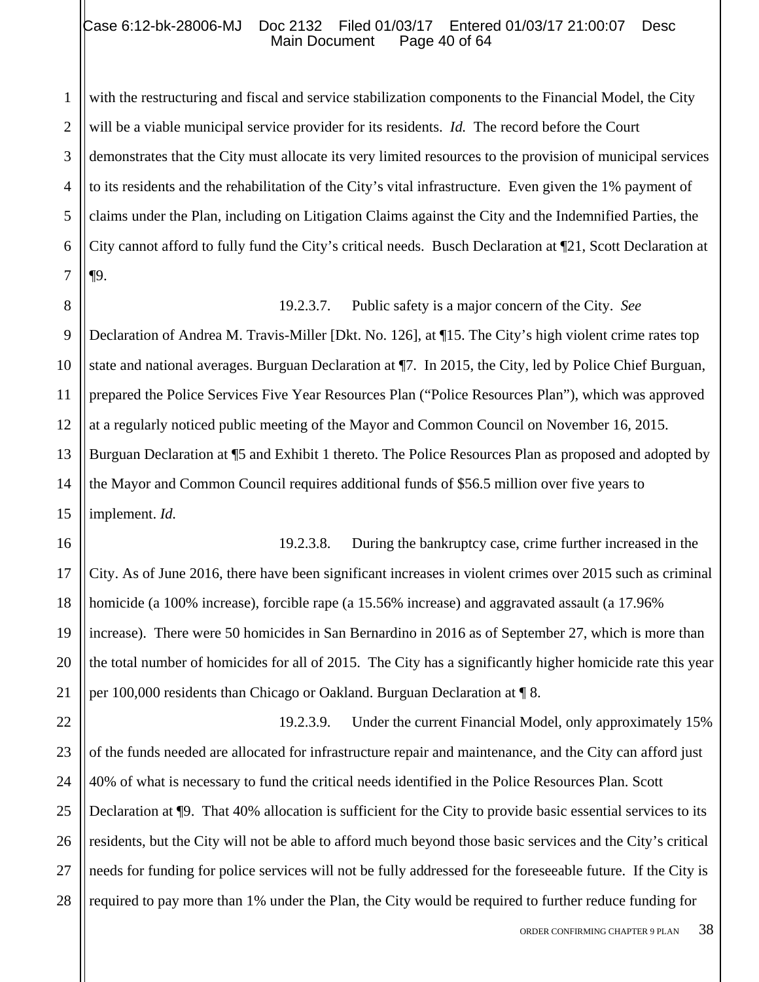#### Case 6:12-bk-28006-MJ Doc 2132 Filed 01/03/17 Entered 01/03/17 21:00:07 Desc<br>Main Document Page 40 of 64 Main Document

1 2 3 4 5 6 7 with the restructuring and fiscal and service stabilization components to the Financial Model, the City will be a viable municipal service provider for its residents. *Id.* The record before the Court demonstrates that the City must allocate its very limited resources to the provision of municipal services to its residents and the rehabilitation of the City's vital infrastructure. Even given the 1% payment of claims under the Plan, including on Litigation Claims against the City and the Indemnified Parties, the City cannot afford to fully fund the City's critical needs. Busch Declaration at ¶21, Scott Declaration at ¶9.

8

19.2.3.7. Public safety is a major concern of the City. *See* 

9 10 11 12 13 14 15 Declaration of Andrea M. Travis-Miller [Dkt. No. 126], at ¶15. The City's high violent crime rates top state and national averages. Burguan Declaration at ¶7. In 2015, the City, led by Police Chief Burguan, prepared the Police Services Five Year Resources Plan ("Police Resources Plan"), which was approved at a regularly noticed public meeting of the Mayor and Common Council on November 16, 2015. Burguan Declaration at ¶5 and Exhibit 1 thereto. The Police Resources Plan as proposed and adopted by the Mayor and Common Council requires additional funds of \$56.5 million over five years to implement. *Id.*

16 17 18 19 20 21 19.2.3.8. During the bankruptcy case, crime further increased in the City. As of June 2016, there have been significant increases in violent crimes over 2015 such as criminal homicide (a 100% increase), forcible rape (a 15.56% increase) and aggravated assault (a 17.96% increase). There were 50 homicides in San Bernardino in 2016 as of September 27, which is more than the total number of homicides for all of 2015. The City has a significantly higher homicide rate this year per 100,000 residents than Chicago or Oakland. Burguan Declaration at ¶ 8.

22 23 24 25 26 27 28 19.2.3.9. Under the current Financial Model, only approximately 15% of the funds needed are allocated for infrastructure repair and maintenance, and the City can afford just 40% of what is necessary to fund the critical needs identified in the Police Resources Plan. Scott Declaration at ¶9. That 40% allocation is sufficient for the City to provide basic essential services to its residents, but the City will not be able to afford much beyond those basic services and the City's critical needs for funding for police services will not be fully addressed for the foreseeable future. If the City is required to pay more than 1% under the Plan, the City would be required to further reduce funding for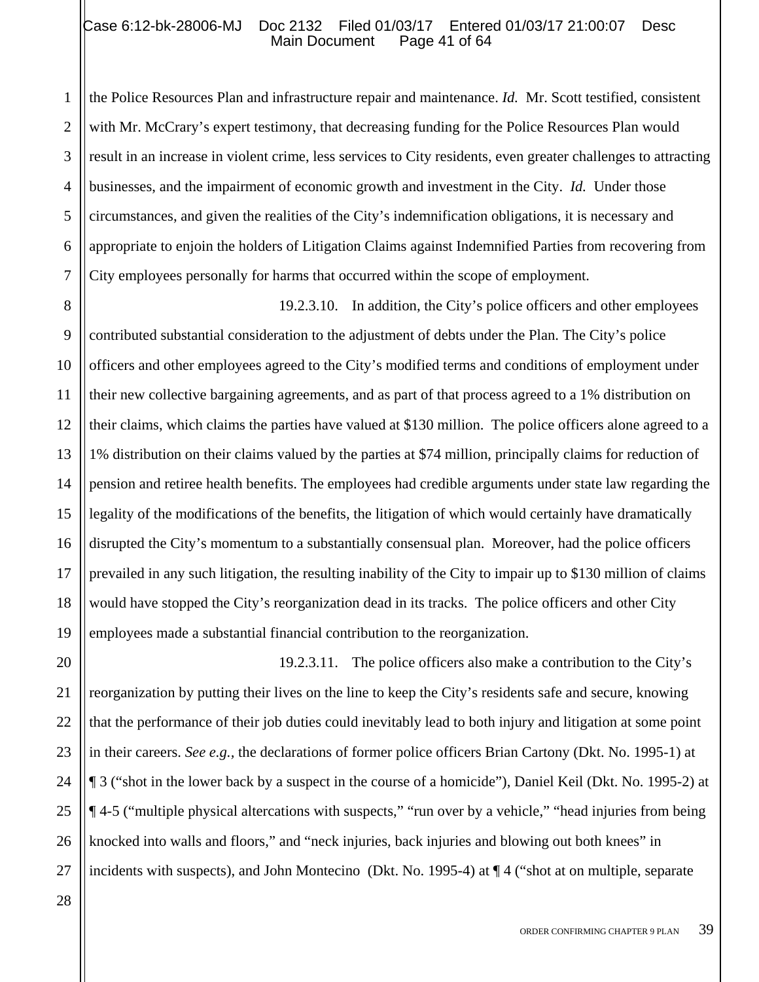1 2 3 4 5 6 7 the Police Resources Plan and infrastructure repair and maintenance. *Id.* Mr. Scott testified, consistent with Mr. McCrary's expert testimony, that decreasing funding for the Police Resources Plan would result in an increase in violent crime, less services to City residents, even greater challenges to attracting businesses, and the impairment of economic growth and investment in the City. *Id.* Under those circumstances, and given the realities of the City's indemnification obligations, it is necessary and appropriate to enjoin the holders of Litigation Claims against Indemnified Parties from recovering from City employees personally for harms that occurred within the scope of employment.

8 9 10 11 12 13 14 15 16 17 18 19 19.2.3.10. In addition, the City's police officers and other employees contributed substantial consideration to the adjustment of debts under the Plan. The City's police officers and other employees agreed to the City's modified terms and conditions of employment under their new collective bargaining agreements, and as part of that process agreed to a 1% distribution on their claims, which claims the parties have valued at \$130 million. The police officers alone agreed to a 1% distribution on their claims valued by the parties at \$74 million, principally claims for reduction of pension and retiree health benefits. The employees had credible arguments under state law regarding the legality of the modifications of the benefits, the litigation of which would certainly have dramatically disrupted the City's momentum to a substantially consensual plan. Moreover, had the police officers prevailed in any such litigation, the resulting inability of the City to impair up to \$130 million of claims would have stopped the City's reorganization dead in its tracks. The police officers and other City employees made a substantial financial contribution to the reorganization.

20 21 22 23 24 25 26 19.2.3.11. The police officers also make a contribution to the City's reorganization by putting their lives on the line to keep the City's residents safe and secure, knowing that the performance of their job duties could inevitably lead to both injury and litigation at some point in their careers. *See e.g.,* the declarations of former police officers Brian Cartony (Dkt. No. 1995-1) at ¶ 3 ("shot in the lower back by a suspect in the course of a homicide"), Daniel Keil (Dkt. No. 1995-2) at ¶ 4-5 ("multiple physical altercations with suspects," "run over by a vehicle," "head injuries from being knocked into walls and floors," and "neck injuries, back injuries and blowing out both knees" in incidents with suspects), and John Montecino (Dkt. No. 1995-4) at ¶ 4 ("shot at on multiple, separate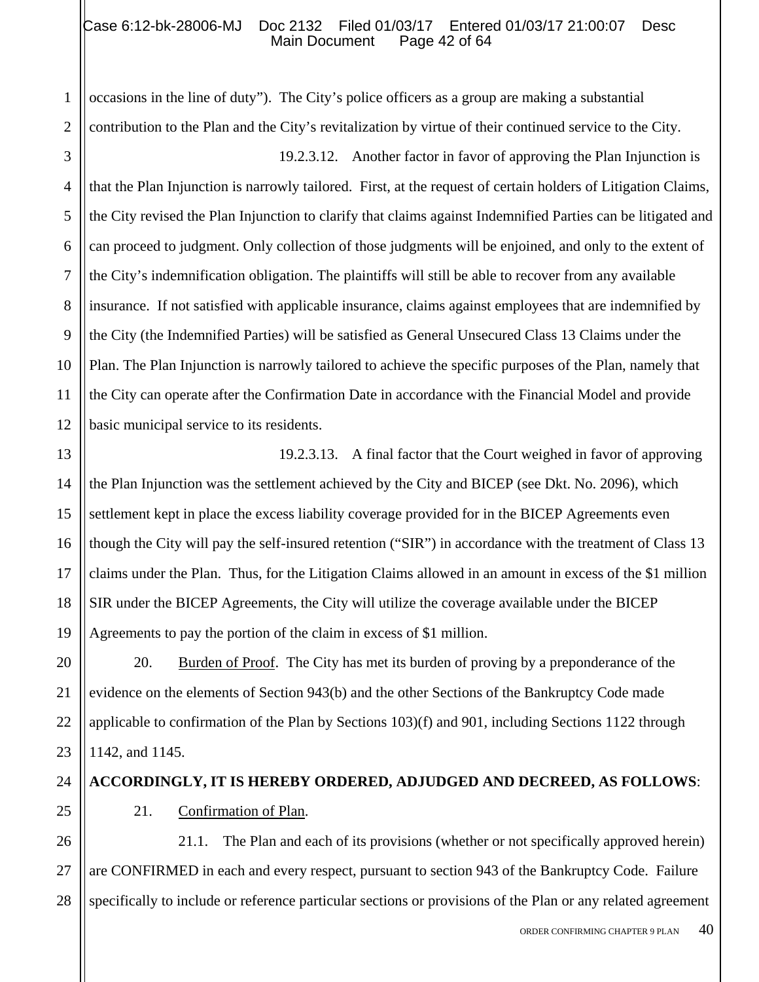## Case 6:12-bk-28006-MJ Doc 2132 Filed 01/03/17 Entered 01/03/17 21:00:07 Desc<br>Main Document Page 42 of 64 Main Document

occasions in the line of duty"). The City's police officers as a group are making a substantial contribution to the Plan and the City's revitalization by virtue of their continued service to the City.

19.2.3.12. Another factor in favor of approving the Plan Injunction is that the Plan Injunction is narrowly tailored. First, at the request of certain holders of Litigation Claims, the City revised the Plan Injunction to clarify that claims against Indemnified Parties can be litigated and can proceed to judgment. Only collection of those judgments will be enjoined, and only to the extent of the City's indemnification obligation. The plaintiffs will still be able to recover from any available insurance. If not satisfied with applicable insurance, claims against employees that are indemnified by the City (the Indemnified Parties) will be satisfied as General Unsecured Class 13 Claims under the Plan. The Plan Injunction is narrowly tailored to achieve the specific purposes of the Plan, namely that the City can operate after the Confirmation Date in accordance with the Financial Model and provide basic municipal service to its residents.

19.2.3.13. A final factor that the Court weighed in favor of approving the Plan Injunction was the settlement achieved by the City and BICEP (see Dkt. No. 2096), which settlement kept in place the excess liability coverage provided for in the BICEP Agreements even though the City will pay the self-insured retention ("SIR") in accordance with the treatment of Class 13 claims under the Plan. Thus, for the Litigation Claims allowed in an amount in excess of the \$1 million SIR under the BICEP Agreements, the City will utilize the coverage available under the BICEP Agreements to pay the portion of the claim in excess of \$1 million.

20. Burden of Proof. The City has met its burden of proving by a preponderance of the evidence on the elements of Section 943(b) and the other Sections of the Bankruptcy Code made applicable to confirmation of the Plan by Sections 103)(f) and 901, including Sections 1122 through 1142, and 1145.

# **ACCORDINGLY, IT IS HEREBY ORDERED, ADJUDGED AND DECREED, AS FOLLOWS**:

21. Confirmation of Plan.

21.1. The Plan and each of its provisions (whether or not specifically approved herein) are CONFIRMED in each and every respect, pursuant to section 943 of the Bankruptcy Code. Failure specifically to include or reference particular sections or provisions of the Plan or any related agreement

1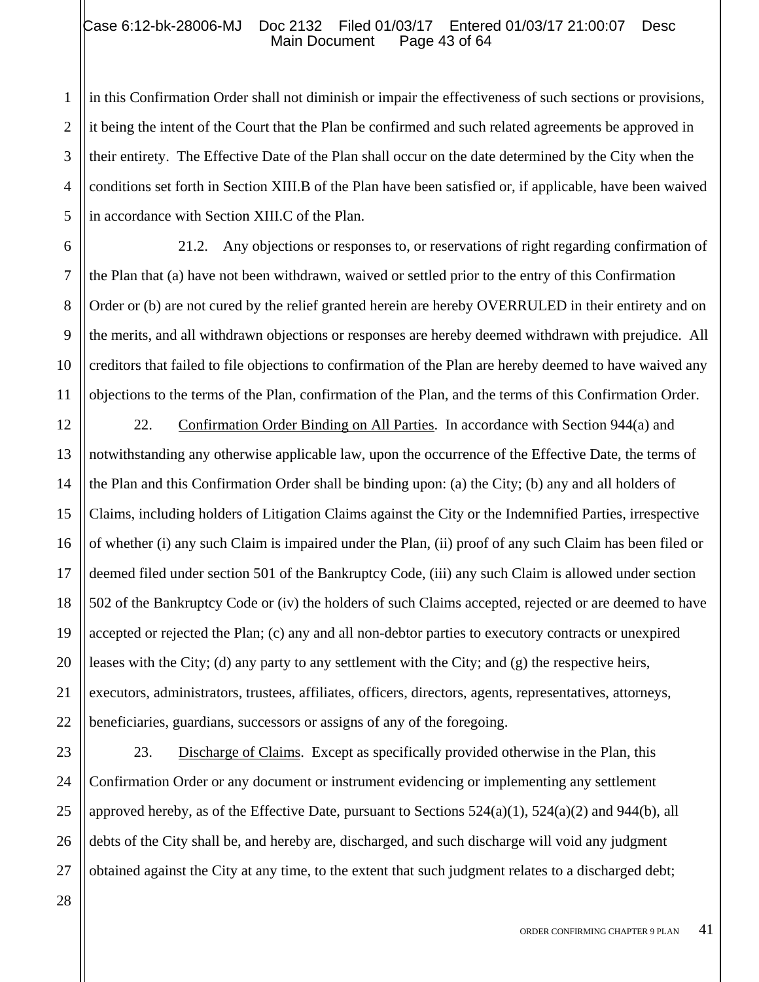#### Case 6:12-bk-28006-MJ Doc 2132 Filed 01/03/17 Entered 01/03/17 21:00:07 Desc<br>Main Document Page 43 of 64 Main Document

in this Confirmation Order shall not diminish or impair the effectiveness of such sections or provisions, it being the intent of the Court that the Plan be confirmed and such related agreements be approved in their entirety. The Effective Date of the Plan shall occur on the date determined by the City when the conditions set forth in Section XIII.B of the Plan have been satisfied or, if applicable, have been waived in accordance with Section XIII.C of the Plan.

21.2. Any objections or responses to, or reservations of right regarding confirmation of the Plan that (a) have not been withdrawn, waived or settled prior to the entry of this Confirmation Order or (b) are not cured by the relief granted herein are hereby OVERRULED in their entirety and on the merits, and all withdrawn objections or responses are hereby deemed withdrawn with prejudice. All creditors that failed to file objections to confirmation of the Plan are hereby deemed to have waived any objections to the terms of the Plan, confirmation of the Plan, and the terms of this Confirmation Order.

22. Confirmation Order Binding on All Parties. In accordance with Section 944(a) and notwithstanding any otherwise applicable law, upon the occurrence of the Effective Date, the terms of the Plan and this Confirmation Order shall be binding upon: (a) the City; (b) any and all holders of Claims, including holders of Litigation Claims against the City or the Indemnified Parties, irrespective of whether (i) any such Claim is impaired under the Plan, (ii) proof of any such Claim has been filed or deemed filed under section 501 of the Bankruptcy Code, (iii) any such Claim is allowed under section 502 of the Bankruptcy Code or (iv) the holders of such Claims accepted, rejected or are deemed to have accepted or rejected the Plan; (c) any and all non-debtor parties to executory contracts or unexpired leases with the City; (d) any party to any settlement with the City; and  $(g)$  the respective heirs, executors, administrators, trustees, affiliates, officers, directors, agents, representatives, attorneys, beneficiaries, guardians, successors or assigns of any of the foregoing.

23. Discharge of Claims. Except as specifically provided otherwise in the Plan, this Confirmation Order or any document or instrument evidencing or implementing any settlement approved hereby, as of the Effective Date, pursuant to Sections  $524(a)(1)$ ,  $524(a)(2)$  and  $944(b)$ , all debts of the City shall be, and hereby are, discharged, and such discharge will void any judgment obtained against the City at any time, to the extent that such judgment relates to a discharged debt;

28

1

2

3

4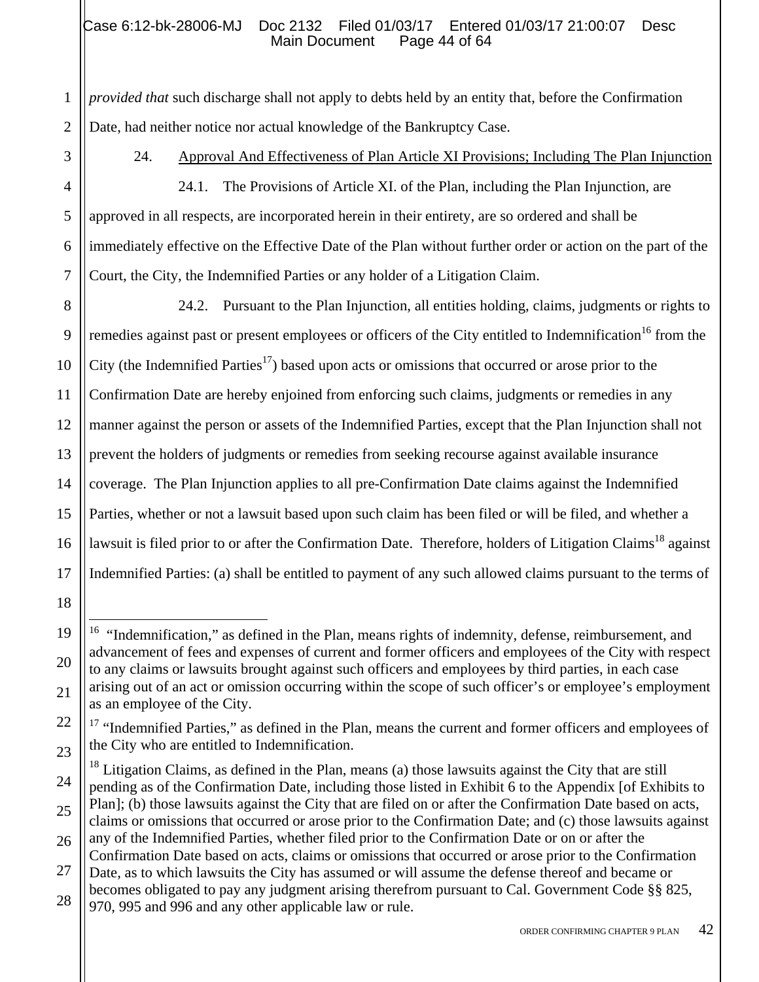*provided that* such discharge shall not apply to debts held by an entity that, before the Confirmation Date, had neither notice nor actual knowledge of the Bankruptcy Case.

18

19

20

21

22

23

1

2

24. Approval And Effectiveness of Plan Article XI Provisions; Including The Plan Injunction

24.1. The Provisions of Article XI. of the Plan, including the Plan Injunction, are approved in all respects, are incorporated herein in their entirety, are so ordered and shall be immediately effective on the Effective Date of the Plan without further order or action on the part of the Court, the City, the Indemnified Parties or any holder of a Litigation Claim.

14 15 16 17 24.2. Pursuant to the Plan Injunction, all entities holding, claims, judgments or rights to remedies against past or present employees or officers of the City entitled to Indemnification<sup>16</sup> from the City (the Indemnified Parties<sup>17</sup>) based upon acts or omissions that occurred or arose prior to the Confirmation Date are hereby enjoined from enforcing such claims, judgments or remedies in any manner against the person or assets of the Indemnified Parties, except that the Plan Injunction shall not prevent the holders of judgments or remedies from seeking recourse against available insurance coverage. The Plan Injunction applies to all pre-Confirmation Date claims against the Indemnified Parties, whether or not a lawsuit based upon such claim has been filed or will be filed, and whether a lawsuit is filed prior to or after the Confirmation Date. Therefore, holders of Litigation Claims<sup>18</sup> against Indemnified Parties: (a) shall be entitled to payment of any such allowed claims pursuant to the terms of

 $\overline{a}$  $16$  "Indemnification," as defined in the Plan, means rights of indemnity, defense, reimbursement, and advancement of fees and expenses of current and former officers and employees of the City with respect to any claims or lawsuits brought against such officers and employees by third parties, in each case arising out of an act or omission occurring within the scope of such officer's or employee's employment as an employee of the City.

<sup>&</sup>lt;sup>17</sup> "Indemnified Parties," as defined in the Plan, means the current and former officers and employees of the City who are entitled to Indemnification.

<sup>24</sup> 25  $18$  Litigation Claims, as defined in the Plan, means (a) those lawsuits against the City that are still pending as of the Confirmation Date, including those listed in Exhibit 6 to the Appendix [of Exhibits to Plan]; (b) those lawsuits against the City that are filed on or after the Confirmation Date based on acts, claims or omissions that occurred or arose prior to the Confirmation Date; and (c) those lawsuits against

<sup>26</sup> any of the Indemnified Parties, whether filed prior to the Confirmation Date or on or after the Confirmation Date based on acts, claims or omissions that occurred or arose prior to the Confirmation

<sup>27</sup> 28 Date, as to which lawsuits the City has assumed or will assume the defense thereof and became or becomes obligated to pay any judgment arising therefrom pursuant to Cal. Government Code §§ 825, 970, 995 and 996 and any other applicable law or rule.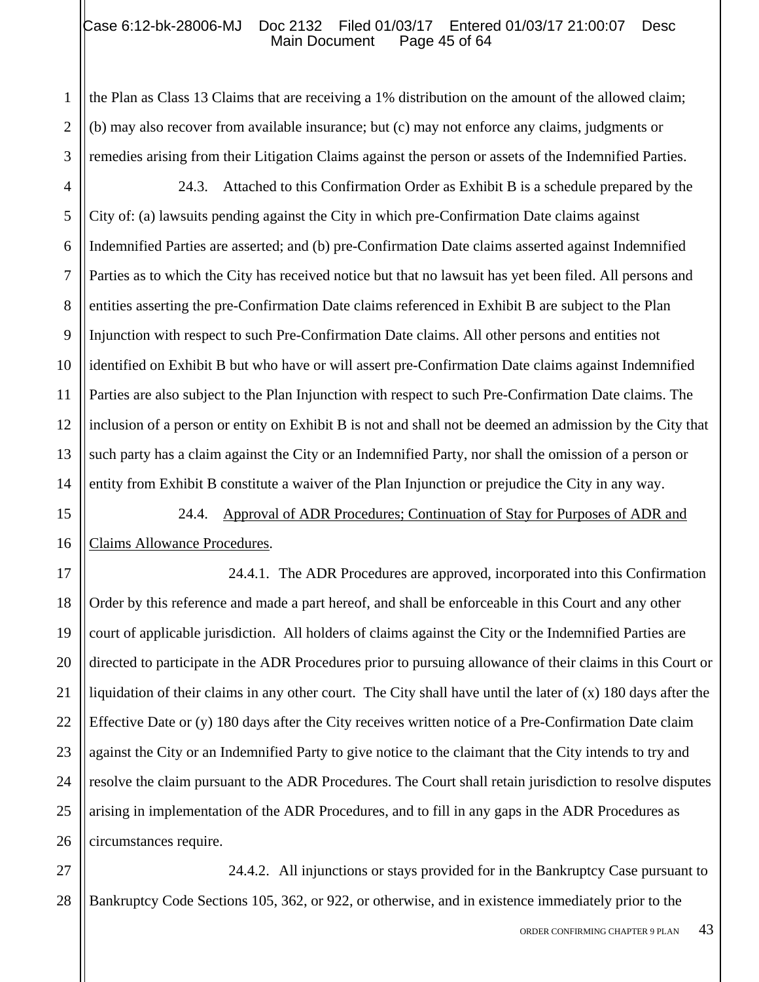#### Case 6:12-bk-28006-MJ Doc 2132 Filed 01/03/17 Entered 01/03/17 21:00:07 Desc<br>Main Document Page 45 of 64 Main Document

the Plan as Class 13 Claims that are receiving a 1% distribution on the amount of the allowed claim; (b) may also recover from available insurance; but (c) may not enforce any claims, judgments or remedies arising from their Litigation Claims against the person or assets of the Indemnified Parties.

1

2

3

4 5 6 7 8 9 10 11 12 13 14 24.3. Attached to this Confirmation Order as Exhibit B is a schedule prepared by the City of: (a) lawsuits pending against the City in which pre-Confirmation Date claims against Indemnified Parties are asserted; and (b) pre-Confirmation Date claims asserted against Indemnified Parties as to which the City has received notice but that no lawsuit has yet been filed. All persons and entities asserting the pre-Confirmation Date claims referenced in Exhibit B are subject to the Plan Injunction with respect to such Pre-Confirmation Date claims. All other persons and entities not identified on Exhibit B but who have or will assert pre-Confirmation Date claims against Indemnified Parties are also subject to the Plan Injunction with respect to such Pre-Confirmation Date claims. The inclusion of a person or entity on Exhibit B is not and shall not be deemed an admission by the City that such party has a claim against the City or an Indemnified Party, nor shall the omission of a person or entity from Exhibit B constitute a waiver of the Plan Injunction or prejudice the City in any way.

15 16 24.4. Approval of ADR Procedures; Continuation of Stay for Purposes of ADR and Claims Allowance Procedures.

17 18 19 20 21 22 23 24 25 26 24.4.1. The ADR Procedures are approved, incorporated into this Confirmation Order by this reference and made a part hereof, and shall be enforceable in this Court and any other court of applicable jurisdiction. All holders of claims against the City or the Indemnified Parties are directed to participate in the ADR Procedures prior to pursuing allowance of their claims in this Court or liquidation of their claims in any other court. The City shall have until the later of (x) 180 days after the Effective Date or (y) 180 days after the City receives written notice of a Pre-Confirmation Date claim against the City or an Indemnified Party to give notice to the claimant that the City intends to try and resolve the claim pursuant to the ADR Procedures. The Court shall retain jurisdiction to resolve disputes arising in implementation of the ADR Procedures, and to fill in any gaps in the ADR Procedures as circumstances require.

27 28 24.4.2. All injunctions or stays provided for in the Bankruptcy Case pursuant to Bankruptcy Code Sections 105, 362, or 922, or otherwise, and in existence immediately prior to the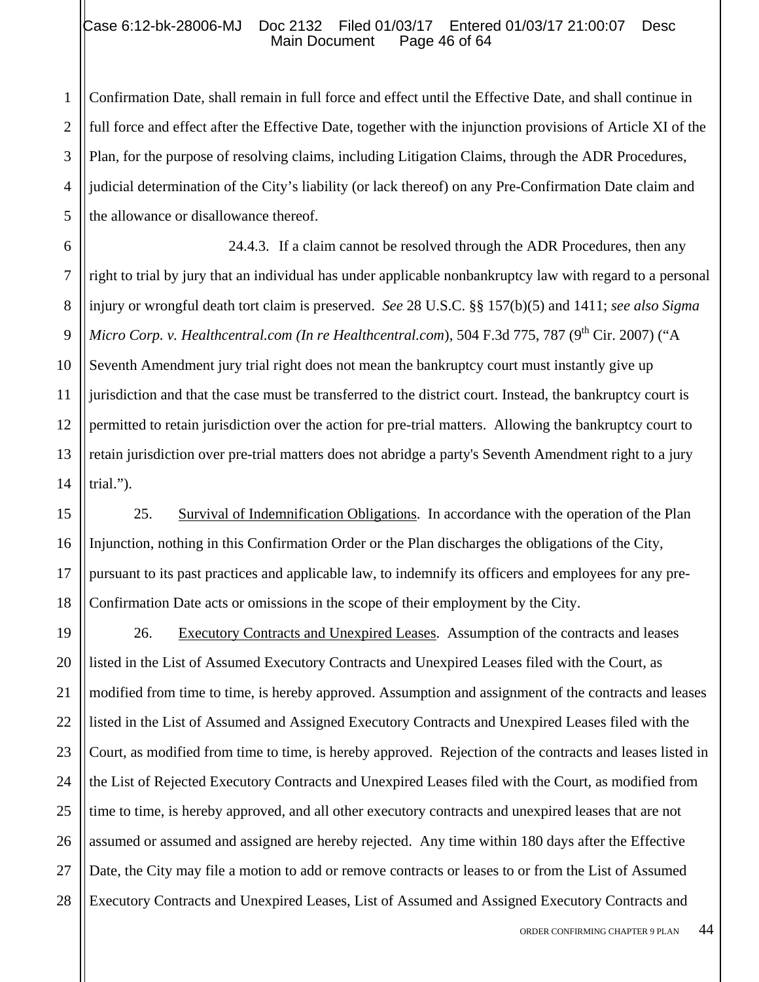#### Case 6:12-bk-28006-MJ Doc 2132 Filed 01/03/17 Entered 01/03/17 21:00:07 Desc<br>Main Document Page 46 of 64 Main Document

1

5

2 3 4 Confirmation Date, shall remain in full force and effect until the Effective Date, and shall continue in full force and effect after the Effective Date, together with the injunction provisions of Article XI of the Plan, for the purpose of resolving claims, including Litigation Claims, through the ADR Procedures, judicial determination of the City's liability (or lack thereof) on any Pre-Confirmation Date claim and the allowance or disallowance thereof.

6 7 8 9 10 11 12 13 14 24.4.3. If a claim cannot be resolved through the ADR Procedures, then any right to trial by jury that an individual has under applicable nonbankruptcy law with regard to a personal injury or wrongful death tort claim is preserved. *See* 28 U.S.C. §§ 157(b)(5) and 1411; *see also Sigma Micro Corp. v. Healthcentral.com (In re Healthcentral.com), 504 F.3d 775, 787 (9<sup>th</sup> Cir. 2007) ("A* Seventh Amendment jury trial right does not mean the bankruptcy court must instantly give up jurisdiction and that the case must be transferred to the district court. Instead, the bankruptcy court is permitted to retain jurisdiction over the action for pre-trial matters. Allowing the bankruptcy court to retain jurisdiction over pre-trial matters does not abridge a party's Seventh Amendment right to a jury trial.").

15 16 17 18 25. Survival of Indemnification Obligations. In accordance with the operation of the Plan Injunction, nothing in this Confirmation Order or the Plan discharges the obligations of the City, pursuant to its past practices and applicable law, to indemnify its officers and employees for any pre-Confirmation Date acts or omissions in the scope of their employment by the City.

19 20 21 22 23 24 25 26 27 28 26. Executory Contracts and Unexpired Leases. Assumption of the contracts and leases listed in the List of Assumed Executory Contracts and Unexpired Leases filed with the Court, as modified from time to time, is hereby approved. Assumption and assignment of the contracts and leases listed in the List of Assumed and Assigned Executory Contracts and Unexpired Leases filed with the Court, as modified from time to time, is hereby approved. Rejection of the contracts and leases listed in the List of Rejected Executory Contracts and Unexpired Leases filed with the Court, as modified from time to time, is hereby approved, and all other executory contracts and unexpired leases that are not assumed or assumed and assigned are hereby rejected. Any time within 180 days after the Effective Date, the City may file a motion to add or remove contracts or leases to or from the List of Assumed Executory Contracts and Unexpired Leases, List of Assumed and Assigned Executory Contracts and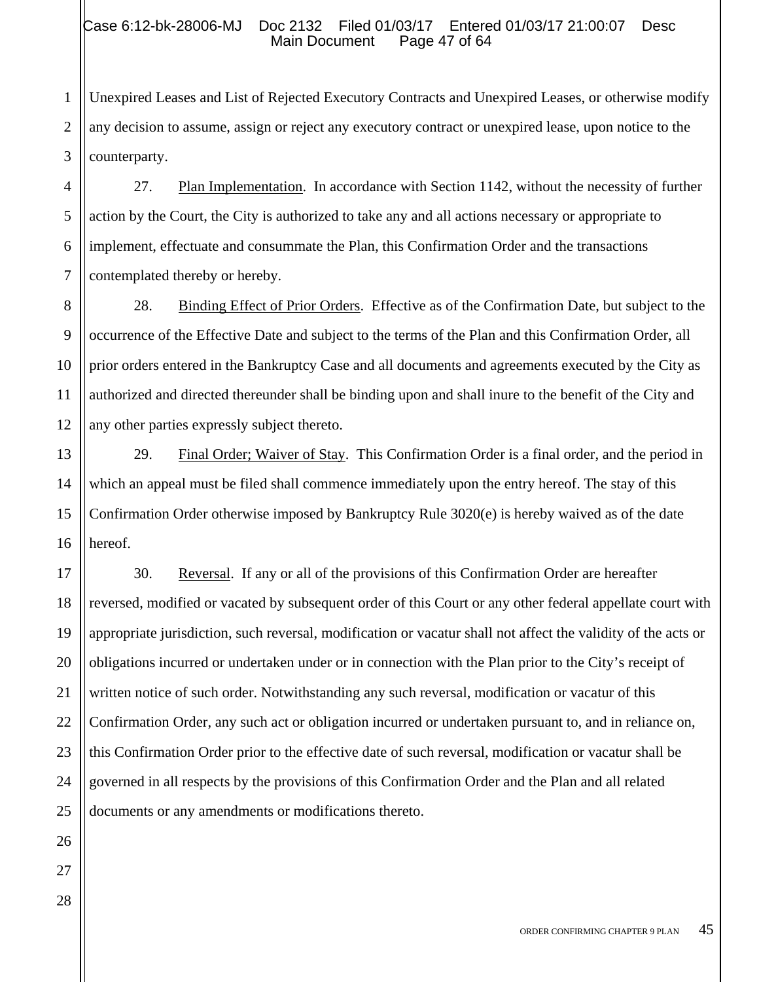# Case 6:12-bk-28006-MJ Doc 2132 Filed 01/03/17 Entered 01/03/17 21:00:07 Desc<br>Main Document Page 47 of 64 Main Document

2 3 Unexpired Leases and List of Rejected Executory Contracts and Unexpired Leases, or otherwise modify any decision to assume, assign or reject any executory contract or unexpired lease, upon notice to the counterparty.

4 5 6 7 27. Plan Implementation. In accordance with Section 1142, without the necessity of further action by the Court, the City is authorized to take any and all actions necessary or appropriate to implement, effectuate and consummate the Plan, this Confirmation Order and the transactions contemplated thereby or hereby.

28. Binding Effect of Prior Orders. Effective as of the Confirmation Date, but subject to the occurrence of the Effective Date and subject to the terms of the Plan and this Confirmation Order, all prior orders entered in the Bankruptcy Case and all documents and agreements executed by the City as authorized and directed thereunder shall be binding upon and shall inure to the benefit of the City and any other parties expressly subject thereto.

29. Final Order; Waiver of Stay. This Confirmation Order is a final order, and the period in which an appeal must be filed shall commence immediately upon the entry hereof. The stay of this Confirmation Order otherwise imposed by Bankruptcy Rule 3020(e) is hereby waived as of the date hereof.

30. Reversal. If any or all of the provisions of this Confirmation Order are hereafter reversed, modified or vacated by subsequent order of this Court or any other federal appellate court with appropriate jurisdiction, such reversal, modification or vacatur shall not affect the validity of the acts or obligations incurred or undertaken under or in connection with the Plan prior to the City's receipt of written notice of such order. Notwithstanding any such reversal, modification or vacatur of this Confirmation Order, any such act or obligation incurred or undertaken pursuant to, and in reliance on, this Confirmation Order prior to the effective date of such reversal, modification or vacatur shall be governed in all respects by the provisions of this Confirmation Order and the Plan and all related documents or any amendments or modifications thereto.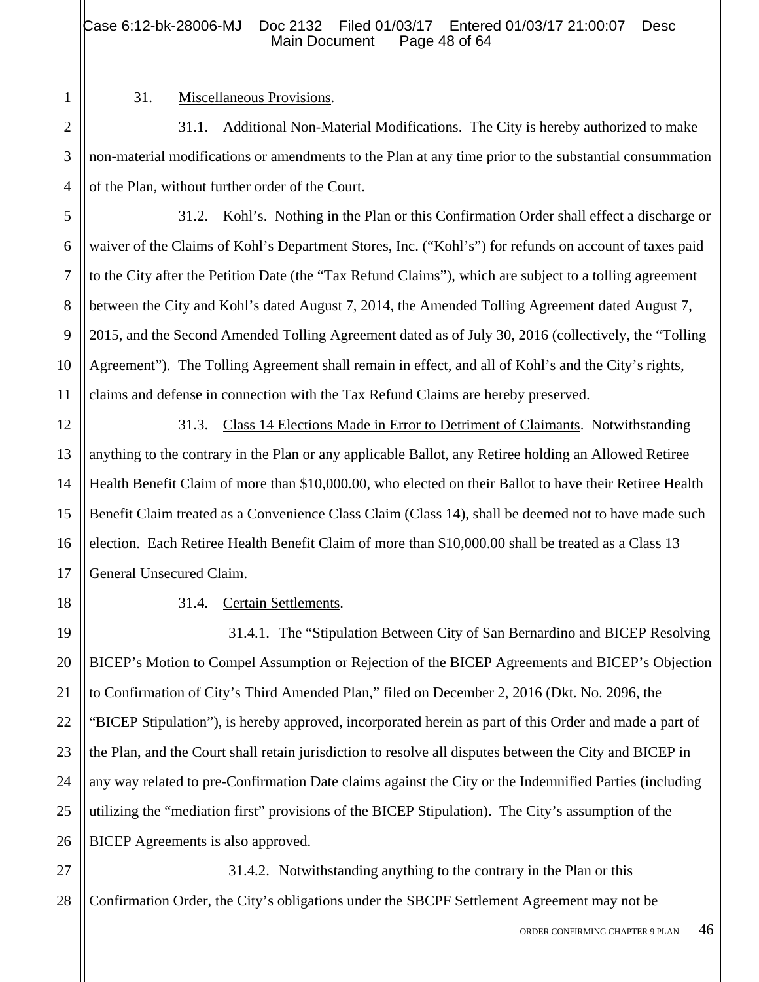1 2

3

4

5

6

7

8

9

10

11

13

15

17

18

19

20

21

22

23

24

25

26

#### 31. Miscellaneous Provisions.

31.1. Additional Non-Material Modifications. The City is hereby authorized to make non-material modifications or amendments to the Plan at any time prior to the substantial consummation of the Plan, without further order of the Court.

31.2. Kohl's. Nothing in the Plan or this Confirmation Order shall effect a discharge or waiver of the Claims of Kohl's Department Stores, Inc. ("Kohl's") for refunds on account of taxes paid to the City after the Petition Date (the "Tax Refund Claims"), which are subject to a tolling agreement between the City and Kohl's dated August 7, 2014, the Amended Tolling Agreement dated August 7, 2015, and the Second Amended Tolling Agreement dated as of July 30, 2016 (collectively, the "Tolling Agreement"). The Tolling Agreement shall remain in effect, and all of Kohl's and the City's rights, claims and defense in connection with the Tax Refund Claims are hereby preserved.

12 14 16 31.3. Class 14 Elections Made in Error to Detriment of Claimants. Notwithstanding anything to the contrary in the Plan or any applicable Ballot, any Retiree holding an Allowed Retiree Health Benefit Claim of more than \$10,000.00, who elected on their Ballot to have their Retiree Health Benefit Claim treated as a Convenience Class Claim (Class 14), shall be deemed not to have made such election. Each Retiree Health Benefit Claim of more than \$10,000.00 shall be treated as a Class 13 General Unsecured Claim.

#### 31.4. Certain Settlements.

31.4.1. The "Stipulation Between City of San Bernardino and BICEP Resolving BICEP's Motion to Compel Assumption or Rejection of the BICEP Agreements and BICEP's Objection to Confirmation of City's Third Amended Plan," filed on December 2, 2016 (Dkt. No. 2096, the "BICEP Stipulation"), is hereby approved, incorporated herein as part of this Order and made a part of the Plan, and the Court shall retain jurisdiction to resolve all disputes between the City and BICEP in any way related to pre-Confirmation Date claims against the City or the Indemnified Parties (including utilizing the "mediation first" provisions of the BICEP Stipulation). The City's assumption of the BICEP Agreements is also approved.

27 28 31.4.2. Notwithstanding anything to the contrary in the Plan or this Confirmation Order, the City's obligations under the SBCPF Settlement Agreement may not be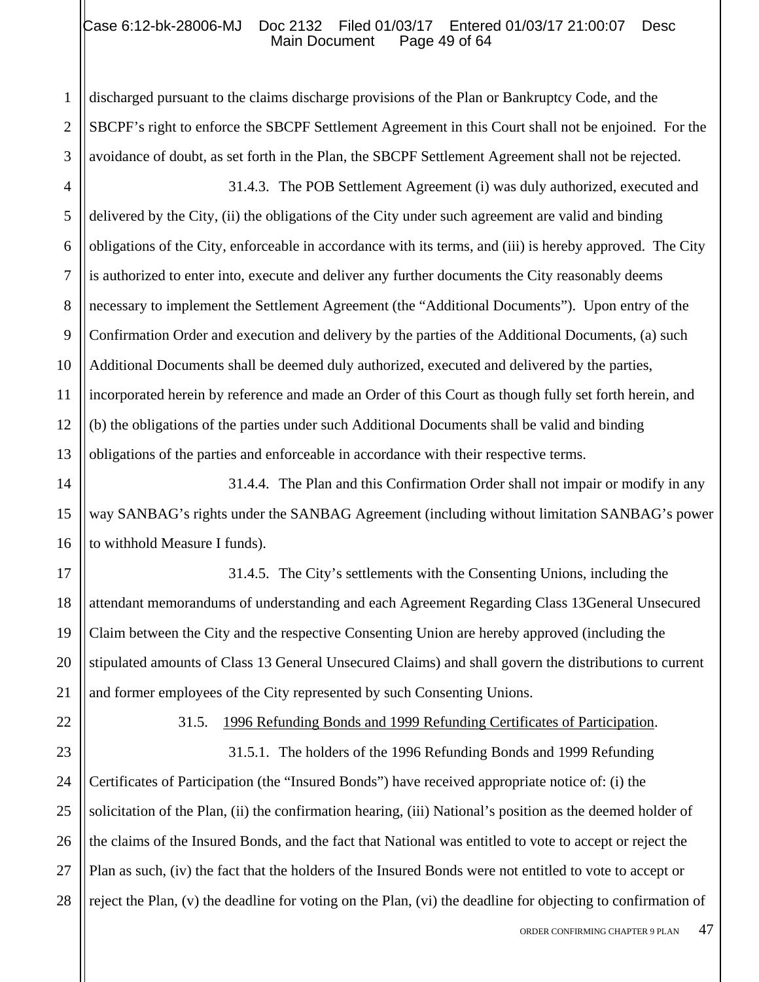# Case 6:12-bk-28006-MJ Doc 2132 Filed 01/03/17 Entered 01/03/17 21:00:07 Desc<br>Main Document Page 49 of 64 Main Document

discharged pursuant to the claims discharge provisions of the Plan or Bankruptcy Code, and the SBCPF's right to enforce the SBCPF Settlement Agreement in this Court shall not be enjoined. For the avoidance of doubt, as set forth in the Plan, the SBCPF Settlement Agreement shall not be rejected.

4 5 6 7 8 9 10 11 12 13 31.4.3. The POB Settlement Agreement (i) was duly authorized, executed and delivered by the City, (ii) the obligations of the City under such agreement are valid and binding obligations of the City, enforceable in accordance with its terms, and (iii) is hereby approved. The City is authorized to enter into, execute and deliver any further documents the City reasonably deems necessary to implement the Settlement Agreement (the "Additional Documents"). Upon entry of the Confirmation Order and execution and delivery by the parties of the Additional Documents, (a) such Additional Documents shall be deemed duly authorized, executed and delivered by the parties, incorporated herein by reference and made an Order of this Court as though fully set forth herein, and (b) the obligations of the parties under such Additional Documents shall be valid and binding obligations of the parties and enforceable in accordance with their respective terms.

14 15 16 31.4.4. The Plan and this Confirmation Order shall not impair or modify in any way SANBAG's rights under the SANBAG Agreement (including without limitation SANBAG's power to withhold Measure I funds).

17 18 19 20 31.4.5. The City's settlements with the Consenting Unions, including the attendant memorandums of understanding and each Agreement Regarding Class 13General Unsecured Claim between the City and the respective Consenting Union are hereby approved (including the stipulated amounts of Class 13 General Unsecured Claims) and shall govern the distributions to current and former employees of the City represented by such Consenting Unions.

1

2

3

31.5. 1996 Refunding Bonds and 1999 Refunding Certificates of Participation.

28 31.5.1. The holders of the 1996 Refunding Bonds and 1999 Refunding Certificates of Participation (the "Insured Bonds") have received appropriate notice of: (i) the solicitation of the Plan, (ii) the confirmation hearing, (iii) National's position as the deemed holder of the claims of the Insured Bonds, and the fact that National was entitled to vote to accept or reject the Plan as such, (iv) the fact that the holders of the Insured Bonds were not entitled to vote to accept or reject the Plan, (v) the deadline for voting on the Plan, (vi) the deadline for objecting to confirmation of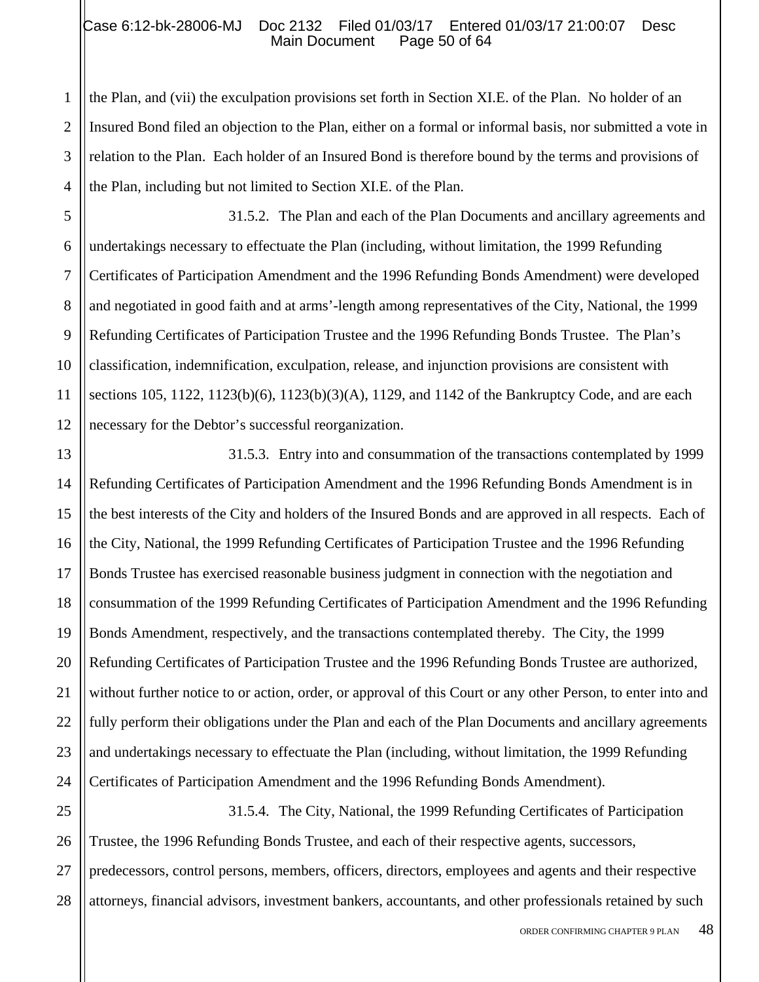#### Case 6:12-bk-28006-MJ Doc 2132 Filed 01/03/17 Entered 01/03/17 21:00:07 Desc<br>Main Document Page 50 of 64 Main Document

1

2 3 4 the Plan, and (vii) the exculpation provisions set forth in Section XI.E. of the Plan. No holder of an Insured Bond filed an objection to the Plan, either on a formal or informal basis, nor submitted a vote in relation to the Plan. Each holder of an Insured Bond is therefore bound by the terms and provisions of the Plan, including but not limited to Section XI.E. of the Plan.

5 6 7 8 9 10 11 12 31.5.2. The Plan and each of the Plan Documents and ancillary agreements and undertakings necessary to effectuate the Plan (including, without limitation, the 1999 Refunding Certificates of Participation Amendment and the 1996 Refunding Bonds Amendment) were developed and negotiated in good faith and at arms'-length among representatives of the City, National, the 1999 Refunding Certificates of Participation Trustee and the 1996 Refunding Bonds Trustee. The Plan's classification, indemnification, exculpation, release, and injunction provisions are consistent with sections 105, 1122, 1123(b)(6), 1123(b)(3)(A), 1129, and 1142 of the Bankruptcy Code, and are each necessary for the Debtor's successful reorganization.

13 14 15 16 17 18 19 20 21 22 23 24 31.5.3. Entry into and consummation of the transactions contemplated by 1999 Refunding Certificates of Participation Amendment and the 1996 Refunding Bonds Amendment is in the best interests of the City and holders of the Insured Bonds and are approved in all respects. Each of the City, National, the 1999 Refunding Certificates of Participation Trustee and the 1996 Refunding Bonds Trustee has exercised reasonable business judgment in connection with the negotiation and consummation of the 1999 Refunding Certificates of Participation Amendment and the 1996 Refunding Bonds Amendment, respectively, and the transactions contemplated thereby. The City, the 1999 Refunding Certificates of Participation Trustee and the 1996 Refunding Bonds Trustee are authorized, without further notice to or action, order, or approval of this Court or any other Person, to enter into and fully perform their obligations under the Plan and each of the Plan Documents and ancillary agreements and undertakings necessary to effectuate the Plan (including, without limitation, the 1999 Refunding Certificates of Participation Amendment and the 1996 Refunding Bonds Amendment).

25 26 27 28 31.5.4. The City, National, the 1999 Refunding Certificates of Participation Trustee, the 1996 Refunding Bonds Trustee, and each of their respective agents, successors, predecessors, control persons, members, officers, directors, employees and agents and their respective attorneys, financial advisors, investment bankers, accountants, and other professionals retained by such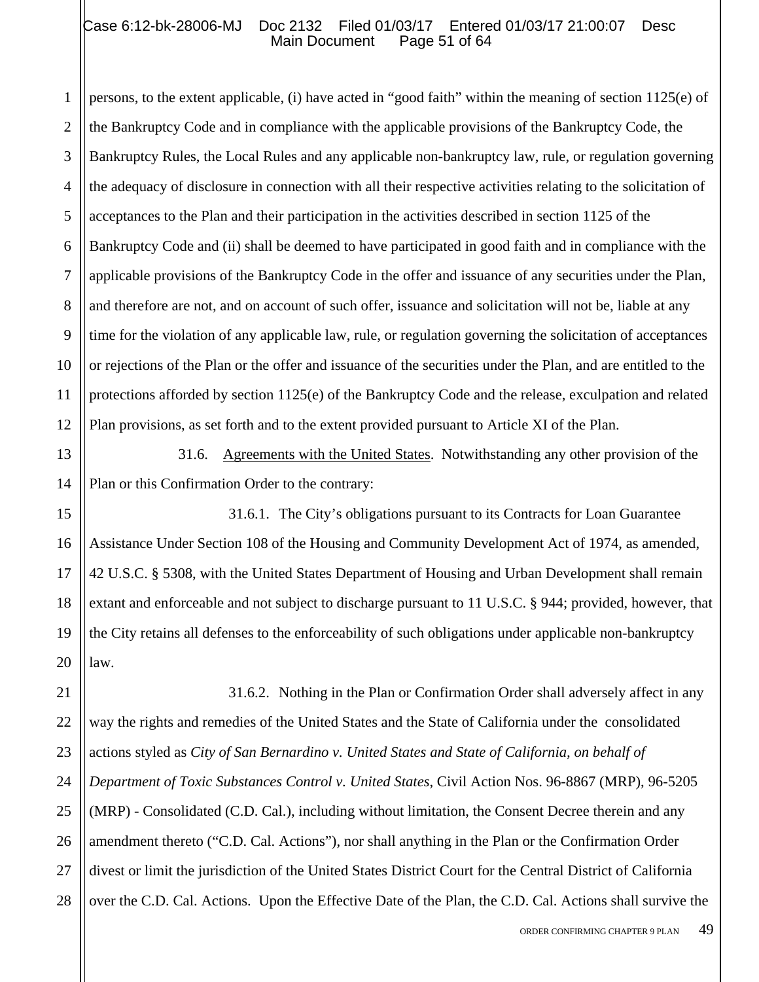#### Case 6:12-bk-28006-MJ Doc 2132 Filed 01/03/17 Entered 01/03/17 21:00:07 Desc<br>Main Document Page 51 of 64 Main Document

1 2 3 4 5 6 7 8 9 10 11 12 persons, to the extent applicable, (i) have acted in "good faith" within the meaning of section 1125(e) of the Bankruptcy Code and in compliance with the applicable provisions of the Bankruptcy Code, the Bankruptcy Rules, the Local Rules and any applicable non-bankruptcy law, rule, or regulation governing the adequacy of disclosure in connection with all their respective activities relating to the solicitation of acceptances to the Plan and their participation in the activities described in section 1125 of the Bankruptcy Code and (ii) shall be deemed to have participated in good faith and in compliance with the applicable provisions of the Bankruptcy Code in the offer and issuance of any securities under the Plan, and therefore are not, and on account of such offer, issuance and solicitation will not be, liable at any time for the violation of any applicable law, rule, or regulation governing the solicitation of acceptances or rejections of the Plan or the offer and issuance of the securities under the Plan, and are entitled to the protections afforded by section 1125(e) of the Bankruptcy Code and the release, exculpation and related Plan provisions, as set forth and to the extent provided pursuant to Article XI of the Plan.

13 14 31.6. Agreements with the United States. Notwithstanding any other provision of the Plan or this Confirmation Order to the contrary:

15

17

16 18 19 20 31.6.1. The City's obligations pursuant to its Contracts for Loan Guarantee Assistance Under Section 108 of the Housing and Community Development Act of 1974, as amended, 42 U.S.C. § 5308, with the United States Department of Housing and Urban Development shall remain extant and enforceable and not subject to discharge pursuant to 11 U.S.C. § 944; provided, however, that the City retains all defenses to the enforceability of such obligations under applicable non-bankruptcy law.

21 22 23 24 25 26 27 28 31.6.2. Nothing in the Plan or Confirmation Order shall adversely affect in any way the rights and remedies of the United States and the State of California under the consolidated actions styled as *City of San Bernardino v. United States and State of California, on behalf of Department of Toxic Substances Control v. United States*, Civil Action Nos. 96-8867 (MRP), 96-5205 (MRP) - Consolidated (C.D. Cal.), including without limitation, the Consent Decree therein and any amendment thereto ("C.D. Cal. Actions"), nor shall anything in the Plan or the Confirmation Order divest or limit the jurisdiction of the United States District Court for the Central District of California over the C.D. Cal. Actions. Upon the Effective Date of the Plan, the C.D. Cal. Actions shall survive the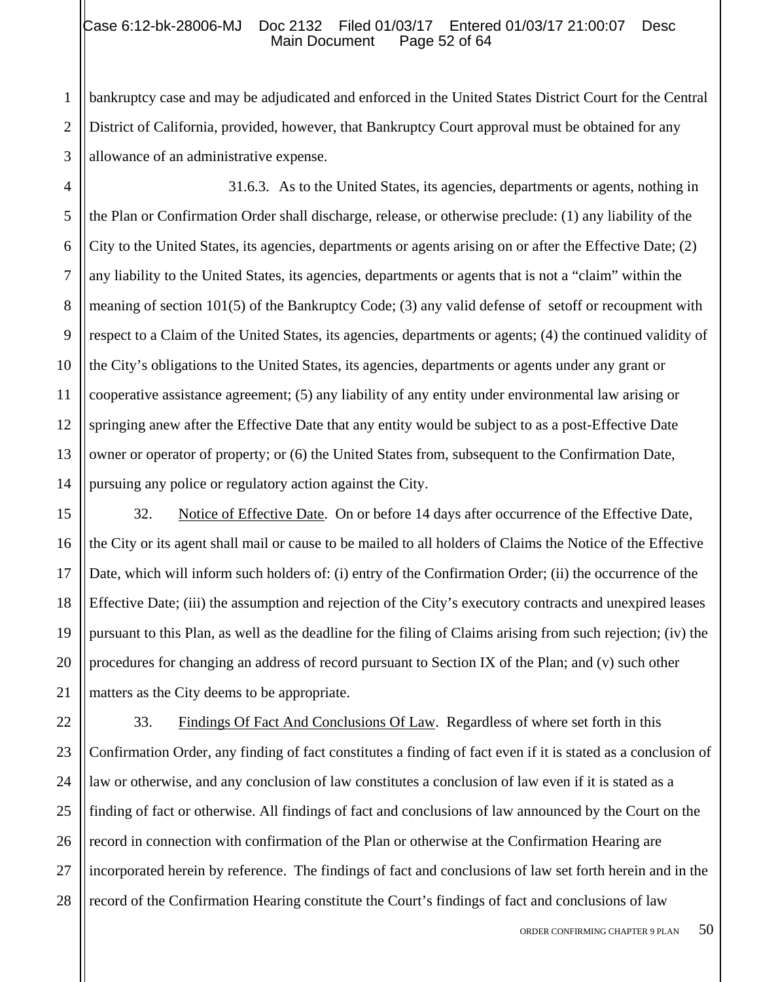#### Case 6:12-bk-28006-MJ Doc 2132 Filed 01/03/17 Entered 01/03/17 21:00:07 Desc<br>Main Document Page 52 of 64 Main Document

3 bankruptcy case and may be adjudicated and enforced in the United States District Court for the Central District of California, provided, however, that Bankruptcy Court approval must be obtained for any allowance of an administrative expense.

4 5 6 7 8 9 10 11 12 13 14 31.6.3. As to the United States, its agencies, departments or agents, nothing in the Plan or Confirmation Order shall discharge, release, or otherwise preclude: (1) any liability of the City to the United States, its agencies, departments or agents arising on or after the Effective Date; (2) any liability to the United States, its agencies, departments or agents that is not a "claim" within the meaning of section 101(5) of the Bankruptcy Code; (3) any valid defense of setoff or recoupment with respect to a Claim of the United States, its agencies, departments or agents; (4) the continued validity of the City's obligations to the United States, its agencies, departments or agents under any grant or cooperative assistance agreement; (5) any liability of any entity under environmental law arising or springing anew after the Effective Date that any entity would be subject to as a post-Effective Date owner or operator of property; or (6) the United States from, subsequent to the Confirmation Date, pursuing any police or regulatory action against the City.

15 16 17 18 19 20 21 32. Notice of Effective Date. On or before 14 days after occurrence of the Effective Date, the City or its agent shall mail or cause to be mailed to all holders of Claims the Notice of the Effective Date, which will inform such holders of: (i) entry of the Confirmation Order; (ii) the occurrence of the Effective Date; (iii) the assumption and rejection of the City's executory contracts and unexpired leases pursuant to this Plan, as well as the deadline for the filing of Claims arising from such rejection; (iv) the procedures for changing an address of record pursuant to Section IX of the Plan; and (v) such other matters as the City deems to be appropriate.

22 23 24 25 26 27 28 33. Findings Of Fact And Conclusions Of Law. Regardless of where set forth in this Confirmation Order, any finding of fact constitutes a finding of fact even if it is stated as a conclusion of law or otherwise, and any conclusion of law constitutes a conclusion of law even if it is stated as a finding of fact or otherwise. All findings of fact and conclusions of law announced by the Court on the record in connection with confirmation of the Plan or otherwise at the Confirmation Hearing are incorporated herein by reference. The findings of fact and conclusions of law set forth herein and in the record of the Confirmation Hearing constitute the Court's findings of fact and conclusions of law

1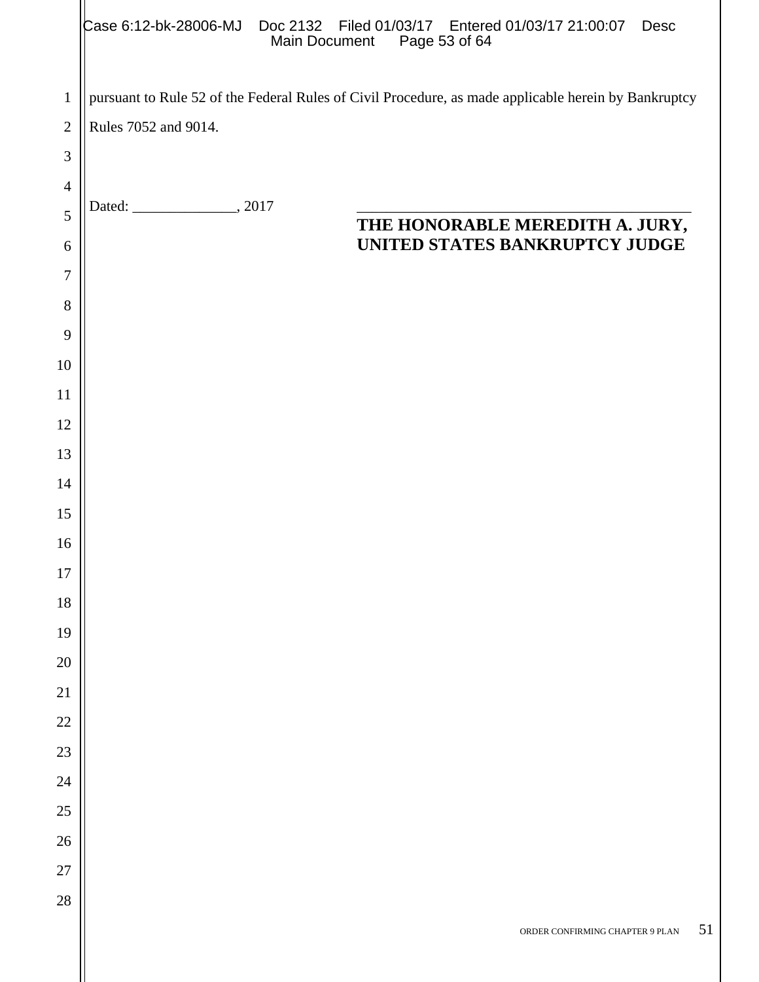|                | Case 6:12-bk-28006-MJ Doc 2132 Filed 01/03/17 Entered 01/03/17 21:00:07 Desc<br>Main Document<br>Page 53 of 64 |  |  |  |  |  |
|----------------|----------------------------------------------------------------------------------------------------------------|--|--|--|--|--|
| $\mathbf{1}$   | pursuant to Rule 52 of the Federal Rules of Civil Procedure, as made applicable herein by Bankruptcy           |  |  |  |  |  |
| $\overline{2}$ | Rules 7052 and 9014.                                                                                           |  |  |  |  |  |
| 3              |                                                                                                                |  |  |  |  |  |
| $\overline{4}$ |                                                                                                                |  |  |  |  |  |
| 5              | THE HONORABLE MEREDITH A. JURY,                                                                                |  |  |  |  |  |
| 6              | UNITED STATES BANKRUPTCY JUDGE                                                                                 |  |  |  |  |  |
| $\overline{7}$ |                                                                                                                |  |  |  |  |  |
| 8              |                                                                                                                |  |  |  |  |  |
| 9              |                                                                                                                |  |  |  |  |  |
| 10             |                                                                                                                |  |  |  |  |  |
| 11             |                                                                                                                |  |  |  |  |  |
| 12             |                                                                                                                |  |  |  |  |  |
| 13             |                                                                                                                |  |  |  |  |  |
| 14             |                                                                                                                |  |  |  |  |  |
| 15             |                                                                                                                |  |  |  |  |  |
| 16<br>17       |                                                                                                                |  |  |  |  |  |
| 18             |                                                                                                                |  |  |  |  |  |
| 19             |                                                                                                                |  |  |  |  |  |
| 20             |                                                                                                                |  |  |  |  |  |
| 21             |                                                                                                                |  |  |  |  |  |
| 22             |                                                                                                                |  |  |  |  |  |
| 23             |                                                                                                                |  |  |  |  |  |
| 24             |                                                                                                                |  |  |  |  |  |
| $25\,$         |                                                                                                                |  |  |  |  |  |
| 26             |                                                                                                                |  |  |  |  |  |
| 27             |                                                                                                                |  |  |  |  |  |
| 28             |                                                                                                                |  |  |  |  |  |
|                | 51<br>ORDER CONFIRMING CHAPTER 9 PLAN                                                                          |  |  |  |  |  |
|                |                                                                                                                |  |  |  |  |  |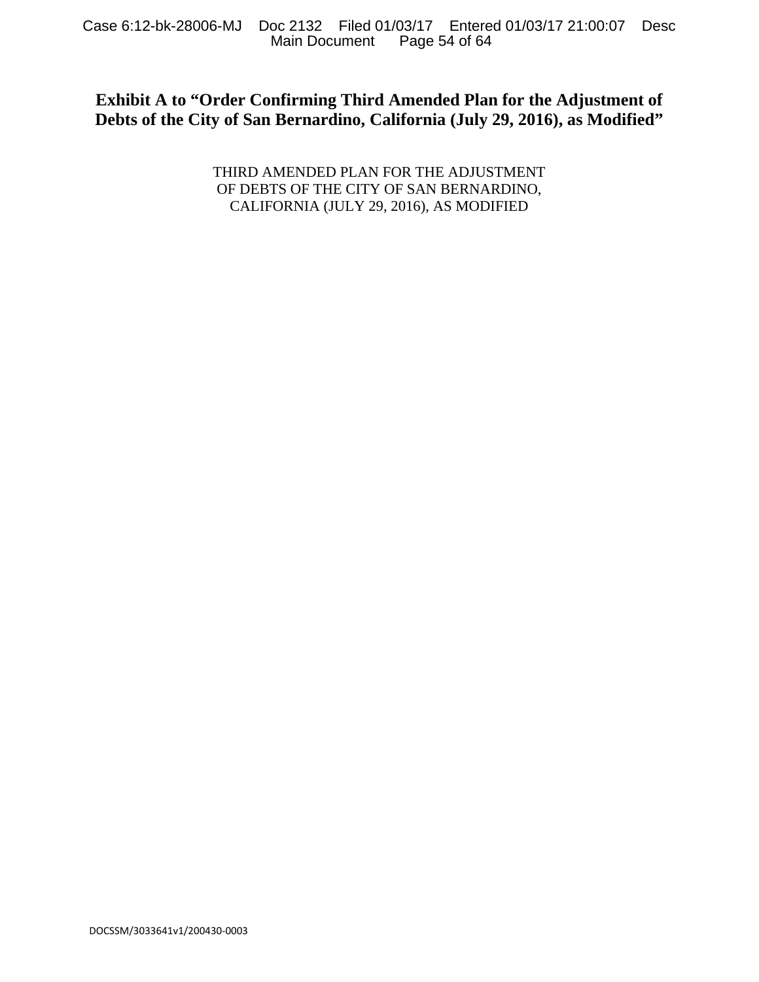# **Exhibit A to "Order Confirming Third Amended Plan for the Adjustment of Debts of the City of San Bernardino, California (July 29, 2016), as Modified"**

THIRD AMENDED PLAN FOR THE ADJUSTMENT OF DEBTS OF THE CITY OF SAN BERNARDINO, CALIFORNIA (JULY 29, 2016), AS MODIFIED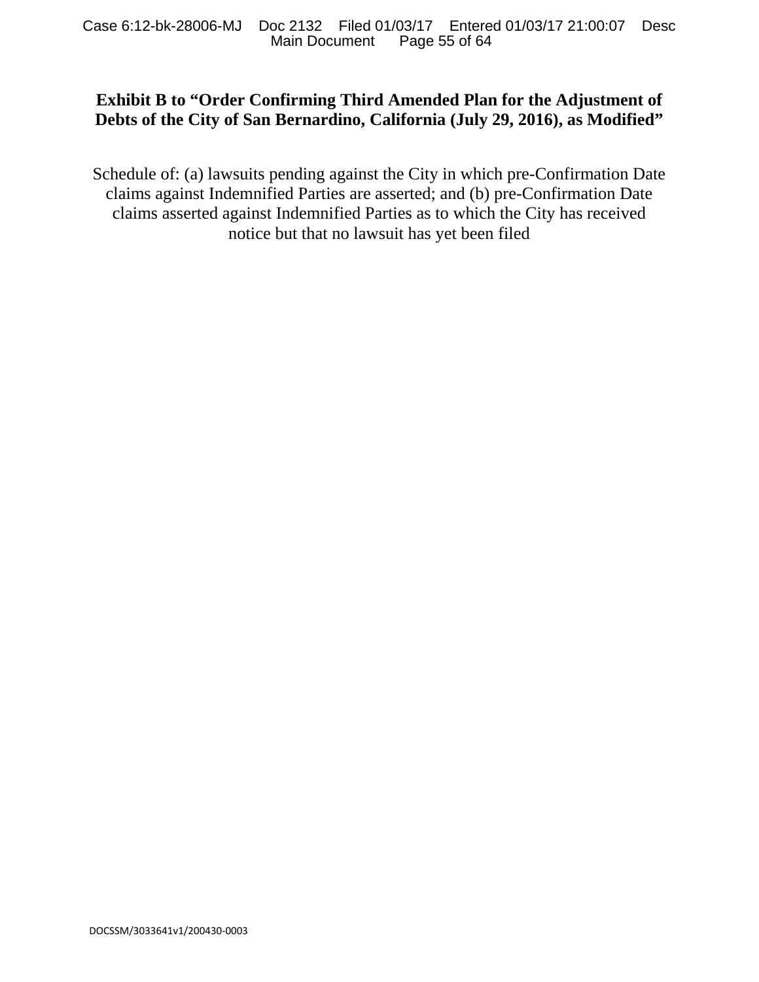# **Exhibit B to "Order Confirming Third Amended Plan for the Adjustment of Debts of the City of San Bernardino, California (July 29, 2016), as Modified"**

Schedule of: (a) lawsuits pending against the City in which pre-Confirmation Date claims against Indemnified Parties are asserted; and (b) pre-Confirmation Date claims asserted against Indemnified Parties as to which the City has received notice but that no lawsuit has yet been filed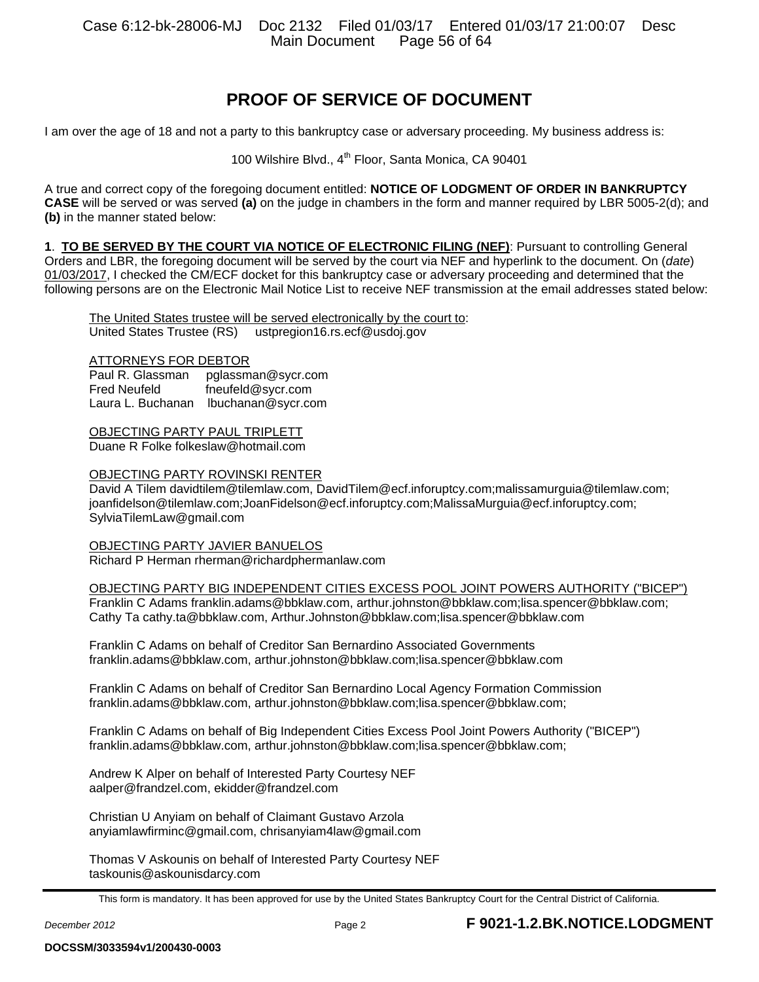# **PROOF OF SERVICE OF DOCUMENT**

I am over the age of 18 and not a party to this bankruptcy case or adversary proceeding. My business address is:

100 Wilshire Blvd., 4<sup>th</sup> Floor, Santa Monica, CA 90401

A true and correct copy of the foregoing document entitled: **NOTICE OF LODGMENT OF ORDER IN BANKRUPTCY CASE** will be served or was served **(a)** on the judge in chambers in the form and manner required by LBR 5005-2(d); and **(b)** in the manner stated below:

**1**. **TO BE SERVED BY THE COURT VIA NOTICE OF ELECTRONIC FILING (NEF)**: Pursuant to controlling General Orders and LBR, the foregoing document will be served by the court via NEF and hyperlink to the document. On (*date*) 01/03/2017, I checked the CM/ECF docket for this bankruptcy case or adversary proceeding and determined that the following persons are on the Electronic Mail Notice List to receive NEF transmission at the email addresses stated below:

The United States trustee will be served electronically by the court to: United States Trustee (RS) ustpregion16.rs.ecf@usdoj.gov

#### ATTORNEYS FOR DEBTOR

Paul R. Glassman pglassman@sycr.com Fred Neufeld fneufeld@sycr.com Laura L. Buchanan lbuchanan@sycr.com

OBJECTING PARTY PAUL TRIPLETT Duane R Folke folkeslaw@hotmail.com

#### OBJECTING PARTY ROVINSKI RENTER

David A Tilem davidtilem@tilemlaw.com, DavidTilem@ecf.inforuptcy.com;malissamurguia@tilemlaw.com; joanfidelson@tilemlaw.com;JoanFidelson@ecf.inforuptcy.com;MalissaMurguia@ecf.inforuptcy.com; SylviaTilemLaw@gmail.com

OBJECTING PARTY JAVIER BANUELOS Richard P Herman rherman@richardphermanlaw.com

OBJECTING PARTY BIG INDEPENDENT CITIES EXCESS POOL JOINT POWERS AUTHORITY ("BICEP") Franklin C Adams franklin.adams@bbklaw.com, arthur.johnston@bbklaw.com;lisa.spencer@bbklaw.com; Cathy Ta cathy.ta@bbklaw.com, Arthur.Johnston@bbklaw.com;lisa.spencer@bbklaw.com

Franklin C Adams on behalf of Creditor San Bernardino Associated Governments franklin.adams@bbklaw.com, arthur.johnston@bbklaw.com;lisa.spencer@bbklaw.com

Franklin C Adams on behalf of Creditor San Bernardino Local Agency Formation Commission franklin.adams@bbklaw.com, arthur.johnston@bbklaw.com;lisa.spencer@bbklaw.com;

Franklin C Adams on behalf of Big Independent Cities Excess Pool Joint Powers Authority ("BICEP") franklin.adams@bbklaw.com, arthur.johnston@bbklaw.com;lisa.spencer@bbklaw.com;

Andrew K Alper on behalf of Interested Party Courtesy NEF aalper@frandzel.com, ekidder@frandzel.com

Christian U Anyiam on behalf of Claimant Gustavo Arzola anyiamlawfirminc@gmail.com, chrisanyiam4law@gmail.com

Thomas V Askounis on behalf of Interested Party Courtesy NEF taskounis@askounisdarcy.com

This form is mandatory. It has been approved for use by the United States Bankruptcy Court for the Central District of California.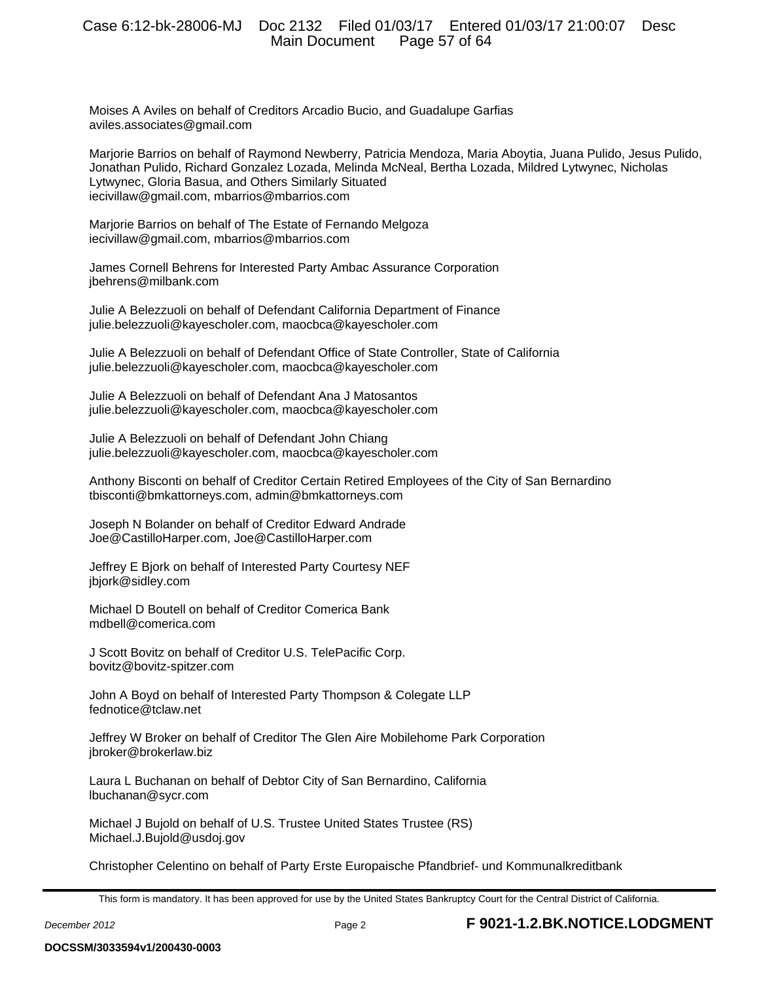Moises A Aviles on behalf of Creditors Arcadio Bucio, and Guadalupe Garfias aviles.associates@gmail.com

Marjorie Barrios on behalf of Raymond Newberry, Patricia Mendoza, Maria Aboytia, Juana Pulido, Jesus Pulido, Jonathan Pulido, Richard Gonzalez Lozada, Melinda McNeal, Bertha Lozada, Mildred Lytwynec, Nicholas Lytwynec, Gloria Basua, and Others Similarly Situated iecivillaw@gmail.com, mbarrios@mbarrios.com

Marjorie Barrios on behalf of The Estate of Fernando Melgoza iecivillaw@gmail.com, mbarrios@mbarrios.com

James Cornell Behrens for Interested Party Ambac Assurance Corporation jbehrens@milbank.com

Julie A Belezzuoli on behalf of Defendant California Department of Finance julie.belezzuoli@kayescholer.com, maocbca@kayescholer.com

Julie A Belezzuoli on behalf of Defendant Office of State Controller, State of California julie.belezzuoli@kayescholer.com, maocbca@kayescholer.com

Julie A Belezzuoli on behalf of Defendant Ana J Matosantos julie.belezzuoli@kayescholer.com, maocbca@kayescholer.com

Julie A Belezzuoli on behalf of Defendant John Chiang julie.belezzuoli@kayescholer.com, maocbca@kayescholer.com

Anthony Bisconti on behalf of Creditor Certain Retired Employees of the City of San Bernardino tbisconti@bmkattorneys.com, admin@bmkattorneys.com

Joseph N Bolander on behalf of Creditor Edward Andrade Joe@CastilloHarper.com, Joe@CastilloHarper.com

Jeffrey E Bjork on behalf of Interested Party Courtesy NEF jbjork@sidley.com

Michael D Boutell on behalf of Creditor Comerica Bank mdbell@comerica.com

J Scott Bovitz on behalf of Creditor U.S. TelePacific Corp. bovitz@bovitz-spitzer.com

John A Boyd on behalf of Interested Party Thompson & Colegate LLP fednotice@tclaw.net

Jeffrey W Broker on behalf of Creditor The Glen Aire Mobilehome Park Corporation jbroker@brokerlaw.biz

Laura L Buchanan on behalf of Debtor City of San Bernardino, California lbuchanan@sycr.com

Michael J Bujold on behalf of U.S. Trustee United States Trustee (RS) Michael.J.Bujold@usdoj.gov

Christopher Celentino on behalf of Party Erste Europaische Pfandbrief- und Kommunalkreditbank

This form is mandatory. It has been approved for use by the United States Bankruptcy Court for the Central District of California.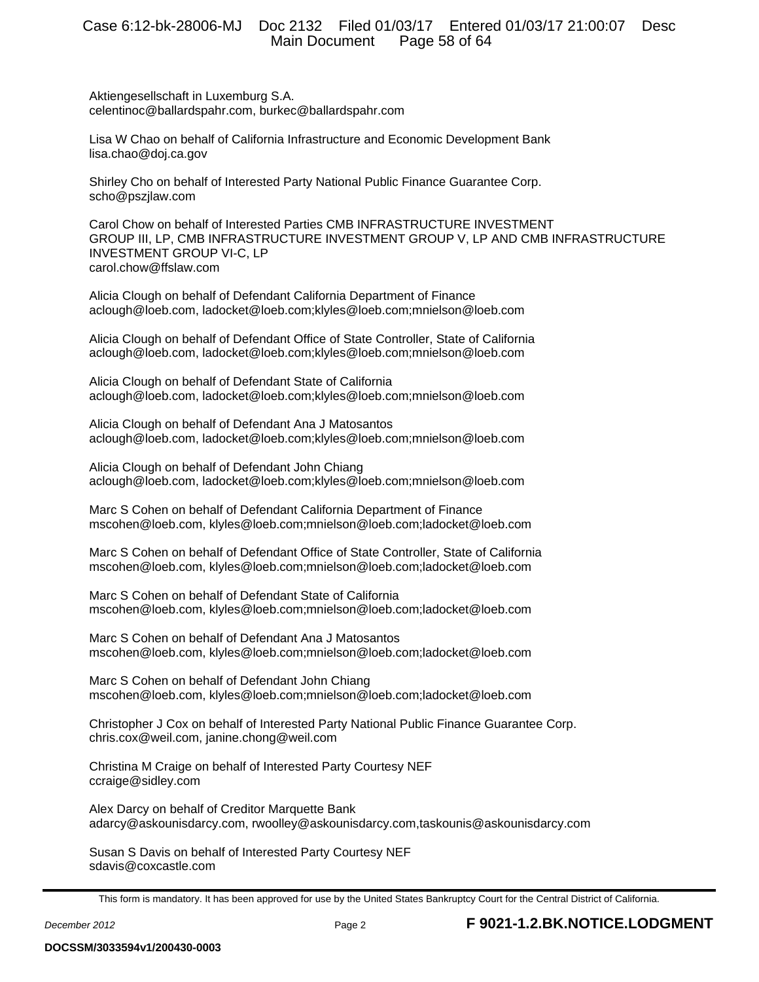Aktiengesellschaft in Luxemburg S.A. celentinoc@ballardspahr.com, burkec@ballardspahr.com

Lisa W Chao on behalf of California Infrastructure and Economic Development Bank lisa.chao@doj.ca.gov

Shirley Cho on behalf of Interested Party National Public Finance Guarantee Corp. scho@pszjlaw.com

Carol Chow on behalf of Interested Parties CMB INFRASTRUCTURE INVESTMENT GROUP III, LP, CMB INFRASTRUCTURE INVESTMENT GROUP V, LP AND CMB INFRASTRUCTURE INVESTMENT GROUP VI-C, LP carol.chow@ffslaw.com

Alicia Clough on behalf of Defendant California Department of Finance aclough@loeb.com, ladocket@loeb.com;klyles@loeb.com;mnielson@loeb.com

Alicia Clough on behalf of Defendant Office of State Controller, State of California aclough@loeb.com, ladocket@loeb.com;klyles@loeb.com;mnielson@loeb.com

Alicia Clough on behalf of Defendant State of California aclough@loeb.com, ladocket@loeb.com;klyles@loeb.com;mnielson@loeb.com

Alicia Clough on behalf of Defendant Ana J Matosantos aclough@loeb.com, ladocket@loeb.com;klyles@loeb.com;mnielson@loeb.com

Alicia Clough on behalf of Defendant John Chiang aclough@loeb.com, ladocket@loeb.com;klyles@loeb.com;mnielson@loeb.com

Marc S Cohen on behalf of Defendant California Department of Finance mscohen@loeb.com, klyles@loeb.com;mnielson@loeb.com;ladocket@loeb.com

Marc S Cohen on behalf of Defendant Office of State Controller, State of California mscohen@loeb.com, klyles@loeb.com;mnielson@loeb.com;ladocket@loeb.com

Marc S Cohen on behalf of Defendant State of California mscohen@loeb.com, klyles@loeb.com;mnielson@loeb.com;ladocket@loeb.com

Marc S Cohen on behalf of Defendant Ana J Matosantos mscohen@loeb.com, klyles@loeb.com;mnielson@loeb.com;ladocket@loeb.com

Marc S Cohen on behalf of Defendant John Chiang mscohen@loeb.com, klyles@loeb.com;mnielson@loeb.com;ladocket@loeb.com

Christopher J Cox on behalf of Interested Party National Public Finance Guarantee Corp. chris.cox@weil.com, janine.chong@weil.com

Christina M Craige on behalf of Interested Party Courtesy NEF ccraige@sidley.com

Alex Darcy on behalf of Creditor Marquette Bank adarcy@askounisdarcy.com, rwoolley@askounisdarcy.com,taskounis@askounisdarcy.com

Susan S Davis on behalf of Interested Party Courtesy NEF sdavis@coxcastle.com

This form is mandatory. It has been approved for use by the United States Bankruptcy Court for the Central District of California.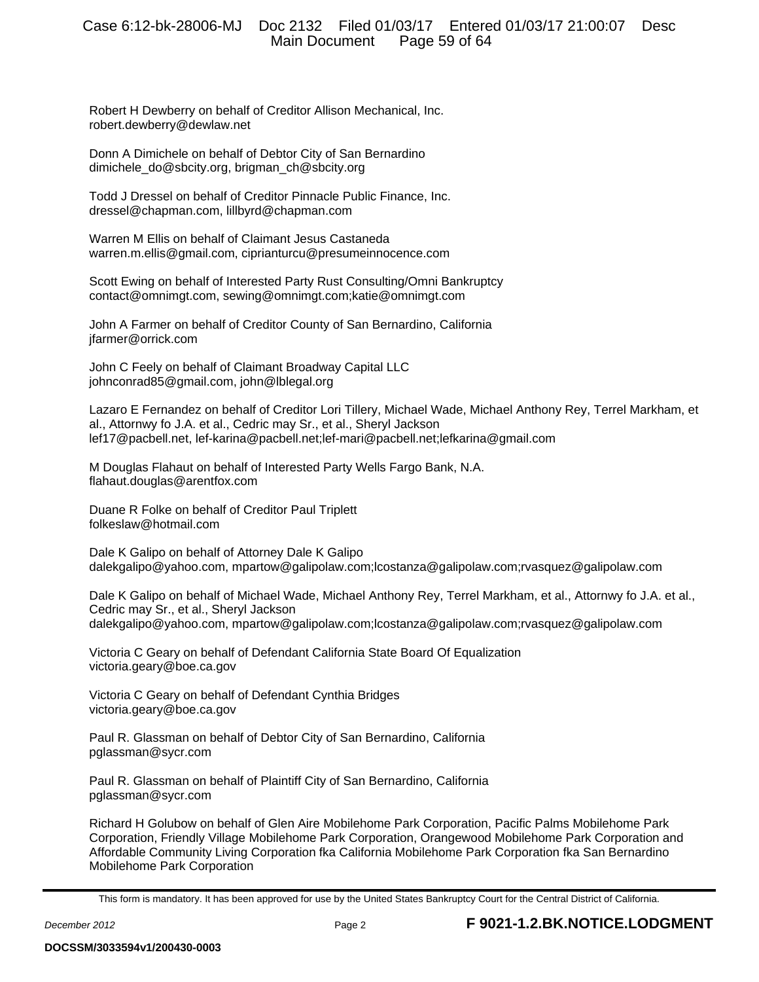Robert H Dewberry on behalf of Creditor Allison Mechanical, Inc. robert.dewberry@dewlaw.net

Donn A Dimichele on behalf of Debtor City of San Bernardino dimichele\_do@sbcity.org, brigman\_ch@sbcity.org

Todd J Dressel on behalf of Creditor Pinnacle Public Finance, Inc. dressel@chapman.com, lillbyrd@chapman.com

Warren M Ellis on behalf of Claimant Jesus Castaneda warren.m.ellis@gmail.com, ciprianturcu@presumeinnocence.com

Scott Ewing on behalf of Interested Party Rust Consulting/Omni Bankruptcy contact@omnimgt.com, sewing@omnimgt.com;katie@omnimgt.com

John A Farmer on behalf of Creditor County of San Bernardino, California jfarmer@orrick.com

John C Feely on behalf of Claimant Broadway Capital LLC johnconrad85@gmail.com, john@lblegal.org

Lazaro E Fernandez on behalf of Creditor Lori Tillery, Michael Wade, Michael Anthony Rey, Terrel Markham, et al., Attornwy fo J.A. et al., Cedric may Sr., et al., Sheryl Jackson lef17@pacbell.net, lef-karina@pacbell.net;lef-mari@pacbell.net;lefkarina@gmail.com

M Douglas Flahaut on behalf of Interested Party Wells Fargo Bank, N.A. flahaut.douglas@arentfox.com

Duane R Folke on behalf of Creditor Paul Triplett folkeslaw@hotmail.com

Dale K Galipo on behalf of Attorney Dale K Galipo dalekgalipo@yahoo.com, mpartow@galipolaw.com;lcostanza@galipolaw.com;rvasquez@galipolaw.com

Dale K Galipo on behalf of Michael Wade, Michael Anthony Rey, Terrel Markham, et al., Attornwy fo J.A. et al., Cedric may Sr., et al., Sheryl Jackson dalekgalipo@yahoo.com, mpartow@galipolaw.com;lcostanza@galipolaw.com;rvasquez@galipolaw.com

Victoria C Geary on behalf of Defendant California State Board Of Equalization victoria.geary@boe.ca.gov

Victoria C Geary on behalf of Defendant Cynthia Bridges victoria.geary@boe.ca.gov

Paul R. Glassman on behalf of Debtor City of San Bernardino, California pglassman@sycr.com

Paul R. Glassman on behalf of Plaintiff City of San Bernardino, California pglassman@sycr.com

Richard H Golubow on behalf of Glen Aire Mobilehome Park Corporation, Pacific Palms Mobilehome Park Corporation, Friendly Village Mobilehome Park Corporation, Orangewood Mobilehome Park Corporation and Affordable Community Living Corporation fka California Mobilehome Park Corporation fka San Bernardino Mobilehome Park Corporation

This form is mandatory. It has been approved for use by the United States Bankruptcy Court for the Central District of California.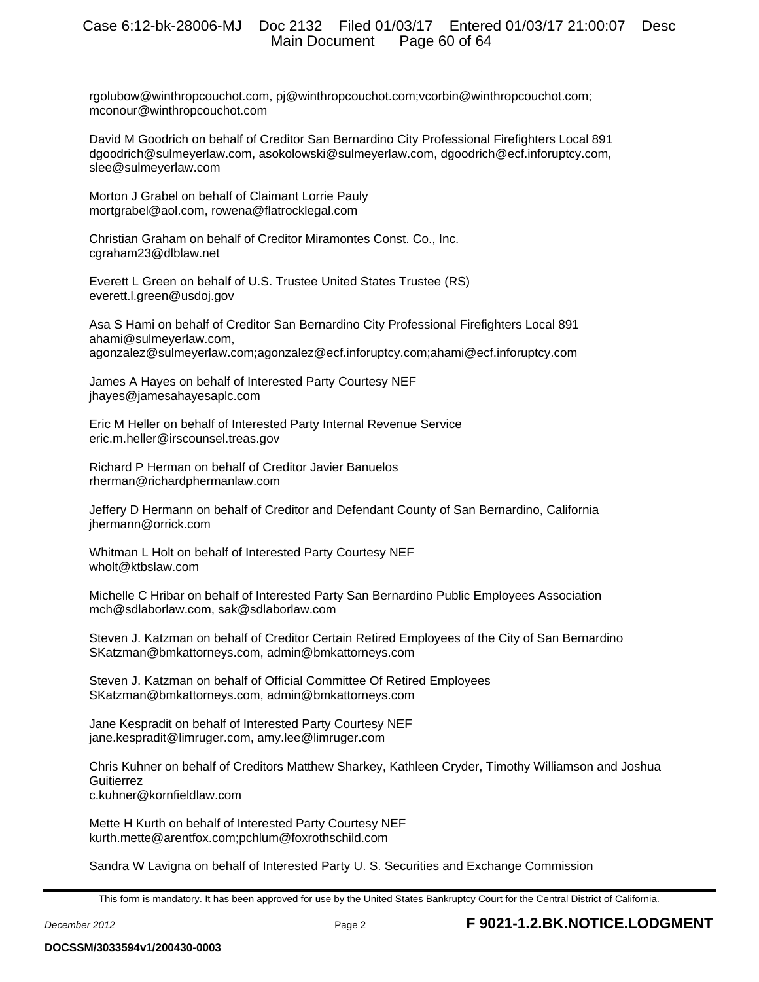rgolubow@winthropcouchot.com, pj@winthropcouchot.com;vcorbin@winthropcouchot.com; mconour@winthropcouchot.com

David M Goodrich on behalf of Creditor San Bernardino City Professional Firefighters Local 891 dgoodrich@sulmeyerlaw.com, asokolowski@sulmeyerlaw.com, dgoodrich@ecf.inforuptcy.com, slee@sulmeyerlaw.com

Morton J Grabel on behalf of Claimant Lorrie Pauly mortgrabel@aol.com, rowena@flatrocklegal.com

Christian Graham on behalf of Creditor Miramontes Const. Co., Inc. cgraham23@dlblaw.net

Everett L Green on behalf of U.S. Trustee United States Trustee (RS) everett.l.green@usdoj.gov

Asa S Hami on behalf of Creditor San Bernardino City Professional Firefighters Local 891 ahami@sulmeyerlaw.com, agonzalez@sulmeyerlaw.com;agonzalez@ecf.inforuptcy.com;ahami@ecf.inforuptcy.com

James A Hayes on behalf of Interested Party Courtesy NEF jhayes@jamesahayesaplc.com

Eric M Heller on behalf of Interested Party Internal Revenue Service eric.m.heller@irscounsel.treas.gov

Richard P Herman on behalf of Creditor Javier Banuelos rherman@richardphermanlaw.com

Jeffery D Hermann on behalf of Creditor and Defendant County of San Bernardino, California jhermann@orrick.com

Whitman L Holt on behalf of Interested Party Courtesy NEF wholt@ktbslaw.com

Michelle C Hribar on behalf of Interested Party San Bernardino Public Employees Association mch@sdlaborlaw.com, sak@sdlaborlaw.com

Steven J. Katzman on behalf of Creditor Certain Retired Employees of the City of San Bernardino SKatzman@bmkattorneys.com, admin@bmkattorneys.com

Steven J. Katzman on behalf of Official Committee Of Retired Employees SKatzman@bmkattorneys.com, admin@bmkattorneys.com

Jane Kespradit on behalf of Interested Party Courtesy NEF jane.kespradit@limruger.com, amy.lee@limruger.com

Chris Kuhner on behalf of Creditors Matthew Sharkey, Kathleen Cryder, Timothy Williamson and Joshua **Guitierrez** c.kuhner@kornfieldlaw.com

Mette H Kurth on behalf of Interested Party Courtesy NEF kurth.mette@arentfox.com;pchlum@foxrothschild.com

Sandra W Lavigna on behalf of Interested Party U. S. Securities and Exchange Commission

This form is mandatory. It has been approved for use by the United States Bankruptcy Court for the Central District of California.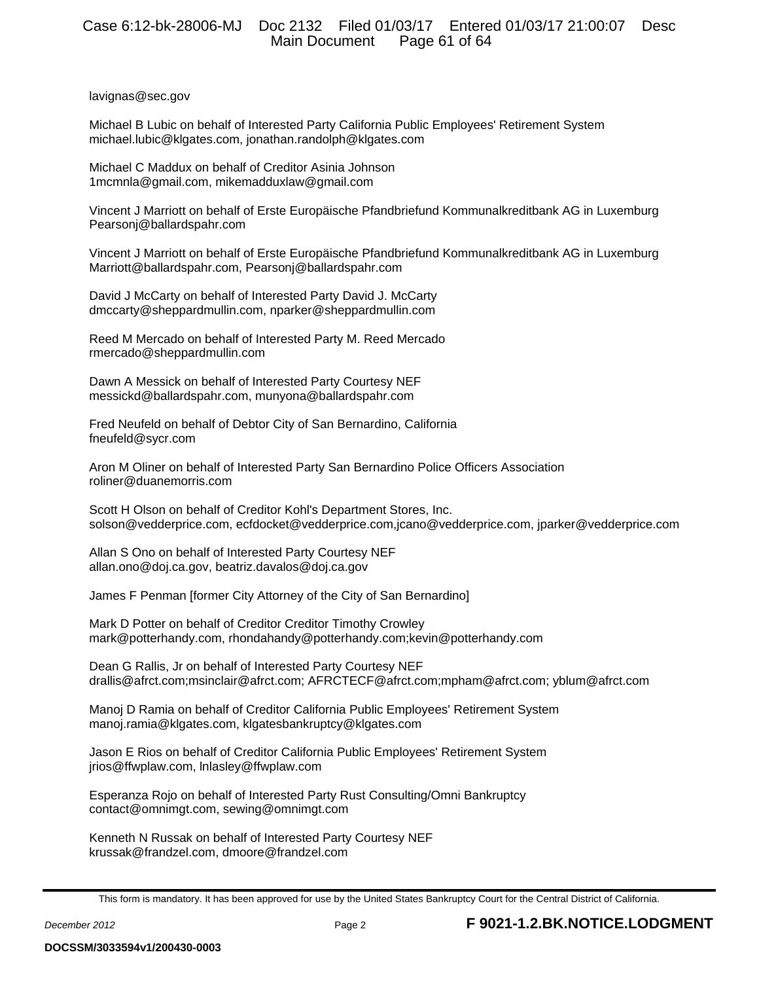lavignas@sec.gov

Michael B Lubic on behalf of Interested Party California Public Employees' Retirement System michael.lubic@klgates.com, jonathan.randolph@klgates.com

Michael C Maddux on behalf of Creditor Asinia Johnson 1mcmnla@gmail.com, mikemadduxlaw@gmail.com

Vincent J Marriott on behalf of Erste Europäische Pfandbriefund Kommunalkreditbank AG in Luxemburg Pearsonj@ballardspahr.com

Vincent J Marriott on behalf of Erste Europäische Pfandbriefund Kommunalkreditbank AG in Luxemburg Marriott@ballardspahr.com, Pearsonj@ballardspahr.com

David J McCarty on behalf of Interested Party David J. McCarty dmccarty@sheppardmullin.com, nparker@sheppardmullin.com

Reed M Mercado on behalf of Interested Party M. Reed Mercado rmercado@sheppardmullin.com

Dawn A Messick on behalf of Interested Party Courtesy NEF messickd@ballardspahr.com, munyona@ballardspahr.com

Fred Neufeld on behalf of Debtor City of San Bernardino, California fneufeld@sycr.com

Aron M Oliner on behalf of Interested Party San Bernardino Police Officers Association roliner@duanemorris.com

Scott H Olson on behalf of Creditor Kohl's Department Stores, Inc. solson@vedderprice.com, ecfdocket@vedderprice.com,jcano@vedderprice.com, jparker@vedderprice.com

Allan S Ono on behalf of Interested Party Courtesy NEF allan.ono@doj.ca.gov, beatriz.davalos@doj.ca.gov

James F Penman [former City Attorney of the City of San Bernardino]

Mark D Potter on behalf of Creditor Creditor Timothy Crowley mark@potterhandy.com, rhondahandy@potterhandy.com;kevin@potterhandy.com

Dean G Rallis, Jr on behalf of Interested Party Courtesy NEF drallis@afrct.com;msinclair@afrct.com; AFRCTECF@afrct.com;mpham@afrct.com; yblum@afrct.com

Manoj D Ramia on behalf of Creditor California Public Employees' Retirement System manoj.ramia@klgates.com, klgatesbankruptcy@klgates.com

Jason E Rios on behalf of Creditor California Public Employees' Retirement System jrios@ffwplaw.com, lnlasley@ffwplaw.com

Esperanza Rojo on behalf of Interested Party Rust Consulting/Omni Bankruptcy contact@omnimgt.com, sewing@omnimgt.com

Kenneth N Russak on behalf of Interested Party Courtesy NEF krussak@frandzel.com, dmoore@frandzel.com

This form is mandatory. It has been approved for use by the United States Bankruptcy Court for the Central District of California.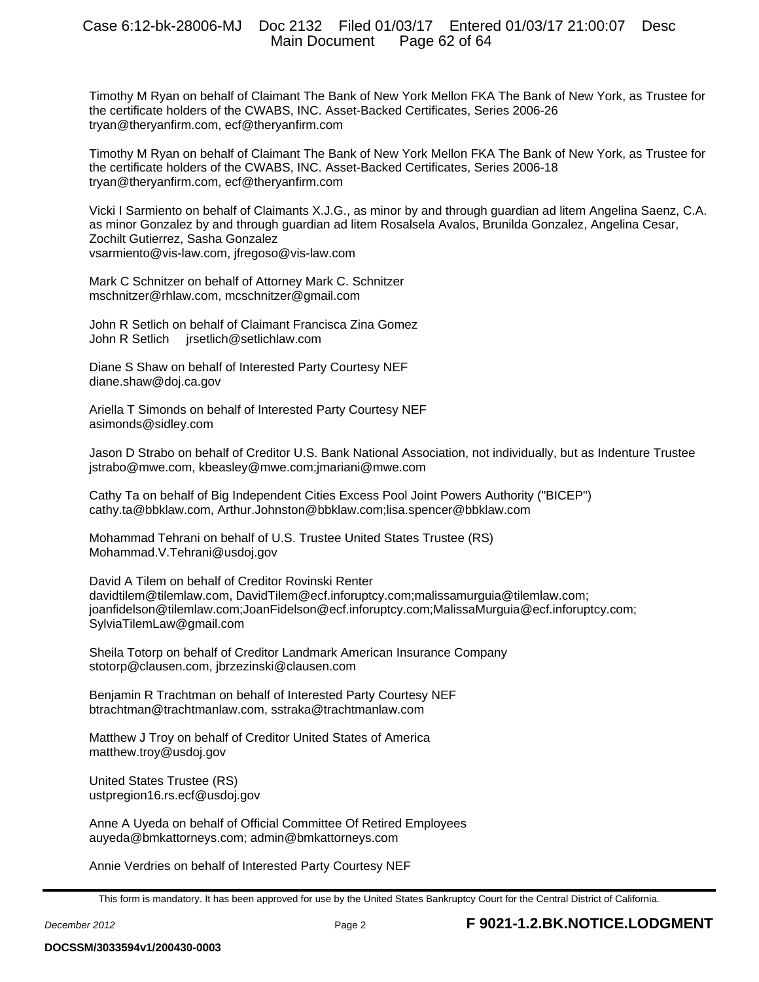Timothy M Ryan on behalf of Claimant The Bank of New York Mellon FKA The Bank of New York, as Trustee for the certificate holders of the CWABS, INC. Asset-Backed Certificates, Series 2006-26 tryan@theryanfirm.com, ecf@theryanfirm.com

Timothy M Ryan on behalf of Claimant The Bank of New York Mellon FKA The Bank of New York, as Trustee for the certificate holders of the CWABS, INC. Asset-Backed Certificates, Series 2006-18 tryan@theryanfirm.com, ecf@theryanfirm.com

Vicki I Sarmiento on behalf of Claimants X.J.G., as minor by and through guardian ad litem Angelina Saenz, C.A. as minor Gonzalez by and through guardian ad litem Rosalsela Avalos, Brunilda Gonzalez, Angelina Cesar, Zochilt Gutierrez, Sasha Gonzalez vsarmiento@vis-law.com, jfregoso@vis-law.com

Mark C Schnitzer on behalf of Attorney Mark C. Schnitzer mschnitzer@rhlaw.com, mcschnitzer@gmail.com

John R Setlich on behalf of Claimant Francisca Zina Gomez John R Setlich jrsetlich@setlichlaw.com

Diane S Shaw on behalf of Interested Party Courtesy NEF diane.shaw@doj.ca.gov

Ariella T Simonds on behalf of Interested Party Courtesy NEF asimonds@sidley.com

Jason D Strabo on behalf of Creditor U.S. Bank National Association, not individually, but as Indenture Trustee jstrabo@mwe.com, kbeasley@mwe.com;jmariani@mwe.com

Cathy Ta on behalf of Big Independent Cities Excess Pool Joint Powers Authority ("BICEP") cathy.ta@bbklaw.com, Arthur.Johnston@bbklaw.com;lisa.spencer@bbklaw.com

Mohammad Tehrani on behalf of U.S. Trustee United States Trustee (RS) Mohammad.V.Tehrani@usdoj.gov

David A Tilem on behalf of Creditor Rovinski Renter davidtilem@tilemlaw.com, DavidTilem@ecf.inforuptcy.com;malissamurguia@tilemlaw.com; joanfidelson@tilemlaw.com;JoanFidelson@ecf.inforuptcy.com;MalissaMurguia@ecf.inforuptcy.com; SylviaTilemLaw@gmail.com

Sheila Totorp on behalf of Creditor Landmark American Insurance Company stotorp@clausen.com, jbrzezinski@clausen.com

Benjamin R Trachtman on behalf of Interested Party Courtesy NEF btrachtman@trachtmanlaw.com, sstraka@trachtmanlaw.com

Matthew J Troy on behalf of Creditor United States of America matthew.troy@usdoj.gov

United States Trustee (RS) ustpregion16.rs.ecf@usdoj.gov

Anne A Uyeda on behalf of Official Committee Of Retired Employees auyeda@bmkattorneys.com; admin@bmkattorneys.com

Annie Verdries on behalf of Interested Party Courtesy NEF

This form is mandatory. It has been approved for use by the United States Bankruptcy Court for the Central District of California.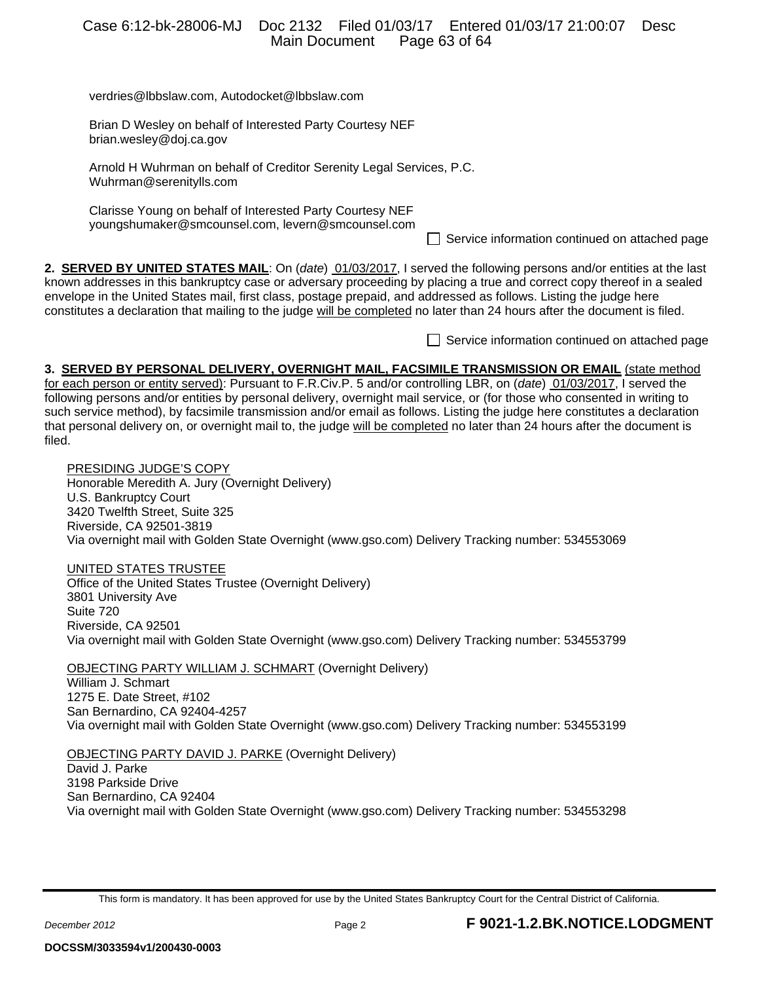|                                                                                                                                                                                                                                                                                                                                                                                                                                                                                                                                                                                                                          | <b>Main Document</b> |  | Case 6:12-bk-28006-MJ  Doc 2132  Filed 01/03/17  Entered 01/03/17  21:00:07<br>Page 63 of 64     | Desc |
|--------------------------------------------------------------------------------------------------------------------------------------------------------------------------------------------------------------------------------------------------------------------------------------------------------------------------------------------------------------------------------------------------------------------------------------------------------------------------------------------------------------------------------------------------------------------------------------------------------------------------|----------------------|--|--------------------------------------------------------------------------------------------------|------|
| verdries@lbbslaw.com, Autodocket@lbbslaw.com                                                                                                                                                                                                                                                                                                                                                                                                                                                                                                                                                                             |                      |  |                                                                                                  |      |
| Brian D Wesley on behalf of Interested Party Courtesy NEF<br>brian.wesley@doj.ca.gov                                                                                                                                                                                                                                                                                                                                                                                                                                                                                                                                     |                      |  |                                                                                                  |      |
| Arnold H Wuhrman on behalf of Creditor Serenity Legal Services, P.C.<br>Wuhrman@serenitylls.com                                                                                                                                                                                                                                                                                                                                                                                                                                                                                                                          |                      |  |                                                                                                  |      |
| Clarisse Young on behalf of Interested Party Courtesy NEF<br>youngshumaker@smcounsel.com, levern@smcounsel.com                                                                                                                                                                                                                                                                                                                                                                                                                                                                                                           |                      |  | Service information continued on attached page                                                   |      |
| 2. <b>SERVED BY UNITED STATES MAIL:</b> On (date) 01/03/2017, I served the following persons and/or entities at the last<br>known addresses in this bankruptcy case or adversary proceeding by placing a true and correct copy thereof in a sealed<br>envelope in the United States mail, first class, postage prepaid, and addressed as follows. Listing the judge here<br>constitutes a declaration that mailing to the judge will be completed no later than 24 hours after the document is filed.                                                                                                                    |                      |  |                                                                                                  |      |
|                                                                                                                                                                                                                                                                                                                                                                                                                                                                                                                                                                                                                          |                      |  | Service information continued on attached page                                                   |      |
| 3. SERVED BY PERSONAL DELIVERY, OVERNIGHT MAIL, FACSIMILE TRANSMISSION OR EMAIL (state method<br>for each person or entity served): Pursuant to F.R.Civ.P. 5 and/or controlling LBR, on (date) 01/03/2017, I served the<br>following persons and/or entities by personal delivery, overnight mail service, or (for those who consented in writing to<br>such service method), by facsimile transmission and/or email as follows. Listing the judge here constitutes a declaration<br>that personal delivery on, or overnight mail to, the judge will be completed no later than 24 hours after the document is<br>filed. |                      |  |                                                                                                  |      |
| PRESIDING JUDGE'S COPY<br>Honorable Meredith A. Jury (Overnight Delivery)<br>U.S. Bankruptcy Court<br>3420 Twelfth Street, Suite 325<br>Riverside, CA 92501-3819<br>Via overnight mail with Golden State Overnight (www.gso.com) Delivery Tracking number: 534553069                                                                                                                                                                                                                                                                                                                                                     |                      |  |                                                                                                  |      |
| UNITED STATES TRUSTEE<br>Office of the United States Trustee (Overnight Delivery)<br>3801 University Ave<br>Suite 720<br>Riverside, CA 92501                                                                                                                                                                                                                                                                                                                                                                                                                                                                             |                      |  | Via overnight mail with Golden State Overnight (www.gso.com) Delivery Tracking number: 534553799 |      |
| <b>OBJECTING PARTY WILLIAM J. SCHMART (Overnight Delivery)</b><br>William J. Schmart<br>1275 E. Date Street, #102<br>San Bernardino, CA 92404-4257                                                                                                                                                                                                                                                                                                                                                                                                                                                                       |                      |  | Via overnight mail with Golden State Overnight (www.gso.com) Delivery Tracking number: 534553199 |      |
| <b>OBJECTING PARTY DAVID J. PARKE (Overnight Delivery)</b><br>David J. Parke<br>3198 Parkside Drive<br>San Bernardino, CA 92404                                                                                                                                                                                                                                                                                                                                                                                                                                                                                          |                      |  | Via overnight mail with Golden State Overnight (www.gso.com) Delivery Tracking number: 534553298 |      |
|                                                                                                                                                                                                                                                                                                                                                                                                                                                                                                                                                                                                                          |                      |  |                                                                                                  |      |

This form is mandatory. It has been approved for use by the United States Bankruptcy Court for the Central District of California.

**DOCSSM/3033594v1/200430-0003**